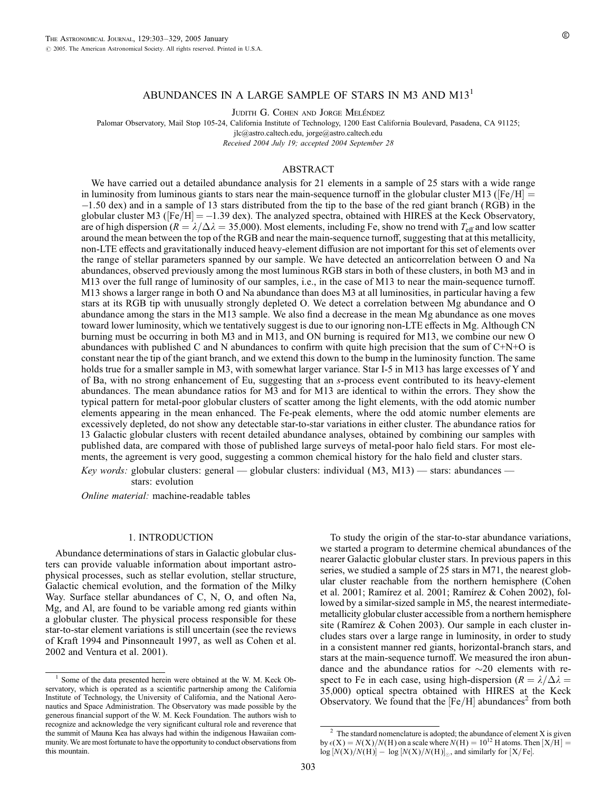# ABUNDANCES IN A LARGE SAMPLE OF STARS IN M3 AND  $\mathbf{M13}^1$

JUDITH G. COHEN AND JORGE MELÉNDEZ

Palomar Observatory, Mail Stop 105-24, California Institute of Technology, 1200 East California Boulevard, Pasadena, CA 91125;

jlc@astro.caltech.edu, jorge@astro.caltech.edu

Received 2004 July 19; accepted 2004 September 28

# ABSTRACT

We have carried out a detailed abundance analysis for 21 elements in a sample of 25 stars with a wide range in luminosity from luminous giants to stars near the main-sequence turnoff in the globular cluster M13 ( $[Fe/H] =$ -1:50 dex) and in a sample of 13 stars distributed from the tip to the base of the red giant branch (RGB) in the globular cluster M3 ( $[Fe/H] = -1.39$  dex). The analyzed spectra, obtained with HIRES at the Keck Observatory, are of high dispersion ( $R = \lambda/\Delta\lambda = 35,000$ ). Most elements, including Fe, show no trend with  $T_{\text{eff}}$  and low scatter around the mean between the top of the RGB and near the main-sequence turnoff, suggesting that at this metallicity, non-LTE effects and gravitationally induced heavy-element diffusion are not important for this set of elements over the range of stellar parameters spanned by our sample. We have detected an anticorrelation between O and Na abundances, observed previously among the most luminous RGB stars in both of these clusters, in both M3 and in M13 over the full range of luminosity of our samples, i.e., in the case of M13 to near the main-sequence turnoff. M13 shows a larger range in both O and Na abundance than does M3 at all luminosities, in particular having a few stars at its RGB tip with unusually strongly depleted O. We detect a correlation between Mg abundance and O abundance among the stars in the M13 sample. We also find a decrease in the mean Mg abundance as one moves toward lower luminosity, which we tentatively suggest is due to our ignoring non-LTE effects in Mg. Although CN burning must be occurring in both M3 and in M13, and ON burning is required for M13, we combine our new O abundances with published C and N abundances to confirm with quite high precision that the sum of  $C+N+O$  is constant near the tip of the giant branch, and we extend this down to the bump in the luminosity function. The same holds true for a smaller sample in M3, with somewhat larger variance. Star I-5 in M13 has large excesses of Y and of Ba, with no strong enhancement of Eu, suggesting that an s-process event contributed to its heavy-element abundances. The mean abundance ratios for M3 and for M13 are identical to within the errors. They show the typical pattern for metal-poor globular clusters of scatter among the light elements, with the odd atomic number elements appearing in the mean enhanced. The Fe-peak elements, where the odd atomic number elements are excessively depleted, do not show any detectable star-to-star variations in either cluster. The abundance ratios for 13 Galactic globular clusters with recent detailed abundance analyses, obtained by combining our samples with published data, are compared with those of published large surveys of metal-poor halo field stars. For most elements, the agreement is very good, suggesting a common chemical history for the halo field and cluster stars.

Key words: globular clusters: general — globular clusters: individual (M3, M13) — stars: abundances stars: evolution

Online material: machine-readable tables

#### 1. INTRODUCTION

Abundance determinations of stars in Galactic globular clusters can provide valuable information about important astrophysical processes, such as stellar evolution, stellar structure, Galactic chemical evolution, and the formation of the Milky Way. Surface stellar abundances of C, N, O, and often Na, Mg, and Al, are found to be variable among red giants within a globular cluster. The physical process responsible for these star-to-star element variations is still uncertain (see the reviews of Kraft 1994 and Pinsonneault 1997, as well as Cohen et al. 2002 and Ventura et al. 2001).

To study the origin of the star-to-star abundance variations, we started a program to determine chemical abundances of the nearer Galactic globular cluster stars. In previous papers in this series, we studied a sample of 25 stars in M71, the nearest globular cluster reachable from the northern hemisphere (Cohen et al. 2001; Ramírez et al. 2001; Ramírez & Cohen 2002), followed by a similar-sized sample in M5, the nearest intermediatemetallicity globular cluster accessible from a northern hemisphere site (Ramírez & Cohen 2003). Our sample in each cluster includes stars over a large range in luminosity, in order to study in a consistent manner red giants, horizontal-branch stars, and stars at the main-sequence turnoff. We measured the iron abundance and the abundance ratios for  $\sim$ 20 elements with respect to Fe in each case, using high-dispersion ( $R = \lambda / \Delta \lambda$ = 35;000) optical spectra obtained with HIRES at the Keck Observatory. We found that the  $[Fe/H]$  abundances<sup>2</sup> from both

Some of the data presented herein were obtained at the W. M. Keck Observatory, which is operated as a scientific partnership among the California Institute of Technology, the University of California, and the National Aeronautics and Space Administration. The Observatory was made possible by the generous financial support of the W. M. Keck Foundation. The authors wish to recognize and acknowledge the very significant cultural role and reverence that the summit of Mauna Kea has always had within the indigenous Hawaiian community. We are most fortunate to have the opportunity to conduct observations from this mountain.

The standard nomenclature is adopted; the abundance of element  $X$  is given by  $\epsilon(X) = N(X)/N(H)$  on a scale where  $N(H) = 10^{12}$  H atoms. Then  $[X/H] =$  $log[N(X)/N(H)] - log[N(X)/N(H)]_{\odot}$ , and similarly for [X/Fe].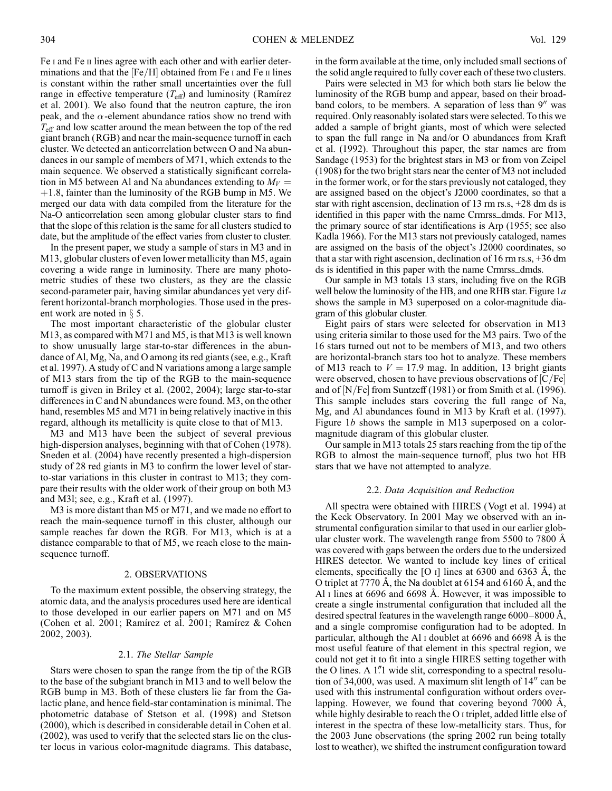Fe I and Fe II lines agree with each other and with earlier determinations and that the  $[Fe/H]$  obtained from Fe  $\mu$  and Fe  $\mu$  lines is constant within the rather small uncertainties over the full range in effective temperature  $(T_{\text{eff}})$  and luminosity (Ramirez et al. 2001). We also found that the neutron capture, the iron peak, and the  $\alpha$ -element abundance ratios show no trend with  $T_{\text{eff}}$  and low scatter around the mean between the top of the red giant branch (RGB) and near the main-sequence turnoff in each cluster. We detected an anticorrelation between O and Na abundances in our sample of members of M71, which extends to the main sequence. We observed a statistically significant correlation in M5 between Al and Na abundances extending to  $M_V =$  $+1.8$ , fainter than the luminosity of the RGB bump in M5. We merged our data with data compiled from the literature for the Na-O anticorrelation seen among globular cluster stars to find that the slope of this relation is the same for all clusters studied to date, but the amplitude of the effect varies from cluster to cluster.

In the present paper, we study a sample of stars in M3 and in M13, globular clusters of even lower metallicity than M5, again covering a wide range in luminosity. There are many photometric studies of these two clusters, as they are the classic second-parameter pair, having similar abundances yet very different horizontal-branch morphologies. Those used in the present work are noted in  $\S$  5.

The most important characteristic of the globular cluster M13, as compared with M71 and M5, is that M13 is well known to show unusually large star-to-star differences in the abundance of Al, Mg, Na, and O among its red giants (see, e.g., Kraft et al. 1997). A study of C and N variations among a large sample of M13 stars from the tip of the RGB to the main-sequence turnoff is given in Briley et al. (2002, 2004); large star-to-star differences in C and N abundances were found. M3, on the other hand, resembles M5 and M71 in being relatively inactive in this regard, although its metallicity is quite close to that of M13.

M3 and M13 have been the subject of several previous high-dispersion analyses, beginning with that of Cohen (1978). Sneden et al. (2004) have recently presented a high-dispersion study of 28 red giants in M3 to confirm the lower level of starto-star variations in this cluster in contrast to M13; they compare their results with the older work of their group on both M3 and M3l; see, e.g., Kraft et al. (1997).

M3 is more distant than M5 or M71, and we made no effort to reach the main-sequence turnoff in this cluster, although our sample reaches far down the RGB. For M13, which is at a distance comparable to that of M5, we reach close to the mainsequence turnoff.

#### 2. OBSERVATIONS

To the maximum extent possible, the observing strategy, the atomic data, and the analysis procedures used here are identical to those developed in our earlier papers on M71 and on M5 (Cohen et al. 2001; Ramírez et al. 2001; Ramírez & Cohen 2002, 2003).

#### 2.1. The Stellar Sample

Stars were chosen to span the range from the tip of the RGB to the base of the subgiant branch in M13 and to well below the RGB bump in M3. Both of these clusters lie far from the Galactic plane, and hence field-star contamination is minimal. The photometric database of Stetson et al. (1998) and Stetson (2000), which is described in considerable detail in Cohen et al. (2002), was used to verify that the selected stars lie on the cluster locus in various color-magnitude diagrams. This database,

in the form available at the time, only included small sections of the solid angle required to fully cover each of these two clusters.

Pairs were selected in M3 for which both stars lie below the luminosity of the RGB bump and appear, based on their broadband colors, to be members. A separation of less than  $9''$  was required. Only reasonably isolated stars were selected. To this we added a sample of bright giants, most of which were selected to span the full range in Na and/or O abundances from Kraft et al. (1992). Throughout this paper, the star names are from Sandage (1953) for the brightest stars in M3 or from von Zeipel (1908) for the two bright stars near the center of M3 not included in the former work, or for the stars previously not cataloged, they are assigned based on the object's J2000 coordinates, so that a star with right ascension, declination of 13 rm rs.s, +28 dm ds is identified in this paper with the name Crmrss\_dmds. For M13, the primary source of star identifications is Arp (1955; see also Kadla 1966). For the M13 stars not previously cataloged, names are assigned on the basis of the object's J2000 coordinates, so that a star with right ascension, declination of 16 rm rs.s, +36 dm ds is identified in this paper with the name Crmrss\_dmds.

Our sample in M3 totals 13 stars, including five on the RGB well below the luminosity of the HB, and one RHB star. Figure  $1a$ shows the sample in M3 superposed on a color-magnitude diagram of this globular cluster.

Eight pairs of stars were selected for observation in M13 using criteria similar to those used for the M3 pairs. Two of the 16 stars turned out not to be members of M13, and two others are horizontal-branch stars too hot to analyze. These members of M13 reach to  $V = 17.9$  mag. In addition, 13 bright giants were observed, chosen to have previous observations of  $\lfloor C/Fe \rfloor$ and of  $[N/Fe]$  from Suntzeff (1981) or from Smith et al. (1996). This sample includes stars covering the full range of Na, Mg, and Al abundances found in M13 by Kraft et al. (1997). Figure 1b shows the sample in M13 superposed on a colormagnitude diagram of this globular cluster.

Our sample in M13 totals 25 stars reaching from the tip of the RGB to almost the main-sequence turnoff, plus two hot HB stars that we have not attempted to analyze.

#### 2.2. Data Acquisition and Reduction

All spectra were obtained with HIRES (Vogt et al. 1994) at the Keck Observatory. In 2001 May we observed with an instrumental configuration similar to that used in our earlier globular cluster work. The wavelength range from  $5500$  to  $7800$  Å was covered with gaps between the orders due to the undersized HIRES detector. We wanted to include key lines of critical elements, specifically the [O  $\scriptstyle I$ ] lines at 6300 and 6363 Å, the O triplet at 7770 Å, the Na doublet at 6154 and 6160 Å, and the Al  $\scriptstyle\rm I$  lines at 6696 and 6698 Å. However, it was impossible to create a single instrumental configuration that included all the desired spectral features in the wavelength range  $6000-8000 \text{ Å},$ and a single compromise configuration had to be adopted. In particular, although the Al I doublet at  $6696$  and  $6698$  Å is the most useful feature of that element in this spectral region, we could not get it to fit into a single HIRES setting together with the O lines. A 1.<sup>*n*</sup>1 wide slit, corresponding to a spectral resolution of 34,000, was used. A maximum slit length of  $14''$  can be used with this instrumental configuration without orders overlapping. However, we found that covering beyond  $7000 \text{ Å}$ , while highly desirable to reach the O i triplet, added little else of interest in the spectra of these low-metallicity stars. Thus, for the 2003 June observations (the spring 2002 run being totally lost to weather), we shifted the instrument configuration toward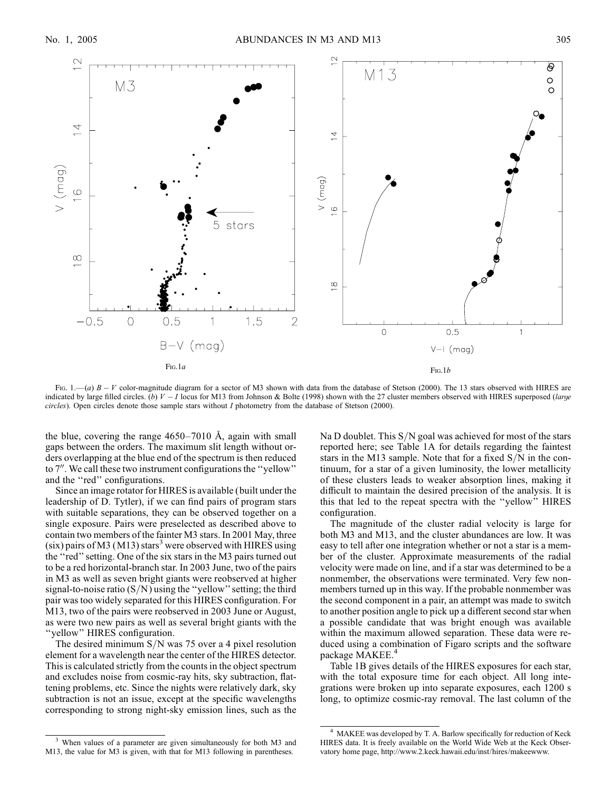

Fig. 1.—(a)  $B - V$  color-magnitude diagram for a sector of M3 shown with data from the database of Stetson (2000). The 13 stars observed with HIRES are indicated by large filled circles. (b)  $V - I$  locus for M13 from Johnson & Bolte (1998) shown with the 27 cluster members observed with HIRES superposed (large circles). Open circles denote those sample stars without I photometry from the database of Stetson (2000).

the blue, covering the range  $4650-7010$  Å, again with small gaps between the orders. The maximum slit length without orders overlapping at the blue end of the spectrum is then reduced to 7<sup>"</sup>. We call these two instrument configurations the "yellow" and the ''red'' configurations.

Since an image rotator for HIRES is available (built under the leadership of D. Tytler), if we can find pairs of program stars with suitable separations, they can be observed together on a single exposure. Pairs were preselected as described above to contain two members of the fainter M3 stars. In 2001 May, three  $(six)$  pairs of M3 (M13) stars<sup>3</sup> were observed with HIRES using the ''red'' setting. One of the six stars in the M3 pairs turned out to be a red horizontal-branch star. In 2003 June, two of the pairs in M3 as well as seven bright giants were reobserved at higher signal-to-noise ratio  $(S/N)$  using the "yellow" setting; the third pair was too widely separated for this HIRES configuration. For M13, two of the pairs were reobserved in 2003 June or August, as were two new pairs as well as several bright giants with the ''yellow'' HIRES configuration.

The desired minimum  $S/N$  was 75 over a 4 pixel resolution element for a wavelength near the center of the HIRES detector. This is calculated strictly from the counts in the object spectrum and excludes noise from cosmic-ray hits, sky subtraction, flattening problems, etc. Since the nights were relatively dark, sky subtraction is not an issue, except at the specific wavelengths corresponding to strong night-sky emission lines, such as the

Na D doublet. This  $S/N$  goal was achieved for most of the stars reported here; see Table 1A for details regarding the faintest stars in the M13 sample. Note that for a fixed  $S/N$  in the continuum, for a star of a given luminosity, the lower metallicity of these clusters leads to weaker absorption lines, making it difficult to maintain the desired precision of the analysis. It is this that led to the repeat spectra with the ''yellow'' HIRES configuration.

The magnitude of the cluster radial velocity is large for both M3 and M13, and the cluster abundances are low. It was easy to tell after one integration whether or not a star is a member of the cluster. Approximate measurements of the radial velocity were made on line, and if a star was determined to be a nonmember, the observations were terminated. Very few nonmembers turned up in this way. If the probable nonmember was the second component in a pair, an attempt was made to switch to another position angle to pick up a different second star when a possible candidate that was bright enough was available within the maximum allowed separation. These data were reduced using a combination of Figaro scripts and the software package MAKEE.<sup>4</sup>

Table 1B gives details of the HIRES exposures for each star, with the total exposure time for each object. All long integrations were broken up into separate exposures, each 1200 s long, to optimize cosmic-ray removal. The last column of the

When values of a parameter are given simultaneously for both M3 and M13, the value for M3 is given, with that for M13 following in parentheses.

MAKEE was developed by T. A. Barlow specifically for reduction of Keck HIRES data. It is freely available on the World Wide Web at the Keck Observatory home page, http://www.2.keck.hawaii.edu/inst/hires/makeewww.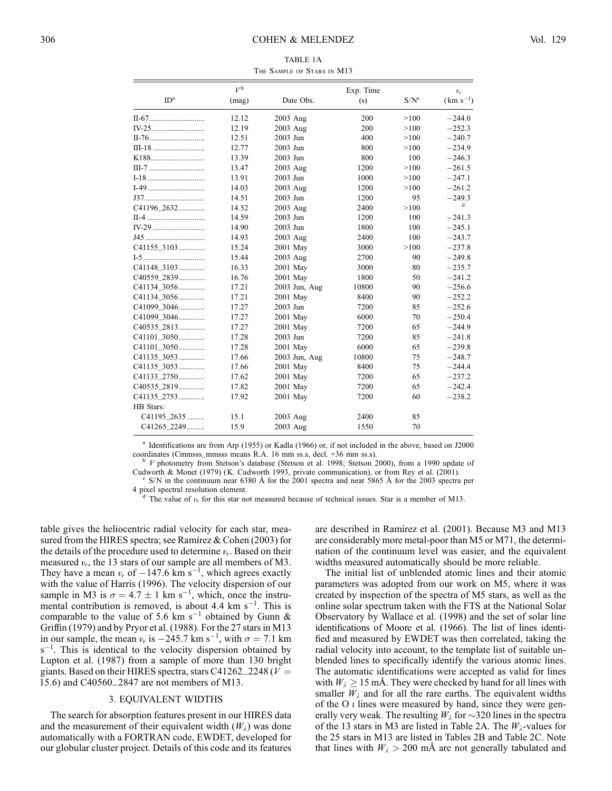#### TABLE 1A The Sample of Stars in M13

| Date Obs.<br>(s)<br>(mag)<br>12.12<br>200<br>>100<br>2003 Aug<br>12.19<br>200<br>2003 Aug<br>>100<br>400<br>12.51<br>2003 Jun<br>>100<br>800<br>12.77<br>2003 Jun<br>>100<br>13.39<br>2003 Jun<br>800<br>100<br>1200<br>13.47<br>2003 Aug<br>>100<br>2003 Jun<br>>100<br>13.91<br>1000<br>14.03<br>2003 Aug<br>1200<br>>100<br>2003 Jun<br>95<br>14.51<br>1200<br>>100<br>14.52<br>2400<br>2003 Aug<br>100<br>14.59<br>2003 Jun<br>1200<br>100<br>14.90<br>2003 Jun<br>1800<br>100<br>14.93<br>2003 Aug<br>2400<br>15.24<br>>100<br>2001 May<br>3000<br>15.44<br>2003 Aug<br>2700<br>90<br>16.33<br>3000<br>80<br>2001 May<br>16.76<br>50<br>2001 May<br>1800<br>10800<br>17.21<br>2003 Jun, Aug<br>90<br>17.21<br>2001 May<br>8400<br>90<br>2003 Jun<br>7200<br>85<br>17.27<br>17.27<br>6000<br>70<br>2001 May<br>2001 May<br>7200<br>65<br>17.27<br>17.28<br>2003 Jun<br>7200<br>85<br>65<br>17.28<br>2001 May<br>6000<br>75<br>17.66<br>10800<br>2003 Jun, Aug<br>17.66<br>75<br>2001 May<br>8400<br>65<br>7200<br>17.62<br>2001 May<br>65<br>17.82<br>2001 May<br>7200<br>7200<br>60<br>17.92<br>2001 May |                 | $V^{\mathsf{b}}$ | Exp. Time |         | $v_r$         |
|---------------------------------------------------------------------------------------------------------------------------------------------------------------------------------------------------------------------------------------------------------------------------------------------------------------------------------------------------------------------------------------------------------------------------------------------------------------------------------------------------------------------------------------------------------------------------------------------------------------------------------------------------------------------------------------------------------------------------------------------------------------------------------------------------------------------------------------------------------------------------------------------------------------------------------------------------------------------------------------------------------------------------------------------------------------------------------------------------------------|-----------------|------------------|-----------|---------|---------------|
|                                                                                                                                                                                                                                                                                                                                                                                                                                                                                                                                                                                                                                                                                                                                                                                                                                                                                                                                                                                                                                                                                                               | ID <sup>a</sup> |                  |           | $S/N^c$ | $(km s^{-1})$ |
| IV-25<br>III-18<br>K188<br>III-7<br>I-18<br>I-49<br>J37<br>C41196_2632<br>II-4<br>J45<br>$C41155\_3103$<br>I-5<br>C41148_3103<br>C40559_2839<br>C41134 3056<br>C41134_3056<br>C41099 3046<br>C41099_3046<br>C40535_2813<br>C41101 3050<br>C41101_3050<br>C41135 3053<br>C41135_3053<br>C41133_2750<br>C40535_2819<br>C41135 2753                                                                                                                                                                                                                                                                                                                                                                                                                                                                                                                                                                                                                                                                                                                                                                              | II-67           |                  |           |         | $-244.0$      |
|                                                                                                                                                                                                                                                                                                                                                                                                                                                                                                                                                                                                                                                                                                                                                                                                                                                                                                                                                                                                                                                                                                               |                 |                  |           |         | $-252.3$      |
|                                                                                                                                                                                                                                                                                                                                                                                                                                                                                                                                                                                                                                                                                                                                                                                                                                                                                                                                                                                                                                                                                                               |                 |                  |           |         | $-240.7$      |
|                                                                                                                                                                                                                                                                                                                                                                                                                                                                                                                                                                                                                                                                                                                                                                                                                                                                                                                                                                                                                                                                                                               |                 |                  |           |         | $-234.9$      |
|                                                                                                                                                                                                                                                                                                                                                                                                                                                                                                                                                                                                                                                                                                                                                                                                                                                                                                                                                                                                                                                                                                               |                 |                  |           |         | $-246.3$      |
|                                                                                                                                                                                                                                                                                                                                                                                                                                                                                                                                                                                                                                                                                                                                                                                                                                                                                                                                                                                                                                                                                                               |                 |                  |           |         | $-261.5$      |
|                                                                                                                                                                                                                                                                                                                                                                                                                                                                                                                                                                                                                                                                                                                                                                                                                                                                                                                                                                                                                                                                                                               |                 |                  |           |         | $-247.1$      |
|                                                                                                                                                                                                                                                                                                                                                                                                                                                                                                                                                                                                                                                                                                                                                                                                                                                                                                                                                                                                                                                                                                               |                 |                  |           |         | $-261.2$      |
|                                                                                                                                                                                                                                                                                                                                                                                                                                                                                                                                                                                                                                                                                                                                                                                                                                                                                                                                                                                                                                                                                                               |                 |                  |           |         | $-249.3$      |
|                                                                                                                                                                                                                                                                                                                                                                                                                                                                                                                                                                                                                                                                                                                                                                                                                                                                                                                                                                                                                                                                                                               |                 |                  |           |         | d             |
|                                                                                                                                                                                                                                                                                                                                                                                                                                                                                                                                                                                                                                                                                                                                                                                                                                                                                                                                                                                                                                                                                                               |                 |                  |           |         | $-241.3$      |
|                                                                                                                                                                                                                                                                                                                                                                                                                                                                                                                                                                                                                                                                                                                                                                                                                                                                                                                                                                                                                                                                                                               |                 |                  |           |         | $-245.1$      |
|                                                                                                                                                                                                                                                                                                                                                                                                                                                                                                                                                                                                                                                                                                                                                                                                                                                                                                                                                                                                                                                                                                               |                 |                  |           |         | $-243.7$      |
|                                                                                                                                                                                                                                                                                                                                                                                                                                                                                                                                                                                                                                                                                                                                                                                                                                                                                                                                                                                                                                                                                                               |                 |                  |           |         | $-237.8$      |
|                                                                                                                                                                                                                                                                                                                                                                                                                                                                                                                                                                                                                                                                                                                                                                                                                                                                                                                                                                                                                                                                                                               |                 |                  |           |         | $-249.8$      |
|                                                                                                                                                                                                                                                                                                                                                                                                                                                                                                                                                                                                                                                                                                                                                                                                                                                                                                                                                                                                                                                                                                               |                 |                  |           |         | $-235.7$      |
|                                                                                                                                                                                                                                                                                                                                                                                                                                                                                                                                                                                                                                                                                                                                                                                                                                                                                                                                                                                                                                                                                                               |                 |                  |           |         | $-241.2$      |
|                                                                                                                                                                                                                                                                                                                                                                                                                                                                                                                                                                                                                                                                                                                                                                                                                                                                                                                                                                                                                                                                                                               |                 |                  |           |         | $-256.6$      |
|                                                                                                                                                                                                                                                                                                                                                                                                                                                                                                                                                                                                                                                                                                                                                                                                                                                                                                                                                                                                                                                                                                               |                 |                  |           |         | $-252.2$      |
|                                                                                                                                                                                                                                                                                                                                                                                                                                                                                                                                                                                                                                                                                                                                                                                                                                                                                                                                                                                                                                                                                                               |                 |                  |           |         | $-252.6$      |
|                                                                                                                                                                                                                                                                                                                                                                                                                                                                                                                                                                                                                                                                                                                                                                                                                                                                                                                                                                                                                                                                                                               |                 |                  |           |         | $-250.4$      |
|                                                                                                                                                                                                                                                                                                                                                                                                                                                                                                                                                                                                                                                                                                                                                                                                                                                                                                                                                                                                                                                                                                               |                 |                  |           |         | $-244.9$      |
|                                                                                                                                                                                                                                                                                                                                                                                                                                                                                                                                                                                                                                                                                                                                                                                                                                                                                                                                                                                                                                                                                                               |                 |                  |           |         | $-241.8$      |
|                                                                                                                                                                                                                                                                                                                                                                                                                                                                                                                                                                                                                                                                                                                                                                                                                                                                                                                                                                                                                                                                                                               |                 |                  |           |         | $-239.8$      |
|                                                                                                                                                                                                                                                                                                                                                                                                                                                                                                                                                                                                                                                                                                                                                                                                                                                                                                                                                                                                                                                                                                               |                 |                  |           |         | $-248.7$      |
|                                                                                                                                                                                                                                                                                                                                                                                                                                                                                                                                                                                                                                                                                                                                                                                                                                                                                                                                                                                                                                                                                                               |                 |                  |           |         | $-244.4$      |
|                                                                                                                                                                                                                                                                                                                                                                                                                                                                                                                                                                                                                                                                                                                                                                                                                                                                                                                                                                                                                                                                                                               |                 |                  |           |         | $-237.2$      |
|                                                                                                                                                                                                                                                                                                                                                                                                                                                                                                                                                                                                                                                                                                                                                                                                                                                                                                                                                                                                                                                                                                               |                 |                  |           |         | $-242.4$      |
|                                                                                                                                                                                                                                                                                                                                                                                                                                                                                                                                                                                                                                                                                                                                                                                                                                                                                                                                                                                                                                                                                                               |                 |                  |           |         | $-238.2$      |
| HB Stars:                                                                                                                                                                                                                                                                                                                                                                                                                                                                                                                                                                                                                                                                                                                                                                                                                                                                                                                                                                                                                                                                                                     |                 |                  |           |         |               |
| C41195 2635<br>15.1<br>2400<br>2003 Aug<br>85                                                                                                                                                                                                                                                                                                                                                                                                                                                                                                                                                                                                                                                                                                                                                                                                                                                                                                                                                                                                                                                                 |                 |                  |           |         |               |
| C41265_2249<br>15.9<br>2003 Aug<br>1550<br>70                                                                                                                                                                                                                                                                                                                                                                                                                                                                                                                                                                                                                                                                                                                                                                                                                                                                                                                                                                                                                                                                 |                 |                  |           |         |               |

<sup>a</sup> Identifications are from Arp (1955) or Kadla (1966) or, if not included in the above, based on J2000 coordinates (Cmmsss\_mmsss means R.A. 16 mm ss.s, decl.  $+36$  mm ss.s).

<sup>b</sup> *V* photometry from Stetson's database (Stetson et al. 1998; Stetson 2000), from a 1990 update of Cudworth & Monet (1979) (K. Cudworth 1993, private communication), or from Rey et al. (2001).

<sup>c</sup> S/N in the continuum near 6380 Å for the 2001 spectra and near 5865 Å for the 2003 spectra per 4 pixel spectral resolution element.

<sup>d</sup> The value of  $v_r$  for this star not measured because of technical issues. Star is a member of M13.

table gives the heliocentric radial velocity for each star, measured from the HIRES spectra; see Ramirez  $& Cohen (2003)$  for the details of the procedure used to determine  $v_r$ . Based on their measured  $v_r$ , the 13 stars of our sample are all members of M3. They have a mean  $v_r$  of  $-147.6 \text{ km s}^{-1}$ , which agrees exactly with the value of Harris (1996). The velocity dispersion of our sample in M3 is  $\sigma = 4.7 \pm 1 \text{ km s}^{-1}$ , which, once the instrumental contribution is removed, is about 4.4 km  $s^{-1}$ . This is comparable to the value of 5.6 km s<sup>-1</sup> obtained by Gunn & Griffin (1979) and by Pryor et al. (1988). For the 27 stars in M13 in our sample, the mean  $v_r$  is  $-245.7$  km s<sup>-1</sup>, with  $\sigma = 7.1$  km  $s^{-1}$ . This is identical to the velocity dispersion obtained by Lupton et al. (1987) from a sample of more than 130 bright giants. Based on their HIRES spectra, stars C41262 $-$ 2248 ( $V =$ 15:6) and C40560\_2847 are not members of M13.

### 3. EQUIVALENT WIDTHS

The search for absorption features present in our HIRES data and the measurement of their equivalent width  $(W_{\lambda})$  was done automatically with a FORTRAN code, EWDET, developed for our globular cluster project. Details of this code and its features

are described in Raminez et al. (2001). Because M3 and M13 are considerably more metal-poor than M5 or M71, the determination of the continuum level was easier, and the equivalent widths measured automatically should be more reliable.

The initial list of unblended atomic lines and their atomic parameters was adopted from our work on M5, where it was created by inspection of the spectra of M5 stars, as well as the online solar spectrum taken with the FTS at the National Solar Observatory by Wallace et al. (1998) and the set of solar line identifications of Moore et al. (1966). The list of lines identified and measured by EWDET was then correlated, taking the radial velocity into account, to the template list of suitable unblended lines to specifically identify the various atomic lines. The automatic identifications were accepted as valid for lines with  $W_{\lambda} \ge 15$  mÅ. They were checked by hand for all lines with smaller  $W_{\lambda}$  and for all the rare earths. The equivalent widths of the O i lines were measured by hand, since they were generally very weak. The resulting  $W_{\lambda}$  for  $\sim$ 320 lines in the spectra of the 13 stars in M3 are listed in Table 2A. The  $W_1$ -values for the 25 stars in M13 are listed in Tables 2B and Table 2C. Note that lines with  $W_{\lambda} > 200$  mÅ are not generally tabulated and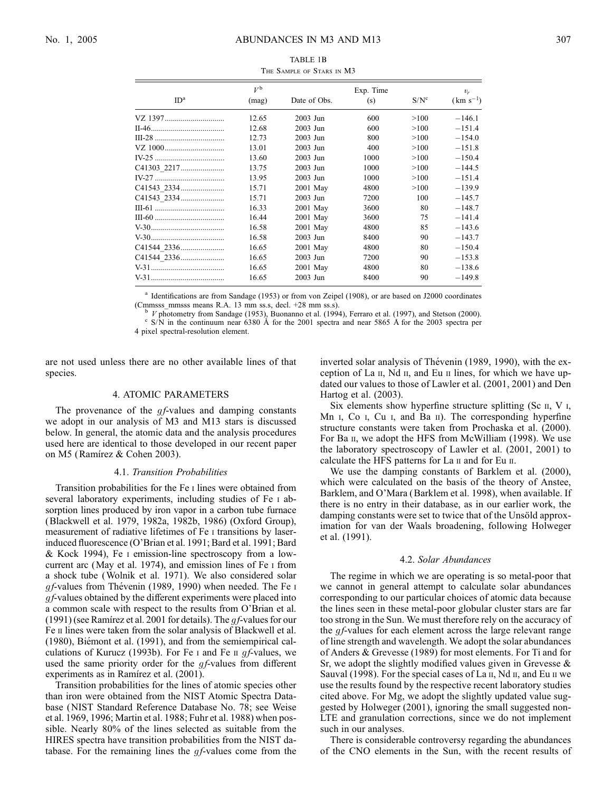|                 |                      | THE SAMPLE OF STARS IN M3 |                  |         |                        |
|-----------------|----------------------|---------------------------|------------------|---------|------------------------|
| ID <sup>a</sup> | $V^{\rm b}$<br>(mag) | Date of Obs.              | Exp. Time<br>(s) | $S/N^c$ | $v_r$<br>$(km s^{-1})$ |
|                 |                      |                           |                  |         |                        |
| VZ 1397         | 12.65                | $2003$ Jun                | 600              | >100    | $-146.1$               |
|                 | 12.68                | 2003 Jun                  | 600              | >100    | $-151.4$               |
|                 | 12.73                | 2003 Jun                  | 800              | >100    | $-154.0$               |
|                 | 13.01                | 2003 Jun                  | 400              | >100    | $-151.8$               |
|                 | 13.60                | 2003 Jun                  | 1000             | >100    | $-150.4$               |
|                 | 13.75                | 2003 Jun                  | 1000             | >100    | $-144.5$               |
|                 | 13.95                | 2003 Jun                  | 1000             | >100    | $-151.4$               |
|                 | 15.71                | 2001 May                  | 4800             | >100    | $-139.9$               |
|                 | 15.71                | 2003 Jun                  | 7200             | 100     | $-145.7$               |
|                 | 16.33                | 2001 May                  | 3600             | 80      | $-148.7$               |
|                 | 16.44                | 2001 May                  | 3600             | 75      | $-141.4$               |
|                 | 16.58                | 2001 May                  | 4800             | 85      | $-143.6$               |
|                 | 16.58                | 2003 Jun                  | 8400             | 90      | $-143.7$               |
|                 | 16.65                | 2001 May                  | 4800             | 80      | $-150.4$               |
|                 | 16.65                | 2003 Jun                  | 7200             | 90      | $-153.8$               |
|                 | 16.65                | 2001 May                  | 4800             | 80      | $-138.6$               |
|                 | 16.65                | 2003 Jun                  | 8400             | 90      | $-149.8$               |

TABLE 1B The Sample of Stars in M3

<sup>a</sup> Identifications are from Sandage (1953) or from von Zeipel (1908), or are based on J2000 coordinates

(Cmmsss\_mmsss means R.A. 13 mm ss.s, decl. +28 mm ss.s).<br><sup>b</sup> *V* photometry from Sandage (1953), Buonanno et al. (1994), Ferraro et al. (1997), and Stetson (2000).<br><sup>c</sup> S/N in the continuum near 6380 Å for the 2001 spectra

4 pixel spectral-resolution element.

are not used unless there are no other available lines of that species.

### 4. ATOMIC PARAMETERS

The provenance of the  $q_f$ -values and damping constants we adopt in our analysis of M3 and M13 stars is discussed below. In general, the atomic data and the analysis procedures used here are identical to those developed in our recent paper on M5 (Ramírez & Cohen 2003).

#### 4.1. Transition Probabilities

Transition probabilities for the Fe i lines were obtained from several laboratory experiments, including studies of Fe i absorption lines produced by iron vapor in a carbon tube furnace (Blackwell et al. 1979, 1982a, 1982b, 1986) (Oxford Group), measurement of radiative lifetimes of Fe i transitions by laserinduced fluorescence (O'Brian et al. 1991; Bard et al. 1991; Bard & Kock 1994), Fe i emission-line spectroscopy from a lowcurrent arc (May et al. 1974), and emission lines of Fe i from a shock tube (Wolnik et al. 1971). We also considered solar g f-values from Thévenin (1989, 1990) when needed. The Fe i  $gf$ -values obtained by the different experiments were placed into a common scale with respect to the results from O'Brian et al. (1991) (see Ramirez et al. 2001 for details). The  $q_f$ -values for our Fe  $\scriptstyle\rm II$  lines were taken from the solar analysis of Blackwell et al. (1980), Biémont et al. (1991), and from the semiempirical calculations of Kurucz (1993b). For Fe I and Fe II  $gf$ -values, we used the same priority order for the  $gf$ -values from different experiments as in Ramírez et al. (2001).

Transition probabilities for the lines of atomic species other than iron were obtained from the NIST Atomic Spectra Database (NIST Standard Reference Database No. 78; see Weise et al. 1969, 1996; Martin et al. 1988; Fuhr et al. 1988) when possible. Nearly 80% of the lines selected as suitable from the HIRES spectra have transition probabilities from the NIST database. For the remaining lines the  $gf$ -values come from the inverted solar analysis of Thévenin (1989, 1990), with the exception of La  $II$ , Nd  $II$ , and Eu  $II$  lines, for which we have updated our values to those of Lawler et al. (2001, 2001) and Den Hartog et al. (2003).

Six elements show hyperfine structure splitting (Sc  $II$ , V  $I$ , Mn I, Co I, Cu I, and Ba II). The corresponding hyperfine structure constants were taken from Prochaska et al. (2000). For Ba II, we adopt the HFS from McWilliam (1998). We use the laboratory spectroscopy of Lawler et al. (2001, 2001) to calculate the HFS patterns for La  $\scriptstyle\rm II$  and for Eu  $\scriptstyle\rm II$ .

We use the damping constants of Barklem et al. (2000), which were calculated on the basis of the theory of Anstee, Barklem, and O'Mara (Barklem et al. 1998), when available. If there is no entry in their database, as in our earlier work, the damping constants were set to twice that of the Unsold approximation for van der Waals broadening, following Holweger et al. (1991).

### 4.2. Solar Abundances

The regime in which we are operating is so metal-poor that we cannot in general attempt to calculate solar abundances corresponding to our particular choices of atomic data because the lines seen in these metal-poor globular cluster stars are far too strong in the Sun. We must therefore rely on the accuracy of the  $gf$ -values for each element across the large relevant range of line strength and wavelength. We adopt the solar abundances of Anders & Grevesse (1989) for most elements. For Ti and for Sr, we adopt the slightly modified values given in Grevesse  $\&$ Sauval (1998). For the special cases of La II, Nd II, and Eu II we use the results found by the respective recent laboratory studies cited above. For Mg, we adopt the slightly updated value suggested by Holweger (2001), ignoring the small suggested non-LTE and granulation corrections, since we do not implement such in our analyses.

There is considerable controversy regarding the abundances of the CNO elements in the Sun, with the recent results of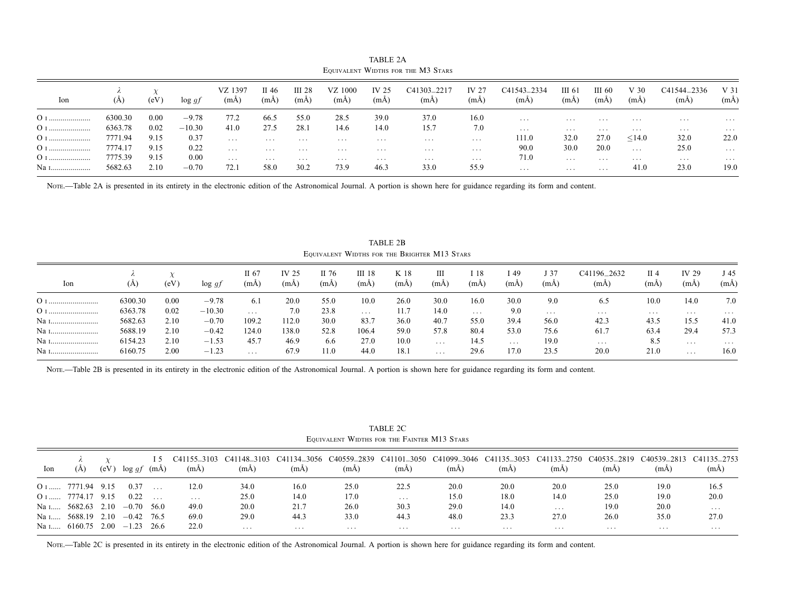| Ion  | (A)     | (eV) | $\log gt$ | VZ 1397<br>(mA) | II 46<br>(mA) | <b>III</b> 28<br>(mA) | VZ 1000<br>(mA) | IV 25<br>(mA) | C41303 <sub>-2217</sub><br>$(m\AA)$ | <b>IV 27</b><br>(mA) | C41543_2334<br>(mA) | III 61<br>(mA) | III 60<br>(mA) | V 30<br>(mA) | C41544_2336<br>(mA) | V 31<br>$(m\AA)$ |
|------|---------|------|-----------|-----------------|---------------|-----------------------|-----------------|---------------|-------------------------------------|----------------------|---------------------|----------------|----------------|--------------|---------------------|------------------|
| 0 1  | 6300.30 | 0.00 | $-9.78$   | 77.2            | 66.5          | 55.0                  | 28.5            | 39.0          | 37.0                                | 16.0                 | $\cdots$            | .              | $\cdots$       | $\cdots$     | .                   | .                |
|      | 6363.78 | 0.02 | $-10.30$  | 41.0            | 27.5          | 28.1                  | 14.6            | 14.0          | 15.7                                | 7.0                  | .                   | .              | $\cdots$       | $\cdots$     | .                   | .                |
| 0 1  | 7771.94 | 9.15 | 0.37      | $\cdots$        | .             | $\cdots$              | .               | $\cdots$      | .                                   | $\cdots$             | 111.0               | 32.0           | 27.0           | < 14.0       | 32.0                | 22.0             |
| 0 1  | 7774.17 | 9.15 | 0.22      | $\cdots$        | $\cdots$      | $\cdots$              | $\cdots$        | $\cdots$      | $\cdots$                            | $\cdots$             | 90.0                | 30.0           | 20.0           | $\cdots$     | 25.0                | $\cdots$         |
| 0 1  | 7775.39 | 9.15 | 0.00      | $\cdots$        | .             | $\cdots$              | $\cdots$        | .             | .                                   | .                    | 71.0                | .              | $\cdots$       | .            | .                   | .                |
| Na 1 | 5682.63 | 2.10 | $-0.70$   | 72.1            | 58.0          | 30.2                  | 73.9            | 46.3          | 33.0                                | 55.9                 | .                   | .              | $\cdots$       | 41.0         | 23.0                | 19.0             |

TABLE 2AEquivalent Widths for the M3 Stars

Nore.—Table 2A is presented in its entirety in the electronic edition of the Astronomical Journal. A portion is shown here for guidance regarding its form and content.

|      | EQUIVALENT WIDTHS FOR THE DRIGHTER MITS STARS |      |           |                  |                      |               |                |              |           |              |              |              |                                 |                         |               |                  |
|------|-----------------------------------------------|------|-----------|------------------|----------------------|---------------|----------------|--------------|-----------|--------------|--------------|--------------|---------------------------------|-------------------------|---------------|------------------|
| Ion  | (A)                                           | (eV) | $\log gt$ | $\Pi$ 67<br>(mA, | <b>IV 25</b><br>(mA) | II 76<br>(mA) | III 18<br>(mA) | K 18<br>(mA) | Ш<br>(mA) | . 18<br>(mA) | : 49<br>(mA) | J 37<br>(mA) | C41196 <sub>-2632</sub><br>(mA) | II <sub>4</sub><br>(mA) | IV 29<br>(mA) | J 45<br>$(m\AA)$ |
| 0 1  | 6300.30                                       | 0.00 | $-9.78$   | 6.1              | 20.0                 | 55.0          | 10.0           | 26.0         | 30.0      | 16.0         | 30.0         | 9.0          | 6.5                             | 10.0                    | 14.0          | 7.0              |
| 0 1  | 6363.78                                       | 0.02 | $-10.30$  | $\cdots$         | 7.0                  | 23.8          | $\cdots$       | 11.7         | 14.0      | $\cdots$     | 9.0          | $\cdots$     | $\cdots$                        | $\cdots$                | $\cdots$      | $\cdots$         |
| Na 1 | 5682.63                                       | 2.10 | $-0.70$   | 109.2            | 112.0                | 30.0          | 83.7           | 36.0         | 40.7      | 55.0         | 39.4         | 56.0         | 42.3                            | 43.5                    | 15.5          | 41.0             |
| Na 1 | 5688.19                                       | 2.10 | $-0.42$   | 124.0            | 138.0                | 52.8          | 106.4          | 59.0         | 57.8      | 80.4         | 53.0         | 75.6         | 61.7                            | 63.4                    | 29.4          | 57.3             |
| Na 1 | 6154.23                                       | 2.10 | $-1.53$   | 45.7             | 46.9                 | 6.6           | 27.0           | 10.0         | .         | 14.5         | .            | 19.0         | $\cdots$                        | 8.5                     | .             | $\cdots$         |
| Na 1 | 6160.75                                       | 2.00 | $-1.23$   | $\cdots$         | 67.9                 | 11.0          | 44.0           | 18.1         | .         | 29.6         | 17.0         | 23.5         | 20.0                            | 21.0                    | $\cdots$      | 16.0             |

TABLE 2B Equivalent Widths for the Brighter M13 Stars

Nore.—Table 2B is presented in its entirety in the electronic edition of the Astronomical Journal. A portion is shown here for guidance regarding its form and content.

TABLE 2CEquivalent Widths for the Fainter M13 Stars

| lon | (A)                              | (eV) | $\log qf$     | (mA) | (mA)    | C41155_3103 C41148_3103 C41134_3056 C40559_2839 C41101_3050 C41099_3046 C41135_3053 C41133_2750 C40535_2819 C40539_2813 C41135_2753<br>(mA | (mA) | (mA) | (mÅ)     | (mA` | (mA)     | (mA)     | (mA) | (mA) | (mA)     |
|-----|----------------------------------|------|---------------|------|---------|--------------------------------------------------------------------------------------------------------------------------------------------|------|------|----------|------|----------|----------|------|------|----------|
|     | $Q_1$ 7771.94 9.15               |      | $0.37 \ldots$ |      | 12.0    | 34.0                                                                                                                                       | 16.0 | 25.0 | 22.5     | 20.0 | 20.0     | 20.0     | 25.0 | 19.0 | 16.5     |
|     | $O_1$ 7774.17 9.15               |      | 0.22          |      | $\cdot$ | 25.0                                                                                                                                       | 14.0 | 17.0 | $\cdots$ | 15.0 | 18.0     | 14.0     | 25.0 | 19.0 | 20.0     |
|     | Na 1 $5682.63$ 2.10 $-0.70$ 56.0 |      |               |      | 49.0    | 20.0                                                                                                                                       | 21.7 | 26.0 | 30.3     | 29.0 | 14.0     | $\cdots$ | 19.0 | 20.0 | $\cdots$ |
|     | Na 1 $5688.19$ 2.10 $-0.42$ 76.5 |      |               |      | 69.0    | 29.0                                                                                                                                       | 44.3 | 33.0 | 44.3     | 48.0 | 23.3     | 27.0     | 26.0 | 35.0 | 27.0     |
|     | Na 1 $6160.75$ 2.00 $-1.23$ 26.6 |      |               |      | 22.0    | .                                                                                                                                          | .    | .    | .        | .    | $\cdots$ | .        | .    | .    | .        |

Nore.—Table 2C is presented in its entirety in the electronic edition of the Astronomical Journal. A portion is shown here for guidance regarding its form and content.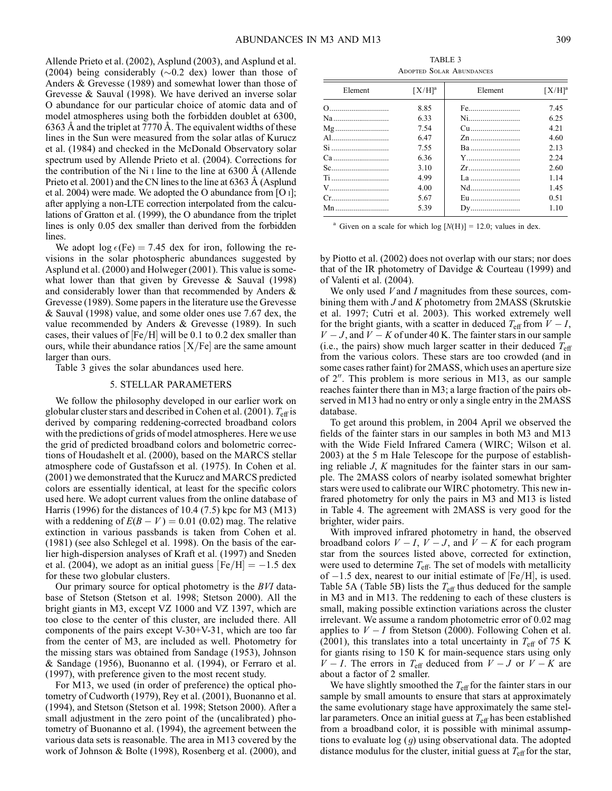Allende Prieto et al. (2002), Asplund (2003), and Asplund et al. (2004) being considerably ( $\sim$ 0.2 dex) lower than those of Anders & Grevesse (1989) and somewhat lower than those of Grevesse & Sauval (1998). We have derived an inverse solar O abundance for our particular choice of atomic data and of model atmospheres using both the forbidden doublet at 6300, 6363 Å and the triplet at 7770 Å. The equivalent widths of these lines in the Sun were measured from the solar atlas of Kurucz et al. (1984) and checked in the McDonald Observatory solar spectrum used by Allende Prieto et al. (2004). Corrections for the contribution of the Ni  $\scriptstyle\rm I$  line to the line at 6300 Å (Allende Prieto et al. 2001) and the CN lines to the line at 6363 Å (Asplund et al. 2004) were made. We adopted the O abundance from [O i]; after applying a non-LTE correction interpolated from the calculations of Gratton et al. (1999), the O abundance from the triplet lines is only 0.05 dex smaller than derived from the forbidden lines.

We adopt  $log \epsilon$ (Fe) = 7.45 dex for iron, following the revisions in the solar photospheric abundances suggested by Asplund et al. (2000) and Holweger (2001). This value is somewhat lower than that given by Grevesse & Sauval (1998) and considerably lower than that recommended by Anders & Grevesse (1989). Some papers in the literature use the Grevesse & Sauval (1998) value, and some older ones use 7.67 dex, the value recommended by Anders & Grevesse (1989). In such cases, their values of  $[Fe/H]$  will be 0.1 to 0.2 dex smaller than ours, while their abundance ratios  $[X/Fe]$  are the same amount larger than ours.

Table 3 gives the solar abundances used here.

# 5. STELLAR PARAMETERS

We follow the philosophy developed in our earlier work on globular cluster stars and described in Cohen et al. (2001).  $T_{\text{eff}}$  is derived by comparing reddening-corrected broadband colors with the predictions of grids of model atmospheres. Here we use the grid of predicted broadband colors and bolometric corrections of Houdashelt et al. (2000), based on the MARCS stellar atmosphere code of Gustafsson et al. (1975). In Cohen et al. (2001) we demonstrated that the Kurucz and MARCS predicted colors are essentially identical, at least for the specific colors used here. We adopt current values from the online database of Harris (1996) for the distances of 10.4 (7.5) kpc for M3 (M13) with a reddening of  $E(B - V) = 0.01$  (0.02) mag. The relative extinction in various passbands is taken from Cohen et al. (1981) (see also Schlegel et al. 1998). On the basis of the earlier high-dispersion analyses of Kraft et al. (1997) and Sneden et al. (2004), we adopt as an initial guess  $[Fe/H] = -1.5$  dex for these two globular clusters.

Our primary source for optical photometry is the BVI database of Stetson (Stetson et al. 1998; Stetson 2000). All the bright giants in M3, except VZ 1000 and VZ 1397, which are too close to the center of this cluster, are included there. All components of the pairs except V-30+V-31, which are too far from the center of M3, are included as well. Photometry for the missing stars was obtained from Sandage (1953), Johnson & Sandage (1956), Buonanno et al. (1994), or Ferraro et al. (1997), with preference given to the most recent study.

For M13, we used (in order of preference) the optical photometry of Cudworth (1979), Rey et al. (2001), Buonanno et al. (1994), and Stetson (Stetson et al. 1998; Stetson 2000). After a small adjustment in the zero point of the (uncalibrated) photometry of Buonanno et al. (1994), the agreement between the various data sets is reasonable. The area in M13 covered by the work of Johnson & Bolte (1998), Rosenberg et al. (2000), and

TABLE 3 Adopted Solar Abundances

| Element                                                                                                                                                                                                                                                                                                                                                                                                                        | $[X/H]^a$ | Element | $[X/H]^a$ |
|--------------------------------------------------------------------------------------------------------------------------------------------------------------------------------------------------------------------------------------------------------------------------------------------------------------------------------------------------------------------------------------------------------------------------------|-----------|---------|-----------|
|                                                                                                                                                                                                                                                                                                                                                                                                                                | 8.85      | Fe      | 745       |
| Na                                                                                                                                                                                                                                                                                                                                                                                                                             | 6.33      | Ni      | 6.25      |
|                                                                                                                                                                                                                                                                                                                                                                                                                                | 7.54      | Cu      | 4 2 1     |
| A1                                                                                                                                                                                                                                                                                                                                                                                                                             | 6.47      |         | 4.60      |
|                                                                                                                                                                                                                                                                                                                                                                                                                                | 7.55      | Ba      | 2.13      |
|                                                                                                                                                                                                                                                                                                                                                                                                                                | 6.36      | Y       | 2.24      |
| Sc                                                                                                                                                                                                                                                                                                                                                                                                                             | 3.10      | Zr      | 2.60      |
| Ti                                                                                                                                                                                                                                                                                                                                                                                                                             | 4.99      | La      | 1 1 4     |
| V                                                                                                                                                                                                                                                                                                                                                                                                                              | 4.00      | Nd      | 145       |
| $Cr_{1}, \ldots, T_{n}, \ldots, T_{n}, \ldots, T_{n}, \ldots, T_{n}, \ldots, T_{n}, \ldots, T_{n}, \ldots, T_{n}, \ldots, T_{n}, \ldots, T_{n}, \ldots, T_{n}, \ldots, T_{n}, \ldots, T_{n}, \ldots, T_{n}, \ldots, T_{n}, \ldots, T_{n}, \ldots, T_{n}, \ldots, T_{n}, \ldots, T_{n}, \ldots, T_{n}, \ldots, T_{n}, \ldots, T_{n}, \ldots, T_{n}, \ldots, T_{n}, \ldots, T_{n}, \ldots, T_{n}, \ldots, T_{n}, \ldots, T_{n},$ | 5.67      | Eu      | 0.51      |
| Mn                                                                                                                                                                                                                                                                                                                                                                                                                             | 5.39      | Dy      | 1.10      |

<sup>a</sup> Given on a scale for which log  $[N(H)] = 12.0$ ; values in dex.

by Piotto et al. (2002) does not overlap with our stars; nor does that of the IR photometry of Davidge & Courteau (1999) and of Valenti et al. (2004).

We only used V and I magnitudes from these sources, combining them with  $J$  and  $K$  photometry from 2MASS (Skrutskie et al. 1997; Cutri et al. 2003). This worked extremely well for the bright giants, with a scatter in deduced  $T_{\text{eff}}$  from  $V - I$ ,  $V - J$ , and  $V - K$  of under 40 K. The fainter stars in our sample (i.e., the pairs) show much larger scatter in their deduced  $T_{\text{eff}}$ from the various colors. These stars are too crowded (and in some cases rather faint) for 2MASS, which uses an aperture size of  $2''$ . This problem is more serious in M13, as our sample reaches fainter there than in M3; a large fraction of the pairs observed in M13 had no entry or only a single entry in the 2MASS database.

To get around this problem, in 2004 April we observed the fields of the fainter stars in our samples in both M3 and M13 with the Wide Field Infrared Camera (WIRC; Wilson et al. 2003) at the 5 m Hale Telescope for the purpose of establishing reliable  $J$ ,  $K$  magnitudes for the fainter stars in our sample. The 2MASS colors of nearby isolated somewhat brighter stars were used to calibrate our WIRC photometry. This new infrared photometry for only the pairs in M3 and M13 is listed in Table 4. The agreement with 2MASS is very good for the brighter, wider pairs.

With improved infrared photometry in hand, the observed broadband colors  $V - I$ ,  $V - J$ , and  $V - K$  for each program star from the sources listed above, corrected for extinction, were used to determine  $T_{\text{eff}}$ . The set of models with metallicity of  $-1.5$  dex, nearest to our initial estimate of [Fe/H], is used. Table 5A (Table 5B) lists the  $T_{\text{eff}}$  thus deduced for the sample in M3 and in M13. The reddening to each of these clusters is small, making possible extinction variations across the cluster irrelevant. We assume a random photometric error of 0.02 mag applies to  $V - I$  from Stetson (2000). Following Cohen et al. (2001), this translates into a total uncertainty in  $T_{\text{eff}}$  of 75 K for giants rising to 150 K for main-sequence stars using only  $V - I$ . The errors in  $T_{\text{eff}}$  deduced from  $V - J$  or  $V - K$  are about a factor of 2 smaller.

We have slightly smoothed the  $T_{\text{eff}}$  for the fainter stars in our sample by small amounts to ensure that stars at approximately the same evolutionary stage have approximately the same stellar parameters. Once an initial guess at  $T_{\text{eff}}$  has been established from a broadband color, it is possible with minimal assumptions to evaluate  $log(g)$  using observational data. The adopted distance modulus for the cluster, initial guess at  $T_{\text{eff}}$  for the star,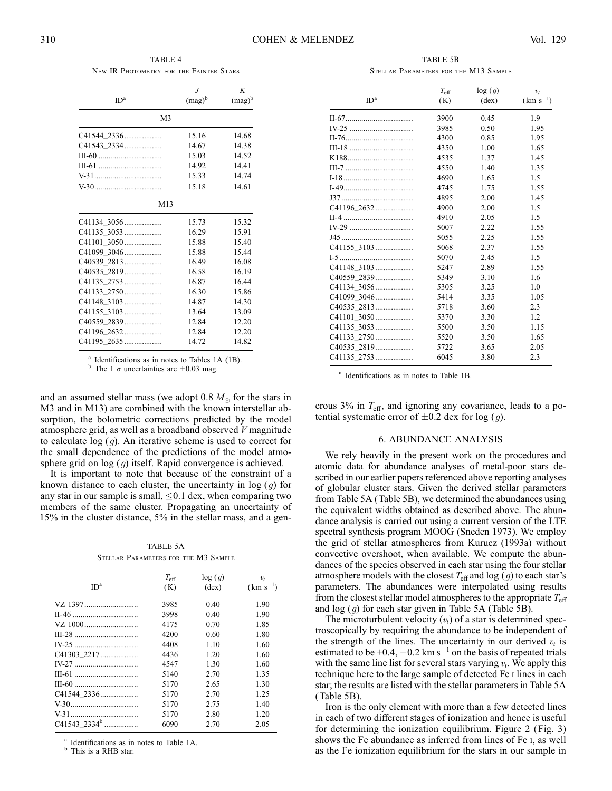TABLE 4 New IR Photometry for the Fainter Stars

| ID <sup>a</sup> | $\cdot$<br>$(mag)^b$ | K<br>$(mag)^b$ |  |  |  |  |  |  |  |  |  |
|-----------------|----------------------|----------------|--|--|--|--|--|--|--|--|--|
|                 |                      |                |  |  |  |  |  |  |  |  |  |
| M <sub>3</sub>  |                      |                |  |  |  |  |  |  |  |  |  |
| C41544_2336     | 15.16                | 14.68          |  |  |  |  |  |  |  |  |  |
| C41543_2334     | 14.67                | 14.38          |  |  |  |  |  |  |  |  |  |
|                 | 15.03                | 14.52          |  |  |  |  |  |  |  |  |  |
|                 | 14.92                | 14.41          |  |  |  |  |  |  |  |  |  |
|                 | 15.33                | 14.74          |  |  |  |  |  |  |  |  |  |
|                 | 15.18                | 14.61          |  |  |  |  |  |  |  |  |  |
| M13             |                      |                |  |  |  |  |  |  |  |  |  |
| C41134 3056     | 15.73                | 15.32          |  |  |  |  |  |  |  |  |  |
| C41135 3053     | 16.29                | 15.91          |  |  |  |  |  |  |  |  |  |
| C41101_3050     | 15.88                | 15.40          |  |  |  |  |  |  |  |  |  |
| C41099_3046     | 15.88                | 15.44          |  |  |  |  |  |  |  |  |  |
| C40539 2813     | 16.49                | 16.08          |  |  |  |  |  |  |  |  |  |
| C40535 2819     | 16.58                | 16.19          |  |  |  |  |  |  |  |  |  |
| C41135 2753     | 16.87                | 16.44          |  |  |  |  |  |  |  |  |  |
| C41133 2750     | 16.30                | 15.86          |  |  |  |  |  |  |  |  |  |
| C41148 3103     | 14.87                | 14.30          |  |  |  |  |  |  |  |  |  |
| C41155 3103     | 13.64                | 13.09          |  |  |  |  |  |  |  |  |  |
| C40559 2839     | 12.84                | 12.20          |  |  |  |  |  |  |  |  |  |
|                 | 12.84                | 12.20          |  |  |  |  |  |  |  |  |  |
| C41195 2635     | 14.72                | 14.82          |  |  |  |  |  |  |  |  |  |
|                 |                      |                |  |  |  |  |  |  |  |  |  |

<sup>a</sup> Identifications as in notes to Tables 1A (1B).<br><sup>b</sup> The 1  $\sigma$  uncertainties are  $\pm 0.03$  mag.

and an assumed stellar mass (we adopt 0.8  $M_{\odot}$  for the stars in M3 and in M13) are combined with the known interstellar absorption, the bolometric corrections predicted by the model atmosphere grid, as well as a broadband observed V magnitude to calculate  $log(g)$ . An iterative scheme is used to correct for the small dependence of the predictions of the model atmosphere grid on  $log(q)$  itself. Rapid convergence is achieved.

It is important to note that because of the constraint of a known distance to each cluster, the uncertainty in  $log(g)$  for any star in our sample is small,  $\leq 0.1$  dex, when comparing two members of the same cluster. Propagating an uncertainty of 15% in the cluster distance, 5% in the stellar mass, and a gen-

TABLE 5A Stellar Parameters for the M3 Sample

| ID <sup>a</sup>   | $T_{\rm eff}$<br>(K) | log(g)<br>$(\text{dex})$ | $v_t$<br>$(km s^{-1})$ |
|-------------------|----------------------|--------------------------|------------------------|
|                   | 3985                 | 0.40                     | 1.90                   |
|                   | 3998                 | 0.40                     | 1.90                   |
| VZ 1000           | 4175                 | 0.70                     | 1.85                   |
|                   | 4200                 | 0.60                     | 1.80                   |
|                   | 4408                 | 1.10                     | 1.60                   |
| C41303_2217       | 4436                 | 1.20                     | 1.60                   |
| IV-27             | 4547                 | 1.30                     | 1.60                   |
|                   | 5140                 | 2.70                     | 1.35                   |
|                   | 5170                 | 2.65                     | 1.30                   |
| C41544 2336       | 5170                 | 2.70                     | 1.25                   |
|                   | 5170                 | 2.75                     | 1.40                   |
|                   | 5170                 | 2.80                     | 1.20                   |
| $C41543$ $2334^b$ | 6090                 | 2.70                     | 2.05                   |
|                   |                      |                          |                        |

 $a<sup>b</sup>$  Identifications as in notes to Table 1A.<br> $b<sup>b</sup>$  This is a RHB star.

TABLE 5B Stellar Parameters for the M13 Sample

| ID <sup>a</sup> | $T_{\rm eff}$<br>(K) | log(g)<br>$(\text{dex})$ | $v_t$<br>$(km s^{-1})$ |
|-----------------|----------------------|--------------------------|------------------------|
|                 | 3900                 | 0.45                     | 1.9                    |
|                 | 3985                 | 0.50                     | 1.95                   |
|                 | 4300                 | 0.85                     | 1.95                   |
|                 | 4350                 | 1.00                     | 1.65                   |
|                 | 4535                 | 1.37                     | 1.45                   |
|                 | 4550                 | 1.40                     | 1.35                   |
|                 | 4690                 | 1.65                     | 1.5                    |
|                 | 4745                 | 1.75                     | 1.55                   |
|                 | 4895                 | 2.00                     | 1.45                   |
| C41196_2632     | 4900                 | 2.00                     | 1.5                    |
|                 | 4910                 | 2.05                     | 1.5                    |
|                 | 5007                 | 2.22                     | 1.55                   |
|                 | 5055                 | 2.25                     | 1.55                   |
| C41155_3103     | 5068                 | 2.37                     | 1.55                   |
|                 | 5070                 | 2.45                     | 1.5                    |
| C41148_3103     | 5247                 | 2.89                     | 1.55                   |
| C40559 2839     | 5349                 | 3.10                     | 1.6                    |
| C41134_3056     | 5305                 | 3.25                     | 1.0                    |
| C41099_3046     | 5414                 | 3.35                     | 1.05                   |
| C40535_2813     | 5718                 | 3.60                     | 2.3                    |
| C41101_3050     | 5370                 | 3.30                     | 1.2                    |
| C41135 3053     | 5500                 | 3.50                     | 1.15                   |
| C41133 2750     | 5520                 | 3.50                     | 1.65                   |
| C40535 2819     | 5722                 | 3.65                     | 2.05                   |
| C41135 2753     | 6045                 | 3.80                     | 2.3                    |

Identifications as in notes to Table 1B.

erous  $3\%$  in  $T_{\text{eff}}$ , and ignoring any covariance, leads to a potential systematic error of  $\pm 0.2$  dex for log (g).

### 6. ABUNDANCE ANALYSIS

We rely heavily in the present work on the procedures and atomic data for abundance analyses of metal-poor stars described in our earlier papers referenced above reporting analyses of globular cluster stars. Given the derived stellar parameters from Table 5A (Table 5B), we determined the abundances using the equivalent widths obtained as described above. The abundance analysis is carried out using a current version of the LTE spectral synthesis program MOOG (Sneden 1973). We employ the grid of stellar atmospheres from Kurucz (1993a) without convective overshoot, when available. We compute the abundances of the species observed in each star using the four stellar atmosphere models with the closest  $T_{\text{eff}}$  and log (g) to each star's parameters. The abundances were interpolated using results from the closest stellar model atmospheres to the appropriate  $T_{\text{eff}}$ and log (g) for each star given in Table 5A (Table 5B).

The microturbulent velocity  $(v_t)$  of a star is determined spectroscopically by requiring the abundance to be independent of the strength of the lines. The uncertainty in our derived  $v_t$  is estimated to be +0.4,  $-0.2$  km s<sup>-1</sup> on the basis of repeated trials with the same line list for several stars varying  $v_t$ . We apply this technique here to the large sample of detected Fe i lines in each star; the results are listed with the stellar parameters in Table 5A (Table 5B).

Iron is the only element with more than a few detected lines in each of two different stages of ionization and hence is useful for determining the ionization equilibrium. Figure 2 (Fig. 3) shows the Fe abundance as inferred from lines of Fe i, as well as the Fe ionization equilibrium for the stars in our sample in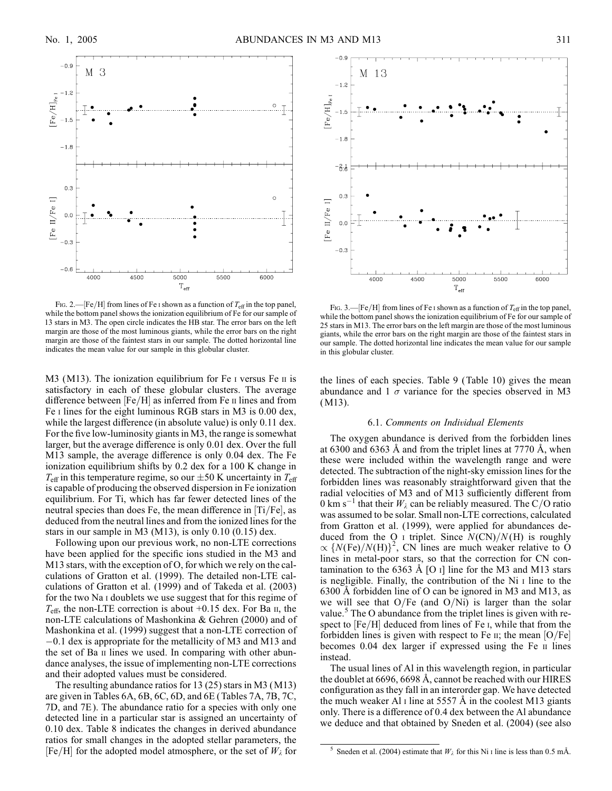

FIG. 2.—[Fe/H] from lines of Fe I shown as a function of  $T_{\text{eff}}$  in the top panel, while the bottom panel shows the ionization equilibrium of Fe for our sample of 13 stars in M3. The open circle indicates the HB star. The error bars on the left margin are those of the most luminous giants, while the error bars on the right margin are those of the faintest stars in our sample. The dotted horizontal line indicates the mean value for our sample in this globular cluster.

M3 (M13). The ionization equilibrium for Fe  $\mu$  versus Fe  $\mu$  is satisfactory in each of these globular clusters. The average difference between  $[Fe/H]$  as inferred from Fe  $\scriptstyle\rm II$  lines and from Fe i lines for the eight luminous RGB stars in M3 is 0.00 dex, while the largest difference (in absolute value) is only 0.11 dex. For the five low-luminosity giants in M3, the range is somewhat larger, but the average difference is only 0.01 dex. Over the full M13 sample, the average difference is only 0.04 dex. The Fe ionization equilibrium shifts by 0.2 dex for a 100 K change in  $T_{\text{eff}}$  in this temperature regime, so our  $\pm 50$  K uncertainty in  $T_{\text{eff}}$ is capable of producing the observed dispersion in Fe ionization equilibrium. For Ti, which has far fewer detected lines of the neutral species than does Fe, the mean difference in  $[Ti/Fe]$ , as deduced from the neutral lines and from the ionized lines for the stars in our sample in M3 (M13), is only 0.10 (0.15) dex.

Following upon our previous work, no non-LTE corrections have been applied for the specific ions studied in the M3 and M13 stars, with the exception of O, for which we rely on the calculations of Gratton et al. (1999). The detailed non-LTE calculations of Gratton et al. (1999) and of Takeda et al. (2003) for the two Na i doublets we use suggest that for this regime of  $T_{\text{eff}}$ , the non-LTE correction is about +0.15 dex. For Ba  $\text{II}$ , the non-LTE calculations of Mashonkina & Gehren (2000) and of Mashonkina et al. (1999) suggest that a non-LTE correction of -0.1 dex is appropriate for the metallicity of M3 and M13 and the set of Ba ii lines we used. In comparing with other abundance analyses, the issue of implementing non-LTE corrections and their adopted values must be considered.

The resulting abundance ratios for 13 (25) stars in M3 (M13) are given in Tables 6A, 6B, 6C, 6D, and 6E (Tables 7A, 7B, 7C, 7D, and 7E). The abundance ratio for a species with only one detected line in a particular star is assigned an uncertainty of 0.10 dex. Table 8 indicates the changes in derived abundance ratios for small changes in the adopted stellar parameters, the  $[Fe/H]$  for the adopted model atmosphere, or the set of  $W_i$  for



FIG. 3.—[Fe/H] from lines of Fe I shown as a function of  $T_{\text{eff}}$  in the top panel, while the bottom panel shows the ionization equilibrium of Fe for our sample of 25 stars in M13. The error bars on the left margin are those of the most luminous giants, while the error bars on the right margin are those of the faintest stars in our sample. The dotted horizontal line indicates the mean value for our sample in this globular cluster.

the lines of each species. Table 9 (Table 10) gives the mean abundance and 1  $\sigma$  variance for the species observed in M3 (M13).

### 6.1. Comments on Individual Elements

The oxygen abundance is derived from the forbidden lines at 6300 and 6363 Å and from the triplet lines at 7770 Å, when these were included within the wavelength range and were detected. The subtraction of the night-sky emission lines for the forbidden lines was reasonably straightforward given that the radial velocities of M3 and of M13 sufficiently different from 0 km s<sup>-1</sup> that their  $W_{\lambda}$  can be reliably measured. The C/O ratio was assumed to be solar. Small non-LTE corrections, calculated from Gratton et al. (1999), were applied for abundances deduced from the O I triplet. Since  $N(CN)/N(H)$  is roughly  $\propto \{N(\text{Fe})/N(\text{H})\}^2$ , CN lines are much weaker relative to O lines in metal-poor stars, so that the correction for CN contamination to the 6363 Å [O  $_{\rm I}$ ] line for the M3 and M13 stars is negligible. Finally, the contribution of the Ni i line to the 6300 8 forbidden line of O can be ignored in M3 and M13, as we will see that  $O/Fe$  (and  $O/Ni$ ) is larger than the solar value.<sup>5</sup> The O abundance from the triplet lines is given with respect to  $[Fe/H]$  deduced from lines of Fe I, while that from the forbidden lines is given with respect to Fe  $\pi$ ; the mean [O/Fe] becomes 0.04 dex larger if expressed using the Fe ii lines instead.

The usual lines of Al in this wavelength region, in particular the doublet at  $6696, 6698 \text{ Å}$ , cannot be reached with our HIRES configuration as they fall in an interorder gap. We have detected the much weaker Al  $\scriptstyle\rm I$  line at 5557 Å in the coolest M13 giants only. There is a difference of 0.4 dex between the Al abundance we deduce and that obtained by Sneden et al. (2004) (see also

<sup>&</sup>lt;sup>5</sup> Sneden et al. (2004) estimate that  $W_{\lambda}$  for this Ni I line is less than 0.5 mÅ.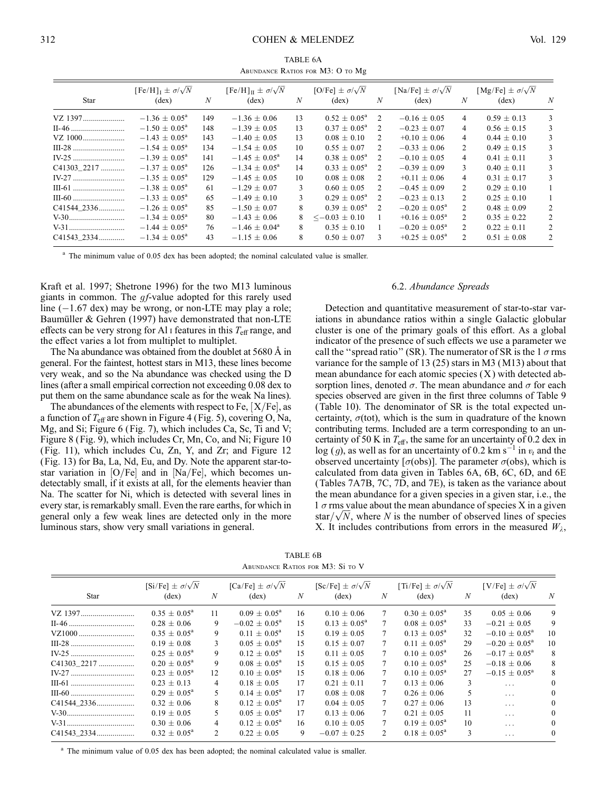TABLE 6A ABUNDANCE RATIOS FOR M3: O TO Mg

| Star        | $[Fe/H]_I \pm \sigma/\sqrt{N}$<br>$(\text{dex})$ | N   | $[Fe/H]_{II} \pm \sigma/\sqrt{N}$<br>$(\text{dex})$ | N  | $[O/Fe] \pm \sigma/\sqrt{N}$<br>$(\text{dex})$ | N              | [Na/Fe] $\pm \sigma/\sqrt{N}$<br>$(\text{dex})$ | $\boldsymbol{N}$ | [Mg/Fe] $\pm \sigma/\sqrt{N}$<br>$(\text{dex})$ | N              |
|-------------|--------------------------------------------------|-----|-----------------------------------------------------|----|------------------------------------------------|----------------|-------------------------------------------------|------------------|-------------------------------------------------|----------------|
| VZ 1397     | $-1.36 + 0.05^{\circ}$                           | 149 | $-1.36 \pm 0.06$                                    | 13 | $0.52 + 0.05^{\rm a}$                          | $\mathcal{L}$  | $-0.16 + 0.05$                                  | $\overline{4}$   | $0.59 \pm 0.13$                                 | 3              |
|             | $-1.50 \pm 0.05^{\text{a}}$                      | 148 | $-1.39 \pm 0.05$                                    | 13 | $0.37 + 0.05^{\rm a}$                          | $\mathcal{L}$  | $-0.23 \pm 0.07$                                | $\overline{4}$   | $0.56 \pm 0.15$                                 | 3              |
| VZ 1000     | $-1.43 \pm 0.05^{\circ}$                         | 143 | $-1.40 \pm 0.05$                                    | 13 | $0.08 \pm 0.10$                                | $\mathcal{L}$  | $+0.10 \pm 0.06$                                | 4                | $0.44 \pm 0.10$                                 | $\mathbf{3}$   |
|             | $-1.54 \pm 0.05^{\text{a}}$                      | 134 | $-1.54 \pm 0.05$                                    | 10 | $0.55 \pm 0.07$                                | 2              | $-0.33 \pm 0.06$                                | 2                | $0.49 \pm 0.15$                                 | 3              |
|             | $-1.39 + 0.05^{\text{a}}$                        | 141 | $-1.45 \pm 0.05^{\text{a}}$                         | 14 | $0.38 \pm 0.05^{\rm a}$                        | $\mathcal{L}$  | $-0.10 + 0.05$                                  | 4                | $0.41 \pm 0.11$                                 | 3              |
| C41303 2217 | $-1.37 \pm 0.05^{\circ}$                         | 126 | $-1.34 \pm 0.05^{\circ}$                            | 14 | $0.33 + 0.05^{\rm a}$                          | $\mathcal{L}$  | $-0.39 + 0.09$                                  | 3                | $0.40 + 0.11$                                   | 3              |
|             | $-1.35 \pm 0.05^{\text{a}}$                      | 129 | $-1.45 \pm 0.05$                                    | 10 | $0.08 \pm 0.08$                                | $\mathcal{L}$  | $+0.11 \pm 0.06$                                | 4                | $0.31 \pm 0.17$                                 | 3              |
|             | $-1.38 + 0.05^{\text{a}}$                        | 61  | $-1.29 + 0.07$                                      | 3  | $0.60 + 0.05$                                  | $\mathcal{L}$  | $-0.45 \pm 0.09$                                | $\mathcal{L}$    | $0.29 + 0.10$                                   |                |
|             | $-1.33 + 0.05^{\text{a}}$                        | 65  | $-1.49 \pm 0.10$                                    | 3  | $0.29 \pm 0.05^{\rm a}$                        | $\mathcal{L}$  | $-0.23 \pm 0.13$                                | $\mathcal{L}$    | $0.25 \pm 0.10$                                 |                |
| C41544 2336 | $-1.26 + 0.05^{\text{a}}$                        | 85  | $-1.50 \pm 0.07$                                    | 8  | $0.39 + 0.05^{\rm a}$                          | $\overline{2}$ | $-0.20 + 0.05^{\text{a}}$                       | $\mathfrak{D}$   | $0.48 \pm 0.09$                                 | 2              |
|             | $-1.34 \pm 0.05^{\text{a}}$                      | 80  | $-1.43 \pm 0.06$                                    | 8. | $<-0.03 \pm 0.10$                              |                | $+0.16 \pm 0.05^{\text{a}}$                     | $\mathfrak{D}$   | $0.35 \pm 0.22$                                 | $\overline{2}$ |
| V-31        | $-1.44 + 0.05^{\text{a}}$                        | 76  | $-1.46 \pm 0.04^{\circ}$                            | 8  | $0.35 + 0.10$                                  |                | $-0.20 + 0.05^{\text{a}}$                       | $\mathcal{L}$    | $0.22 + 0.11$                                   | 2              |
| C41543 2334 | $-1.34 + 0.05^{\text{a}}$                        | 43  | $-1.15 \pm 0.06$                                    | 8  | $0.50 + 0.07$                                  | $\mathcal{F}$  | $+0.25 + 0.05^{\text{a}}$                       | $\mathfrak{D}$   | $0.51 \pm 0.08$                                 | 2              |

Kraft et al. 1997; Shetrone 1996) for the two M13 luminous giants in common. The  $gf$ -value adopted for this rarely used line  $(-1.67 \text{ dex})$  may be wrong, or non-LTE may play a role; Baumüller & Gehren (1997) have demonstrated that non-LTE effects can be very strong for Al  $\scriptstyle I$  features in this  $T_{\rm eff}$  range, and the effect varies a lot from multiplet to multiplet.

The Na abundance was obtained from the doublet at 5680 Å in general. For the faintest, hottest stars in M13, these lines become very weak, and so the Na abundance was checked using the D lines (after a small empirical correction not exceeding 0.08 dex to put them on the same abundance scale as for the weak Na lines).

The abundances of the elements with respect to Fe,  $[X/Fe]$ , as a function of  $T_{\text{eff}}$  are shown in Figure 4 (Fig. 5), covering O, Na, Mg, and Si; Figure 6 (Fig. 7), which includes Ca, Sc, Ti and V; Figure 8 (Fig. 9), which includes Cr, Mn, Co, and Ni; Figure 10 (Fig. 11), which includes Cu, Zn, Y, and Zr; and Figure 12 (Fig. 13) for Ba, La, Nd, Eu, and Dy. Note the apparent star-tostar variation in  $[O/Fe]$  and in  $[Na/Fe]$ , which becomes undetectably small, if it exists at all, for the elements heavier than Na. The scatter for Ni, which is detected with several lines in every star, is remarkably small. Even the rare earths, for which in general only a few weak lines are detected only in the more luminous stars, show very small variations in general.

### 6.2. Abundance Spreads

Detection and quantitative measurement of star-to-star variations in abundance ratios within a single Galactic globular cluster is one of the primary goals of this effort. As a global indicator of the presence of such effects we use a parameter we call the "spread ratio" (SR). The numerator of SR is the 1  $\sigma$  rms variance for the sample of 13 (25) stars in M3 (M13) about that mean abundance for each atomic species  $(X)$  with detected absorption lines, denoted  $\sigma$ . The mean abundance and  $\sigma$  for each species observed are given in the first three columns of Table 9 (Table 10). The denominator of SR is the total expected uncertainty,  $\sigma$ (tot), which is the sum in quadrature of the known contributing terms. Included are a term corresponding to an uncertainty of 50 K in  $T_{\text{eff}}$ , the same for an uncertainty of 0.2 dex in log (g), as well as for an uncertainty of 0.2 km s<sup>-1</sup> in  $v_t$  and the observed uncertainty [ $\sigma$ (obs)]. The parameter  $\sigma$ (obs), which is calculated from data given in Tables 6A, 6B, 6C, 6D, and 6E (Tables 7A7B, 7C, 7D, and 7E), is taken as the variance about the mean abundance for a given species in a given star, i.e., the 1  $\sigma$  rms value about the mean abundance of species X in a given  $\frac{1}{\sigma}$  or fins value about the mean abundance of species X in a given star  $\sqrt{N}$ , where N is the number of observed lines of species X. It includes contributions from errors in the measured  $W_{\lambda}$ ,

TABLE 6B Abundance Ratios for M3: Si to V

| <b>Star</b> | $[Si/Fe] \pm \sigma/\sqrt{N}$<br>$(\text{dex})$ | $\boldsymbol{N}$ | $\lceil Ca/Fe\rceil \pm \sigma/\sqrt{N}$<br>$(\text{dex})$ | $\boldsymbol{N}$ | $[Sc/Fe] \pm \sigma/\sqrt{N}$<br>$(\text{dex})$ | $\boldsymbol{N}$                                                                                                                                                                                                                                                                                                                                                                                            | $[Ti/Fe] \pm \sigma/\sqrt{N}$<br>$(\text{dex})$ | N  | $[V/Fe] \pm \sigma/\sqrt{N}$<br>$(\text{dex})$ | N  |
|-------------|-------------------------------------------------|------------------|------------------------------------------------------------|------------------|-------------------------------------------------|-------------------------------------------------------------------------------------------------------------------------------------------------------------------------------------------------------------------------------------------------------------------------------------------------------------------------------------------------------------------------------------------------------------|-------------------------------------------------|----|------------------------------------------------|----|
|             | $0.35 \pm 0.05^{\rm a}$                         | 11               | $0.09 \pm 0.05^{\text{a}}$                                 | 16               | $0.10 \pm 0.06$                                 | 7                                                                                                                                                                                                                                                                                                                                                                                                           | $0.30 \pm 0.05^{\text{a}}$                      | 35 | $0.05 \pm 0.06$                                | 9  |
|             | $0.28 + 0.06$                                   | 9                | $-0.02 \pm 0.05^{\text{a}}$                                | 15               | $0.13 + 0.05^{\text{a}}$                        | 7                                                                                                                                                                                                                                                                                                                                                                                                           | $0.08 + 0.05^{\text{a}}$                        | 33 | $-0.21 + 0.05$                                 | 9  |
|             | $0.35 + 0.05^{\text{a}}$                        | 9                | $0.11 \pm 0.05^{\rm a}$                                    | 15               | $0.19 + 0.05$                                   |                                                                                                                                                                                                                                                                                                                                                                                                             | $0.13 + 0.05^{\text{a}}$                        | 32 | $-0.10 + 0.05^{\text{a}}$                      | 10 |
|             | $0.19 + 0.08$                                   | 3                | $0.05 \pm 0.05^{\text{a}}$                                 | 15               | $0.15 \pm 0.07$                                 |                                                                                                                                                                                                                                                                                                                                                                                                             | $0.11 + 0.05^{\text{a}}$                        | 29 | $-0.20 \pm 0.05^{\text{a}}$                    | 10 |
|             | $0.25 + 0.05^{\text{a}}$                        | 9                | $0.12 + 0.05^{\text{a}}$                                   | 15               | $0.11 \pm 0.05$                                 | 7                                                                                                                                                                                                                                                                                                                                                                                                           | $0.10 + 0.05^{\text{a}}$                        | 26 | $-0.17 + 0.05^{\text{a}}$                      | 8  |
| C41303 2217 | $0.20 + 0.05^{\rm a}$                           | 9                | $0.08 + 0.05^{\rm a}$                                      | 15               | $0.15 \pm 0.05$                                 |                                                                                                                                                                                                                                                                                                                                                                                                             | $0.10 + 0.05^{\text{a}}$                        | 25 | $-0.18 \pm 0.06$                               |    |
|             | $0.23 + 0.05^{\text{a}}$                        | 12               | $0.10 + 0.05^{\rm a}$                                      | 15               | $0.18 \pm 0.06$                                 |                                                                                                                                                                                                                                                                                                                                                                                                             | $0.10 + 0.05^{\text{a}}$                        | 27 | $-0.15 \pm 0.05^{\circ}$                       | 8  |
|             | $0.23 \pm 0.13$                                 | 4                | $0.18 \pm 0.05$                                            | 17               | $0.21 \pm 0.11$                                 |                                                                                                                                                                                                                                                                                                                                                                                                             | $0.13 \pm 0.06$                                 | 3  | $\cdots$                                       |    |
|             | $0.29 + 0.05^{\text{a}}$                        | 5.               | $0.14 \pm 0.05^{\rm a}$                                    | 17               | $0.08 \pm 0.08$                                 | 7                                                                                                                                                                                                                                                                                                                                                                                                           | $0.26 + 0.06$                                   | 5. | $\cdots$                                       |    |
| C41544_2336 | $0.32 \pm 0.06$                                 | 8                | $0.12 + 0.05^{\rm a}$                                      | 17               | $0.04 + 0.05$                                   |                                                                                                                                                                                                                                                                                                                                                                                                             | $0.27 + 0.06$                                   | 13 | $\cdots$                                       |    |
|             | $0.19 \pm 0.05$                                 |                  | $0.05 \pm 0.05^{\rm a}$                                    | 17               | $0.13 \pm 0.06$                                 |                                                                                                                                                                                                                                                                                                                                                                                                             | $0.21 \pm 0.05$                                 | 11 | $\cdots$                                       |    |
|             | $0.30 + 0.06$                                   | 4                | $0.12 \pm 0.05^{\text{a}}$                                 | 16               | $0.10 \pm 0.05$                                 |                                                                                                                                                                                                                                                                                                                                                                                                             | $0.19 + 0.05^{\text{a}}$                        | 10 | $\cdots$                                       |    |
| C41543 2334 | $0.32 + 0.05^{\circ}$                           | 2                | $0.22 \pm 0.05$                                            | 9                | $-0.07 + 0.25$                                  | $\mathfrak{D}_{1}^{(1)} = \mathfrak{D}_{2}^{(1)} = \mathfrak{D}_{2}^{(1)} = \mathfrak{D}_{2}^{(1)} = \mathfrak{D}_{2}^{(1)} = \mathfrak{D}_{2}^{(1)} = \mathfrak{D}_{2}^{(1)} = \mathfrak{D}_{2}^{(1)} = \mathfrak{D}_{2}^{(1)} = \mathfrak{D}_{2}^{(1)} = \mathfrak{D}_{2}^{(1)} = \mathfrak{D}_{2}^{(1)} = \mathfrak{D}_{2}^{(1)} = \mathfrak{D}_{2}^{(1)} = \mathfrak{D}_{2}^{(1)} = \mathfrak{D}_{2}^{$ | $0.18 + 0.05^{\text{a}}$                        | 3  | $\cdots$                                       |    |
|             |                                                 |                  |                                                            |                  |                                                 |                                                                                                                                                                                                                                                                                                                                                                                                             |                                                 |    |                                                |    |

<sup>a</sup> The minimum value of 0.05 dex has been adopted; the nominal calculated value is smaller.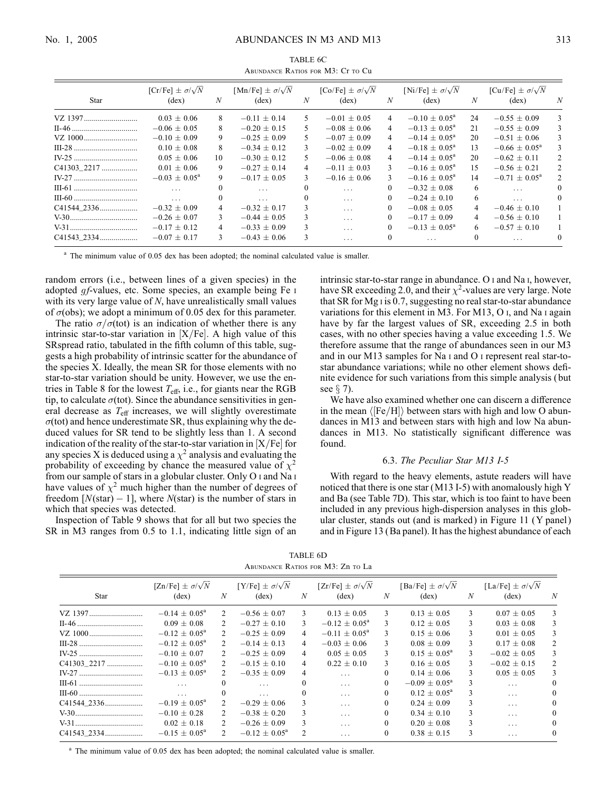| $[Cr/Fe] \pm \sigma/\sqrt{N}$<br>$(\text{dex})$ | N  | [Mn/Fe] $\pm \sigma/\sqrt{N}$<br>$(\text{dex})$ | N  | $[Co/Fe] \pm \sigma/\sqrt{N}$<br>$(\text{dex})$ | N        | [Ni/Fe] $\pm \sigma/\sqrt{N}$<br>$(\text{dex})$ | N  | $\lceil Cu/Fe \rceil \pm \sigma/\sqrt{N} \rceil$<br>$(\text{dex})$ | N              |  |  |  |
|-------------------------------------------------|----|-------------------------------------------------|----|-------------------------------------------------|----------|-------------------------------------------------|----|--------------------------------------------------------------------|----------------|--|--|--|
| $0.03 + 0.06$                                   | 8  | $-0.11 \pm 0.14$                                | 5. | $-0.01 \pm 0.05$                                | 4        | $-0.10 \pm 0.05^{\text{a}}$                     | 24 | $-0.55 \pm 0.09$                                                   | 3              |  |  |  |
| $-0.06 + 0.05$                                  | 8  | $-0.20 + 0.15$                                  | 5. | $-0.08 + 0.06$                                  | 4        | $-0.13 + 0.05^{\text{a}}$                       | 21 | $-0.55 \pm 0.09$                                                   | 3              |  |  |  |
| $-0.10 + 0.09$                                  | 9  | $-0.25 + 0.09$                                  | 5  | $-0.07 + 0.09$                                  | 4        | $-0.14 + 0.05^{\text{a}}$                       | 20 | $-0.51 \pm 0.06$                                                   | 3              |  |  |  |
| $0.10 \pm 0.08$                                 | 8  | $-0.34 + 0.12$                                  | 3  | $-0.02 + 0.09$                                  | 4        | $-0.18 + 0.05^{\text{a}}$                       | 13 | $-0.66 \pm 0.05^{\circ}$                                           | 3              |  |  |  |
| $0.05 + 0.06$                                   | 10 | $-0.30 + 0.12$                                  | 5. | $-0.06 + 0.08$                                  | 4        | $-0.14 \pm 0.05^{\text{a}}$                     | 20 | $-0.62 + 0.11$                                                     | $\mathfrak{D}$ |  |  |  |
| $0.01 \pm 0.06$                                 | 9  | $-0.27 \pm 0.14$                                | 4  | $-0.11 \pm 0.03$                                | 3        | $-0.16 + 0.05^{\text{a}}$                       | 15 | $-0.56 \pm 0.21$                                                   | 2              |  |  |  |
| $-0.03 + 0.05^{\text{a}}$                       | 9  | $-0.17 + 0.05$                                  | 3  | $-0.16 + 0.06$                                  | 3        | $-0.16 + 0.05^{\text{a}}$                       | 14 | $-0.71 + 0.05^{\circ}$                                             | 2              |  |  |  |
| $\cdots$                                        | 0  | .                                               |    | $\cdots$                                        | $\theta$ | $-0.32 + 0.08$                                  | 6  | .                                                                  | $\Omega$       |  |  |  |
| $\cdots$                                        |    | $\cdots$                                        |    | $\cdots$                                        | $\Omega$ | $-0.24 \pm 0.10$                                | 6  | $\cdots$                                                           | 0              |  |  |  |
| $-0.32 + 0.09$                                  | 4  | $-0.32 \pm 0.17$                                |    | $\cdots$                                        | 0        | $-0.08 + 0.05$                                  | 4  | $-0.46 \pm 0.10$                                                   |                |  |  |  |
| $-0.26 \pm 0.07$                                | 3  | $-0.44 \pm 0.05$                                | 3  | $\cdots$                                        | 0        | $-0.17 \pm 0.09$                                | 4  | $-0.56 \pm 0.10$                                                   |                |  |  |  |
| $-0.17 + 0.12$                                  | 4  | $-0.33 \pm 0.09$                                | 3  | $\cdots$                                        | $\Omega$ | $-0.13 + 0.05^{\text{a}}$                       | 6  | $-0.57 \pm 0.10$                                                   |                |  |  |  |
| $-0.07 + 0.17$                                  | 3  | $-0.43 + 0.06$                                  | 3  | $\cdots$                                        | $\Omega$ | $\cdots$                                        |    | .                                                                  | $\Omega$       |  |  |  |
|                                                 |    |                                                 |    |                                                 |          |                                                 |    |                                                                    |                |  |  |  |

TABLE 6C Abundance Ratios for M3: Cr to Cu

random errors (i.e., between lines of a given species) in the adopted  $gf$ -values, etc. Some species, an example being Fe  $\scriptstyle\rm I$ with its very large value of  $N$ , have unrealistically small values of  $\sigma$ (obs); we adopt a minimum of 0.05 dex for this parameter.

The ratio  $\sigma/\sigma$ (tot) is an indication of whether there is any intrinsic star-to-star variation in  $[X/Fe]$ . A high value of this SRspread ratio, tabulated in the fifth column of this table, suggests a high probability of intrinsic scatter for the abundance of the species X. Ideally, the mean SR for those elements with no star-to-star variation should be unity. However, we use the entries in Table 8 for the lowest  $T_{\text{eff}}$ , i.e., for giants near the RGB tip, to calculate  $\sigma$ (tot). Since the abundance sensitivities in general decrease as  $T_{\text{eff}}$  increases, we will slightly overestimate  $\sigma$ (tot) and hence underestimate SR, thus explaining why the deduced values for SR tend to be slightly less than 1. A second indication of the reality of the star-to-star variation in  $[X/Fe]$  for any species X is deduced using a  $\chi^2$  analysis and evaluating the probability of exceeding by chance the measured value of  $\chi^2$ from our sample of stars in a globular cluster. Only O i and Na i have values of  $\chi^2$  much higher than the number of degrees of freedom  $[N(\text{star}) - 1]$ , where  $N(\text{star})$  is the number of stars in which that species was detected.

Inspection of Table 9 shows that for all but two species the SR in M3 ranges from 0.5 to 1.1, indicating little sign of an

intrinsic star-to-star range in abundance. O i and Na i, however, have SR exceeding 2.0, and their  $\chi^2$ -values are very large. Note that SR for Mg i is 0.7, suggesting no real star-to-star abundance variations for this element in M3. For M13, O i, and Na i again have by far the largest values of SR, exceeding 2.5 in both cases, with no other species having a value exceeding 1.5. We therefore assume that the range of abundances seen in our M3 and in our M13 samples for Na i and O i represent real star-tostar abundance variations; while no other element shows definite evidence for such variations from this simple analysis ( but see  $\S$  7).

We have also examined whether one can discern a difference in the mean  $\langle [Fe/H] \rangle$  between stars with high and low O abundances in M13 and between stars with high and low Na abundances in M13. No statistically significant difference was found.

### 6.3. The Peculiar Star M13 I-5

With regard to the heavy elements, astute readers will have noticed that there is one star (M13 I-5) with anomalously high Y and Ba (see Table 7D). This star, which is too faint to have been included in any previous high-dispersion analyses in this globular cluster, stands out (and is marked) in Figure 11 (Y panel) and in Figure 13 (Ba panel). It has the highest abundance of each

TABLE 6D Abundance Ratios for M3: Zn to La

|             |                                                 |               |                                                |                | THROUGHLE IVATION FOR 1919. EH TO EX                   |   |                                                 |               |                                                 |                    |
|-------------|-------------------------------------------------|---------------|------------------------------------------------|----------------|--------------------------------------------------------|---|-------------------------------------------------|---------------|-------------------------------------------------|--------------------|
| Star        | $[Zn/Fe] \pm \sigma/\sqrt{N}$<br>$(\text{dex})$ | N             | $[Y/Fe] \pm \sigma/\sqrt{N}$<br>$(\text{dex})$ | N              | $[\text{Zr/Fe}] \pm \sigma/\sqrt{N}$<br>$(\text{dex})$ | N | [Ba/Fe] $\pm \sigma/\sqrt{N}$<br>$(\text{dex})$ | N             | [La/Fe] $\pm \sigma/\sqrt{N}$<br>$(\text{dex})$ | N                  |
| VZ 1397     | $-0.14 + 0.05^{\text{a}}$                       | $2^{1}$       | $-0.56 + 0.07$                                 | 3              | $0.13 + 0.05$                                          | 3 | $0.13 + 0.05$                                   | 3             | $0.07 + 0.05$                                   | 3                  |
|             | $0.09 + 0.08$                                   | $\mathcal{L}$ | $-0.27 + 0.10$                                 | 3              | $-0.12 + 0.05^{\text{a}}$                              | 3 | $0.12 + 0.05$                                   | 3             | $0.03 + 0.08$                                   | 3                  |
|             | $-0.12 + 0.05^{\text{a}}$                       | $\mathcal{L}$ | $-0.25 + 0.09$                                 | $\overline{4}$ | $-0.11 + 0.05^{\text{a}}$                              | 3 | $0.15 \pm 0.06$                                 | 3             | $0.01 \pm 0.05$                                 | 3                  |
|             | $-0.12 + 0.05^{\text{a}}$                       | 2             | $-0.14 + 0.13$                                 | $\overline{4}$ | $-0.03 + 0.06$                                         | 3 | $0.08 \pm 0.09$                                 | 3             | $0.17 + 0.08$                                   | 2                  |
|             | $-0.10 + 0.07$                                  | $\mathcal{L}$ | $-0.25 + 0.09$                                 | $\overline{4}$ | $0.05 + 0.05$                                          | 3 | $0.15 + 0.05^{\text{a}}$                        | $\mathcal{F}$ | $-0.02 + 0.05$                                  | 3                  |
| C41303 2217 | $-0.10 \pm 0.05^{\text{a}}$                     | 2             | $-0.15 + 0.10$                                 | $\overline{4}$ | $0.22 + 0.10$                                          | 3 | $0.16 \pm 0.05$                                 | 3             | $-0.02 \pm 0.15$                                | $\mathfrak{D}_{1}$ |
|             | $-0.13 \pm 0.05^{\circ}$                        | 2             | $-0.35 + 0.09$                                 | 4              | $\cdots$                                               |   | $0.14 \pm 0.06$                                 | 3             | $0.05 \pm 0.05$                                 | 3                  |
|             | .                                               |               | .                                              | 0              | $\cdots$                                               | 0 | $-0.09 + 0.05^{\text{a}}$                       | 3             | $\cdots$                                        |                    |
|             | $\cdots$                                        |               | $\cdots$                                       | 0              | .                                                      | 0 | $0.12 + 0.05^a$                                 | $\mathbf{3}$  | $\cdots$                                        | 0                  |
|             | $-0.19 \pm 0.05^{\text{a}}$                     | $\mathcal{L}$ | $-0.29 + 0.06$                                 | 3              | .                                                      |   | $0.24 \pm 0.09$                                 | 3             | $\cdots$                                        | 0                  |
|             | $-0.10 + 0.28$                                  | $\mathcal{L}$ | $-0.38 \pm 0.20$                               | 3              | .                                                      |   | $0.34 + 0.10$                                   | 3             | $\cdots$                                        | 0                  |
|             | $0.02 \pm 0.18$                                 | $\mathcal{L}$ | $-0.26 \pm 0.09$                               | $\mathcal{E}$  | .                                                      |   | $0.20 \pm 0.08$                                 | 3             | $\cdots$                                        | 0                  |
| C41543 2334 | $-0.15 \pm 0.05^{\circ}$                        | 2             | $-0.12 \pm 0.05^{\text{a}}$                    |                | .                                                      |   | $0.38 \pm 0.15$                                 | 3             | $\cdots$                                        |                    |

<sup>a</sup> The minimum value of 0.05 dex has been adopted; the nominal calculated value is smaller.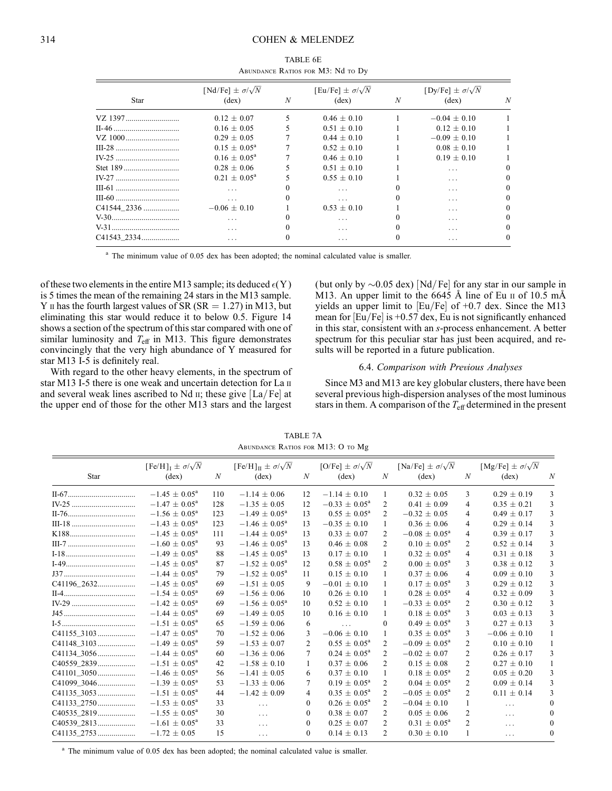|         | [Nd/Fe] $\pm \sigma/\sqrt{N}$ |   | [Eu/Fe] $\pm \sigma/\sqrt{N}$ |   | [Dy/Fe] $\pm \sigma/\sqrt{N}$ |   |
|---------|-------------------------------|---|-------------------------------|---|-------------------------------|---|
| Star    | $(\text{dex})$                | N | $(\text{dex})$                | N | $(\text{dex})$                | N |
| VZ 1397 | $0.12 \pm 0.07$               | 5 | $0.46 + 0.10$                 |   | $-0.04 \pm 0.10$              |   |
|         | $0.16 + 0.05$                 |   | $0.51 + 0.10$                 |   | $0.12 \pm 0.10$               |   |
|         | $0.29 + 0.05$                 |   | $0.44 + 0.10$                 |   | $-0.09 + 0.10$                |   |
|         | $0.15 \pm 0.05^{\text{a}}$    |   | $0.52 + 0.10$                 |   | $0.08 + 0.10$                 |   |
|         | $0.16 \pm 0.05^{\text{a}}$    |   | $0.46 + 0.10$                 |   | $0.19 + 0.10$                 |   |
|         | $0.28 + 0.06$                 |   | $0.51 + 0.10$                 |   | $\cdot$ $\cdot$ $\cdot$       |   |
|         | $0.21 + 0.05^a$               |   | $0.55 + 0.10$                 |   | $\cdot$ $\cdot$ $\cdot$       |   |
|         | .                             |   | .                             |   | .                             |   |
|         | $\ddots$                      |   | .                             |   | .                             |   |
|         | $-0.06 \pm 0.10$              |   | $0.53 + 0.10$                 |   | $\cdot$ $\cdot$ $\cdot$       |   |
|         | .                             |   | .                             |   | $\cdot$ $\cdot$ $\cdot$       |   |
|         | .                             |   | .                             |   | .                             | 0 |
|         | .                             |   | .                             |   | .                             | 0 |

TABLE 6E Abundance Ratios for M3: Nd to Dy

of these two elements in the entire M13 sample; its deduced  $\epsilon(Y)$ is 5 times the mean of the remaining 24 stars in the M13 sample. Y  $\pi$  has the fourth largest values of SR (SR = 1.27) in M13, but eliminating this star would reduce it to below 0.5. Figure 14 shows a section of the spectrum of this star compared with one of similar luminosity and  $T_{\text{eff}}$  in M13. This figure demonstrates convincingly that the very high abundance of Y measured for star M13 I-5 is definitely real.

With regard to the other heavy elements, in the spectrum of star M13 I-5 there is one weak and uncertain detection for La ii and several weak lines ascribed to Nd  $\pi$ ; these give [La/Fe] at the upper end of those for the other M13 stars and the largest

(but only by  $\sim 0.05$  dex) [Nd/Fe] for any star in our sample in M13. An upper limit to the  $6645$  Å line of Eu  $\mu$  of 10.5 mÅ yields an upper limit to  $[Eu/Fe]$  of +0.7 dex. Since the M13 mean for  $\left[Eu/Fe\right]$  is +0.57 dex, Eu is not significantly enhanced in this star, consistent with an s-process enhancement. A better spectrum for this peculiar star has just been acquired, and results will be reported in a future publication.

### 6.4. Comparison with Previous Analyses

Since M3 and M13 are key globular clusters, there have been several previous high-dispersion analyses of the most luminous stars in them. A comparison of the  $T_{\text{eff}}$  determined in the present

TABLE 7A Abundance Ratios for M13: O to Mg

| <b>Star</b> | $[Fe/H]_I \pm \sigma/\sqrt{N}$<br>$(\text{dex})$ | N   | $[Fe/H]_{II} \pm \sigma/\sqrt{N}$<br>$(\text{dex})$ | N              | [O/Fe] $\pm \sigma/\sqrt{N}$<br>$(\text{dex})$ | $\boldsymbol{N}$            | [Na/Fe] $\pm \sigma/\sqrt{N}$<br>$(\text{dex})$ | $\boldsymbol{N}$ | [Mg/Fe] $\pm \sigma/\sqrt{N}$<br>$(\text{dex})$ | N             |
|-------------|--------------------------------------------------|-----|-----------------------------------------------------|----------------|------------------------------------------------|-----------------------------|-------------------------------------------------|------------------|-------------------------------------------------|---------------|
|             | $-1.45 \pm 0.05^{\circ}$                         | 110 | $-1.14 \pm 0.06$                                    | 12             | $-1.14 \pm 0.10$                               | $\mathbf{1}$                | $0.32 \pm 0.05$                                 | 3                | $0.29 \pm 0.19$                                 | 3             |
|             | $-1.47 \pm 0.05^{\text{a}}$                      | 128 | $-1.35 \pm 0.05$                                    | 12             | $-0.33 \pm 0.05^{\text{a}}$                    | 2                           | $0.41 \pm 0.09$                                 | 4                | $0.35 \pm 0.21$                                 |               |
|             | $-1.56 \pm 0.05^{\circ}$                         | 123 | $-1.49 \pm 0.05^{\text{a}}$                         | 13             | $0.55 \pm 0.05^{\text{a}}$                     | 2                           | $-0.32 \pm 0.05$                                | 4                | $0.49 \pm 0.17$                                 | 3             |
|             | $-1.43 \pm 0.05^{\text{a}}$                      | 123 | $-1.46 \pm 0.05^{\text{a}}$                         | 13             | $-0.35 \pm 0.10$                               | 1                           | $0.36 \pm 0.06$                                 | 4                | $0.29 \pm 0.14$                                 | 3             |
|             | $-1.45 \pm 0.05^{\text{a}}$                      | 111 | $-1.44 \pm 0.05^{\text{a}}$                         | 13             | $0.33 \pm 0.07$                                | 2                           | $-0.08 \pm 0.05^{\text{a}}$                     | 4                | $0.39 \pm 0.17$                                 | 3             |
|             | $-1.60 \pm 0.05^{\circ}$                         | 93  | $-1.46 \pm 0.05^{\text{a}}$                         | 13             | $0.46 \pm 0.08$                                | $\mathcal{D}_{\mathcal{L}}$ | $0.10 \pm 0.05^{\text{a}}$                      | 2                | $0.52 \pm 0.14$                                 | 3             |
|             | $-1.49 \pm 0.05^{\text{a}}$                      | 88  | $-1.45 \pm 0.05^{\text{a}}$                         | 13             | $0.17 \pm 0.10$                                | 1                           | $0.32 \pm 0.05^{\rm a}$                         | 4                | $0.31 \pm 0.18$                                 | 3             |
|             | $-1.45 \pm 0.05^{\text{a}}$                      | 87  | $-1.52 \pm 0.05^{\text{a}}$                         | 12             | $0.58 \pm 0.05^{\rm a}$                        | 2                           | $0.00 \pm 0.05^{\text{a}}$                      | 3                | $0.38 \pm 0.12$                                 | 3             |
|             | $-1.44 \pm 0.05^{\text{a}}$                      | 79  | $-1.52 \pm 0.05^{\text{a}}$                         | 11             | $0.15 \pm 0.10$                                | 1                           | $0.37 \pm 0.06$                                 | 4                | $0.09 \pm 0.10$                                 | 3             |
| C41196_2632 | $-1.45 \pm 0.05^{\text{a}}$                      | 69  | $-1.51 \pm 0.05$                                    | 9              | $-0.01 \pm 0.10$                               | 1                           | $0.17 \pm 0.05^{\text{a}}$                      | 3                | $0.29 \pm 0.12$                                 | $\mathbf{3}$  |
|             | $-1.54 \pm 0.05^{\text{a}}$                      | 69  | $-1.56 \pm 0.06$                                    | 10             | $0.26 \pm 0.10$                                | -1                          | $0.28 \pm 0.05^{\text{a}}$                      | 4                | $0.32 \pm 0.09$                                 | $\mathbf{3}$  |
|             | $-1.42 \pm 0.05^{\text{a}}$                      | 69  | $-1.56 \pm 0.05^{\text{a}}$                         | 10             | $0.52 \pm 0.10$                                | $\mathbf{1}$                | $-0.33 \pm 0.05^{\text{a}}$                     | $\overline{c}$   | $0.30 \pm 0.12$                                 | 3             |
|             | $-1.44 \pm 0.05^{\text{a}}$                      | 69  | $-1.49 \pm 0.05$                                    | 10             | $0.16 \pm 0.10$                                | 1                           | $0.18 \pm 0.05^{\text{a}}$                      | 3                | $0.03 \pm 0.13$                                 |               |
|             | $-1.51 \pm 0.05^{\text{a}}$                      | 65  | $-1.59 \pm 0.06$                                    | 6              |                                                | $\Omega$                    | $0.49 \pm 0.05^{\text{a}}$                      | 3                | $0.27 \pm 0.13$                                 | $\mathcal{E}$ |
| C41155_3103 | $-1.47 \pm 0.05^{\circ}$                         | 70  | $-1.52 \pm 0.06$                                    | 3              | $-0.06 \pm 0.10$                               | 1                           | $0.35 \pm 0.05^{\text{a}}$                      | 3                | $-0.06 \pm 0.10$                                | 1             |
| C41148_3103 | $-1.49 \pm 0.05^{\text{a}}$                      | 59  | $-1.53 \pm 0.07$                                    | $\overline{2}$ | $0.55 \pm 0.05^{\rm a}$                        | 2                           | $-0.09 \pm 0.05^{\text{a}}$                     | $\overline{2}$   | $0.10 \pm 0.10$                                 | 1             |
| C41134_3056 | $-1.44 \pm 0.05^{\circ}$                         | 60  | $-1.36 \pm 0.06$                                    | $\tau$         | $0.24 \pm 0.05^{\text{a}}$                     | $\overline{2}$              | $-0.02 \pm 0.07$                                | $\overline{2}$   | $0.26 \pm 0.17$                                 | 3             |
| C40559 2839 | $-1.51 \pm 0.05^{\text{a}}$                      | 42  | $-1.58 \pm 0.10$                                    | $\mathbf{1}$   | $0.37 \pm 0.06$                                | $\mathfrak{D}$              | $0.15 \pm 0.08$                                 | $\overline{2}$   | $0.27 \pm 0.10$                                 | 1             |
| C41101_3050 | $-1.46 \pm 0.05^a$                               | 56  | $-1.41 \pm 0.05$                                    | 6              | $0.37 \pm 0.10$                                | $\mathbf{1}$                | $0.18 \pm 0.05^{\text{a}}$                      | $\overline{c}$   | $0.05 \pm 0.20$                                 | $\mathbf{3}$  |
| C41099_3046 | $-1.39 \pm 0.05^{\text{a}}$                      | 53  | $-1.33 \pm 0.06$                                    | 7              | $0.19 \pm 0.05^{\text{a}}$                     | $\mathfrak{D}$              | $0.04 \pm 0.05^{\text{a}}$                      | 2                | $0.09 \pm 0.14$                                 | 3             |
|             | $-1.51 \pm 0.05^{\text{a}}$                      | 44  | $-1.42 \pm 0.09$                                    | $\overline{4}$ | $0.35 \pm 0.05^{\rm a}$                        | $\overline{2}$              | $-0.05 \pm 0.05^{\text{a}}$                     | $\overline{2}$   | $0.11 \pm 0.14$                                 | 3             |
|             | $-1.53 \pm 0.05^{\circ}$                         | 33  | $\ldots$                                            | $\overline{0}$ | $0.26 \pm 0.05^{\text{a}}$                     | $\mathcal{D}_{\mathcal{L}}$ | $-0.04 \pm 0.10$                                | $\mathbf{1}$     | .                                               | $\Omega$      |
| C40535_2819 | $-1.55 \pm 0.05^{\circ}$                         | 30  | $\cdots$                                            | $\Omega$       | $0.38 \pm 0.07$                                | $\mathfrak{D}$              | $0.05 \pm 0.06$                                 | 2                | $\cdots$                                        | $\Omega$      |
| C40539_2813 | $-1.61 \pm 0.05^{\circ}$                         | 33  | $\cdots$                                            | $\Omega$       | $0.25 \pm 0.07$                                | 2                           | $0.31 \pm 0.05^{\text{a}}$                      | $\overline{c}$   | .                                               | $\theta$      |
| C41135 2753 | $-1.72 \pm 0.05$                                 | 15  | $\cdots$                                            | $\Omega$       | $0.14 \pm 0.13$                                | 2                           | $0.30 \pm 0.10$                                 | 1                | .                                               | $\theta$      |

<sup>a</sup> The minimum value of 0.05 dex has been adopted; the nominal calculated value is smaller.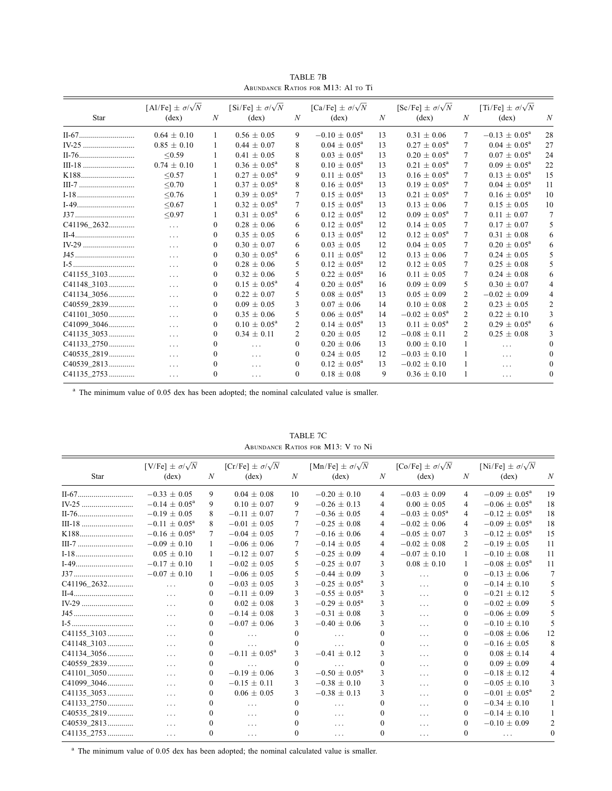| Star           | [Al/Fe] $\pm \sigma/\sqrt{N}$<br>$(\text{dex})$ | $\boldsymbol{N}$ | $[Si/Fe] \pm \sigma/\sqrt{N}$<br>$(\text{dex})$ | $\boldsymbol{N}$ | [Ca/Fe] $\pm \sigma/\sqrt{N}$<br>$(\text{dex})$ | $\boldsymbol{N}$ | [Sc/Fe] $\pm \sigma/\sqrt{N}$<br>$(\text{dex})$ | $\boldsymbol{N}$ | [Ti/Fe] $\pm \sigma/\sqrt{N}$<br>$(\text{dex})$ | $\boldsymbol{N}$         |
|----------------|-------------------------------------------------|------------------|-------------------------------------------------|------------------|-------------------------------------------------|------------------|-------------------------------------------------|------------------|-------------------------------------------------|--------------------------|
|                | $0.64 \pm 0.10$                                 | $\mathbf{1}$     | $0.56 \pm 0.05$                                 | 9                | $-0.10 \pm 0.05^{\text{a}}$                     | 13               | $0.31 \pm 0.06$                                 | 7                | $-0.13 \pm 0.05^{\text{a}}$                     | 28                       |
|                | $0.85 \pm 0.10$                                 | 1                | $0.44 \pm 0.07$                                 | 8                | $0.04 \pm 0.05^{\text{a}}$                      | 13               | $0.27 \pm 0.05^{\text{a}}$                      | 7                | $0.04 \pm 0.05^{\text{a}}$                      | 27                       |
|                | $\leq 0.59$                                     | 1                | $0.41 \pm 0.05$                                 | 8                | $0.03 \pm 0.05^{\text{a}}$                      | 13               | $0.20 \pm 0.05^{\text{a}}$                      | 7                | $0.07 \pm 0.05^{\text{a}}$                      | 24                       |
|                | $0.74 \pm 0.10$                                 | 1                | $0.36 \pm 0.05^{\text{a}}$                      | 8                | $0.10 \pm 0.05^{\text{a}}$                      | 13               | $0.21 \pm 0.05^{\text{a}}$                      | 7                | $0.09 \pm 0.05^{\text{a}}$                      | 22                       |
| K188           | < 0.57                                          | 1                | $0.27 + 0.05^{\text{a}}$                        | 9                | $0.11 \pm 0.05^{\text{a}}$                      | 13               | $0.16 \pm 0.05^{\text{a}}$                      | 7                | $0.13 \pm 0.05^{\text{a}}$                      | 15                       |
|                | < 0.70                                          | 1                | $0.37 \pm 0.05^{\text{a}}$                      | 8                | $0.16 \pm 0.05^{\text{a}}$                      | 13               | $0.19 \pm 0.05^{\text{a}}$                      | 7                | $0.04 \pm 0.05^{\rm a}$                         | 11                       |
|                | < 0.76                                          | 1                | $0.39 \pm 0.05^{\text{a}}$                      | 7                | $0.15 \pm 0.05^{\text{a}}$                      | 13               | $0.21 \pm 0.05^{\text{a}}$                      | 7                | $0.16 \pm 0.05^{\text{a}}$                      | 10                       |
|                | < 0.67                                          | 1                | $0.32 \pm 0.05^{\text{a}}$                      | 7                | $0.15 \pm 0.05^{\text{a}}$                      | 13               | $0.13 \pm 0.06$                                 | 7                | $0.15 \pm 0.05$                                 | 10                       |
|                | < 0.97                                          | 1                | $0.31 \pm 0.05^{\text{a}}$                      | 6                | $0.12 \pm 0.05^{\text{a}}$                      | 12               | $0.09 \pm 0.05^{\text{a}}$                      | 7                | $0.11 \pm 0.07$                                 | 7                        |
| C41196_2632    | $\cdots$                                        | $\mathbf{0}$     | $0.28 \pm 0.06$                                 | 6                | $0.12 \pm 0.05^{\rm a}$                         | 12               | $0.14 \pm 0.05$                                 | 7                | $0.17 \pm 0.07$                                 | $\overline{\phantom{0}}$ |
|                | $\cdots$                                        | $\Omega$         | $0.35 \pm 0.05$                                 | 6                | $0.13 \pm 0.05^{\rm a}$                         | 12               | $0.12 \pm 0.05^{\rm a}$                         | 7                | $0.31 \pm 0.08$                                 | 6                        |
|                | $\cdots$                                        | $\Omega$         | $0.30 \pm 0.07$                                 | 6                | $0.03 \pm 0.05$                                 | 12               | $0.04 + 0.05$                                   | 7                | $0.20 \pm 0.05^{\text{a}}$                      | 6                        |
|                | $\ldots$                                        | $\Omega$         | $0.30 \pm 0.05^{\text{a}}$                      | 6                | $0.11 \pm 0.05^{\text{a}}$                      | 12               | $0.13 \pm 0.06$                                 | 7                | $0.24 \pm 0.05$                                 | 5                        |
|                | $\cdots$                                        | $\Omega$         | $0.28 \pm 0.06$                                 | 5.               | $0.12 \pm 0.05^{\rm a}$                         | 12               | $0.12 \pm 0.05$                                 | 7                | $0.25 \pm 0.08$                                 | $\overline{\phantom{0}}$ |
| C41155 3103    | $\cdots$                                        | $\Omega$         | $0.32 \pm 0.06$                                 | 5.               | $0.22 \pm 0.05^{\rm a}$                         | 16               | $0.11 \pm 0.05$                                 | 7                | $0.24 \pm 0.08$                                 | 6                        |
| C41148_3103    | $\ldots$                                        | $\Omega$         | $0.15 \pm 0.05^{\text{a}}$                      | 4                | $0.20 \pm 0.05^{\rm a}$                         | 16               | $0.09 \pm 0.09$                                 | 5                | $0.30 \pm 0.07$                                 | $\overline{4}$           |
| C41134_3056    | $\ldots$                                        | $\Omega$         | $0.22 \pm 0.07$                                 | 5.               | $0.08 \pm 0.05^{\rm a}$                         | 13               | $0.05 \pm 0.09$                                 | 2                | $-0.02 \pm 0.09$                                | $\overline{4}$           |
| C40559_2839    | $\cdots$                                        | $\Omega$         | $0.09 \pm 0.05$                                 | 3                | $0.07 \pm 0.06$                                 | 14               | $0.10 \pm 0.08$                                 | 2                | $0.23 \pm 0.05$                                 | $\overline{2}$           |
| C41101 3050    | $\cdots$                                        | $\Omega$         | $0.35 \pm 0.06$                                 | 5                | $0.06 \pm 0.05^{\text{a}}$                      | 14               | $-0.02 \pm 0.05^{\text{a}}$                     | 2                | $0.22 \pm 0.10$                                 | $\mathbf{3}$             |
| C41099_3046    | $\ldots$                                        | $\Omega$         | $0.10 \pm 0.05^{\text{a}}$                      | 2                | $0.14 \pm 0.05^{\rm a}$                         | 13               | $0.11 \pm 0.05^{\text{a}}$                      | $\mathfrak{D}$   | $0.29 \pm 0.05^{\text{a}}$                      | 6                        |
| $C41135\_3053$ | $\cdots$                                        | $\Omega$         | $0.34 \pm 0.11$                                 | 2                | $0.20 \pm 0.05$                                 | 12               | $-0.08 \pm 0.11$                                | $\overline{2}$   | $0.25 \pm 0.08$                                 | 3                        |
| C41133 2750    | $\cdots$                                        | $\Omega$         | $\cdots$                                        | $\Omega$         | $0.20 \pm 0.06$                                 | 13               | $0.00 \pm 0.10$                                 |                  | $\cdots$                                        | $\theta$                 |
| C40535_2819    | $\sim$ $\sim$ $\sim$                            | $\Omega$         | $\cdots$                                        | $\Omega$         | $0.24 \pm 0.05$                                 | 12               | $-0.03 \pm 0.10$                                |                  | $\cdots$                                        | $\theta$                 |
| C40539 2813    | $\cdots$                                        | $\Omega$         | $\cdots$                                        | $\theta$         | $0.12 \pm 0.05^{\rm a}$                         | 13               | $-0.02 \pm 0.10$                                |                  | $\cdots$                                        | $\theta$                 |
| C41135_2753    | $\cdots$                                        | $\Omega$         | $\cdots$                                        | $\theta$         | $0.18 \pm 0.08$                                 | 9                | $0.36 \pm 0.10$                                 |                  | $\cdots$                                        | $\theta$                 |

TABLE 7B Abundance Ratios for M13: Al to Ti

Star [V/Fe]  $\pm \sigma/\sqrt{N}$  $(\text{dex})$  N  $[Cr/Fe] \pm \sigma/\sqrt{N}$  $(\text{dex})$  N [Mn/Fe]  $\pm \sigma/\sqrt{N}$  $(\text{dex})$   $N$  $[Co/Fe] \pm \sigma/\sqrt{N}$  $(\text{dex})$  N [Ni/Fe]  $\pm \frac{\sigma}{\sqrt{N}}$  $(\text{dex})$  N II-67............................ -9 0.04  $\pm$  0.08 10  $-0.20 \pm 0.10$  4  $-0.03 \pm 0.09$  4  $-0.09 \pm 0.05^a$  19 IV-25 .......................... -9  $0.10 \pm 0.07$  9  $-0.26 \pm 0.13$  4  $0.00 \pm 0.05$  4  $-0.06 \pm 0.05^a$  18 II-76.............................  $-0.19 \pm 0.05$  8  $-0.11 \pm 0.07$  7  $-0.36 \pm 0.05$  4  $-0.03 \pm 0.05^{\rm a}$  4  $-0.12 \pm 0.05^{\text{a}}$  18 III-18 .......................... - $-0.11 \pm 0.05^{\rm a}$  8  $-0.01 \pm 0.05$  7  $-0.25 \pm 0.08$  4  $-0.02 \pm 0.06$  4  $-0.09 \pm 0.05^{\text{a}}$  18 K188........................... - $-0.16 \pm 0.05^a$  7  $-0.04 \pm 0.05$  7  $-0.16 \pm 0.06$  4  $-0.05 \pm 0.07$  3  $-0.12 \pm 0.05^a$  15 III-7 ............................ - $-0.09 \pm 0.10$  1  $-0.06 \pm 0.06$  7  $-0.14 \pm 0.05$  4  $-0.02 \,\pm\, 0.08$  2  $-0.19 \pm 0.05$  11 I-18............................. 0.05 0.10 1 - $-0.12 \pm 0.07$  5  $-0.25 \pm 0.09$  4  $-0.07 \pm 0.10$  1  $-0.10 \pm 0.08$  11 I-49............................. - $-0.17 \pm 0.10$  1  $-0.02 \pm 0.05$  5  $-0.25 \pm 0.07$  3  $0.08 \pm 0.10$  1  $-0.08 \pm 0.05^a$  11 J37.............................. - $-0.07 \pm 0.10$  1  $-0.06 \pm 0.05$  5  $-0.44 \pm 0.09$  3 ... 0  $-0.13 \pm 0.06$  7 C41196\_2632............. ... 0 - $-0.03 \pm 0.05$  3  $-0.25 \pm 0.05^a$  3 ... 0  $-0.14 \pm 0.10$  5 II-4.............................. ... 0 - $-0.11 \pm 0.09$  3  $-0.55 \pm 0.05^a$  3 ... 0  $-0.21 \pm 0.12$  5 IV-29 .......................... ... 0 0.02 0.08 3 - $-0.29 \pm 0.05^a$  3 ... 0  $-0.02 \pm 0.09$  5 J45.............................. ... 0 - $-0.14 \pm 0.08$  3  $-0.31 \pm 0.08$  3 ... 0  $-0.06 \pm 0.09$  5 I-5............................... ... 0 - $-0.07 \pm 0.06$  3  $-0.40 \pm 0.06$  3 ... 0  $-0.10 \pm 0.10$  5 C41155\_3103............. ... 0 ... 0 ... 0 ... 0 - $-0.08 \pm 0.06$  12  $C41148\_3103 \dots \dots \dots \dots$  0 ... 0 ... 0 ... 0 ... 0  $-0.16 \pm 0.05$  8 C41134\_3056............. ... 0 - $-0.11 \pm 0.05^a$  3  $-0.41 \pm 0.12$ 3 ... 0  $0.08 \pm 0.14$  4 C40559\_2839............. ... 0 ... 0 ... 0 ... 0 0.09 0.09 4 C41101\_3050............. ... 0 - $-0.19 \pm 0.06$  3  $-0.50 \pm 0.05^{\circ}$  3 ... 0  $-0.18 \pm 0.12$  4 C41099\_3046............. ... 0 - $-0.15 \pm 0.11$  3  $-0.38 \pm 0.10$  3 ... 0  $-0.05 \pm 0.10$  3 C41135\_3053............. ... 0 0.06 0.05 3 - $-0.38 \pm 0.13$  3 ... 0  $-0.01 \pm 0.05^a$  2 C41133\_2750............. ... 0 ... 0 ... 0 ... 0 - $-0.34 \pm 0.10$  1 C40535\_2819............. ... 0 ... 0 ... 0 ... 0 - $-0.14 \pm 0.10$  1 C40539\_2813............. ... 0 ... 0 ... 0 ... 0 - $-0.10 \pm 0.09$  2 C41135\_2753............. ... 0 ... 0 ... 0 ... 0 ... 0

TABLE 7C Abundance Ratios for M13: V to Ni

<sup>a</sup> The minimum value of 0.05 dex has been adopted; the nominal calculated value is smaller.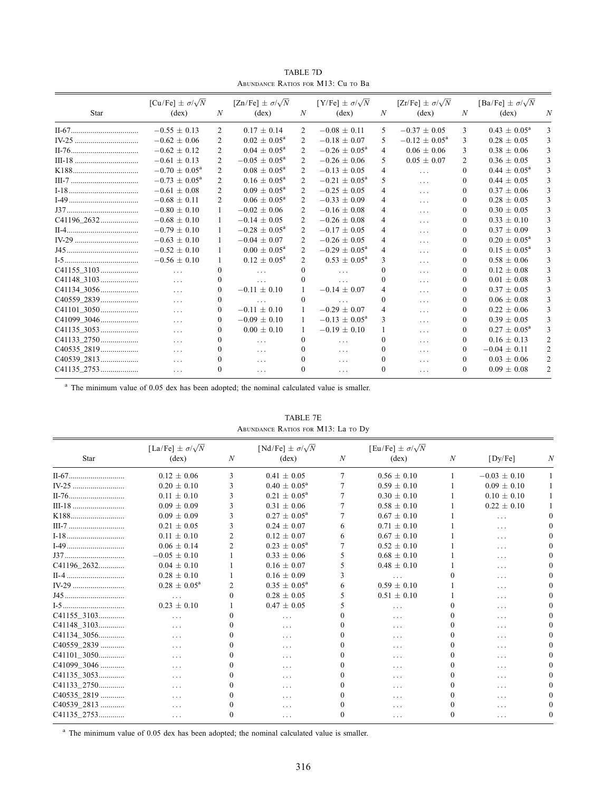| <b>Star</b> | [Cu/Fe] $\pm \sigma/\sqrt{N}$<br>$(\text{dex})$ | N              | [Zn/Fe] $\pm \sigma/\sqrt{N}$<br>$(\text{dex})$ | N              | [Y/Fe] $\pm \sigma/\sqrt{N}$<br>$(\text{dex})$ | N              | $[Zr/Fe] \pm \sigma/\sqrt{N}$<br>$(\text{dex})$ | N              | [Ba/Fe] $\pm \sigma/\sqrt{N}$<br>$(\text{dex})$ | N              |
|-------------|-------------------------------------------------|----------------|-------------------------------------------------|----------------|------------------------------------------------|----------------|-------------------------------------------------|----------------|-------------------------------------------------|----------------|
|             | $-0.55 \pm 0.13$                                | 2              | $0.17 \pm 0.14$                                 | 2              | $-0.08 \pm 0.11$                               | 5              | $-0.37 \pm 0.05$                                | 3              | $0.43 \pm 0.05^{\rm a}$                         | $\mathbf{3}$   |
|             | $-0.62 + 0.06$                                  | 2              | $0.02 \pm 0.05^{\circ}$                         | 2              | $-0.18 \pm 0.07$                               | 5              | $-0.12 \pm 0.05^{\text{a}}$                     | 3              | $0.28 \pm 0.05$                                 | 3              |
|             | $-0.62 \pm 0.12$                                | 2              | $0.04 \pm 0.05^{\text{a}}$                      | 2              | $-0.26 \pm 0.05^{\text{a}}$                    | 4              | $0.06 \pm 0.06$                                 | 3              | $0.38 \pm 0.06$                                 | $\mathcal{E}$  |
|             | $-0.61 \pm 0.13$                                | 2              | $-0.05 \pm 0.05^{\text{a}}$                     | $\mathfrak{D}$ | $-0.26 \pm 0.06$                               | 5              | $0.05 \pm 0.07$                                 | $\overline{c}$ | $0.36 \pm 0.05$                                 | 3              |
|             | $-0.70 \pm 0.05^{\text{a}}$                     | 2              | $0.08 \pm 0.05^{\rm a}$                         | 2              | $-0.13 \pm 0.05$                               | $\overline{4}$ | $\cdots$                                        | $\theta$       | $0.44 \pm 0.05^{\rm a}$                         | $\mathbf{3}$   |
|             | $-0.73 \pm 0.05^{\circ}$                        | 2              | $0.16 \pm 0.05^{\text{a}}$                      | $\mathfrak{D}$ | $-0.21 \pm 0.05^{\circ}$                       | 5              | $\cdots$                                        | $\Omega$       | $0.44 \pm 0.05$                                 | 3              |
|             | $-0.61 \pm 0.08$                                | 2              | $0.09 \pm 0.05^{\text{a}}$                      | 2              | $-0.25 \pm 0.05$                               | 4              | $\cdots$                                        | 0              | $0.37 \pm 0.06$                                 | $\mathbf{3}$   |
|             | $-0.68 \pm 0.11$                                | $\mathfrak{D}$ | $0.06 \pm 0.05^{\text{a}}$                      | $\mathfrak{D}$ | $-0.33 \pm 0.09$                               | $\overline{4}$ | $\cdots$                                        | 0              | $0.28 \pm 0.05$                                 | $\mathbf{3}$   |
|             | $-0.80 + 0.10$                                  |                | $-0.02 \pm 0.06$                                | $\mathfrak{D}$ | $-0.16 \pm 0.08$                               | 4              | $\cdots$                                        | $\Omega$       | $0.30 \pm 0.05$                                 | 3              |
| C41196_2632 | $-0.68 \pm 0.10$                                | 1              | $-0.14 \pm 0.05$                                | 2              | $-0.26 \pm 0.08$                               | 4              | $\cdots$                                        | 0              | $0.33 \pm 0.10$                                 | $\mathbf{3}$   |
|             | $-0.79 \pm 0.10$                                | 1              | $-0.28 \pm 0.05^{\circ}$                        | $\mathfrak{D}$ | $-0.17 \pm 0.05$                               | $\overline{4}$ | $\cdots$                                        | 0              | $0.37 \pm 0.09$                                 | $\mathcal{E}$  |
|             | $-0.63 \pm 0.10$                                |                | $-0.04 \pm 0.07$                                | 2              | $-0.26 \pm 0.05$                               | 4              | $\cdots$                                        | 0              | $0.20 \pm 0.05^{\text{a}}$                      | $\mathbf{3}$   |
|             | $-0.52 \pm 0.10$                                |                | $0.00 \pm 0.05^{\text{a}}$                      | $\mathfrak{D}$ | $-0.29 \pm 0.05^{\text{a}}$                    | 4              | $\cdots$                                        | 0              | $0.15 \pm 0.05^{\text{a}}$                      |                |
|             | $-0.56 \pm 0.10$                                |                | $0.12 \pm 0.05^{\rm a}$                         | 2              | $0.53 \pm 0.05^{\rm a}$                        | 3              | $\cdots$                                        | $\Omega$       | $0.58 \pm 0.06$                                 | 3              |
| C41155_3103 | $\ddots$                                        | 0              | $\cdots$                                        | $\theta$       | $\cdots$                                       | $\Omega$       | $\cdots$                                        | 0              | $0.12 \pm 0.08$                                 | $\mathbf{3}$   |
| C41148_3103 | $\ldots$                                        | 0              | .                                               | 0              | .                                              | $\Omega$       | $\cdots$                                        | 0              | $0.01 \pm 0.08$                                 | 3              |
| C41134_3056 | $\cdots$                                        | 0              | $-0.11 \pm 0.10$                                |                | $-0.14 \pm 0.07$                               | 4              | $\cdots$                                        | $\Omega$       | $0.37 \pm 0.05$                                 | $\mathbf{3}$   |
| C40559 2839 | $\cdots$                                        | $\Omega$       | .                                               | $\Omega$       | .                                              | $\Omega$       | $\cdots$                                        | 0              | $0.06 + 0.08$                                   | $\mathcal{E}$  |
| C41101 3050 | $\cdots$                                        | 0              | $-0.11 \pm 0.10$                                |                | $-0.29 \pm 0.07$                               | 4              | $\cdots$                                        | 0              | $0.22 \pm 0.06$                                 | $\mathbf{3}$   |
| C41099_3046 | $\cdots$                                        | 0              | $-0.09 \pm 0.10$                                |                | $-0.13 \pm 0.05^{\circ}$                       | 3              | $\cdots$                                        | 0              | $0.39 \pm 0.05$                                 | 3              |
| C41135_3053 | .                                               | 0              | $0.00 \pm 0.10$                                 |                | $-0.19 \pm 0.10$                               |                | $\cdots$                                        | 0              | $0.27 \pm 0.05^{\text{a}}$                      | $\mathcal{E}$  |
| C41133 2750 | $\cdots$                                        | 0              | .                                               | $\theta$       | .                                              | $\Omega$       | $\cdots$                                        | 0              | $0.16 \pm 0.13$                                 | $\overline{2}$ |
| C40535_2819 | $\cdots$                                        | 0              | .                                               | 0              | .                                              | $\Omega$       | $\cdots$                                        | $\Omega$       | $-0.04 \pm 0.11$                                | $\overline{2}$ |
| C40539_2813 | .                                               |                | .                                               | 0              | .                                              | 0              | $\cdots$                                        | $\Omega$       | $0.03 \pm 0.06$                                 | $\overline{2}$ |
|             | $\cdots$                                        | $^{(1)}$       | .                                               | $\Omega$       | .                                              | $\Omega$       | $\cdots$                                        | $\theta$       | $0.09 \pm 0.08$                                 | $\overline{2}$ |

TABLE 7D Abundance Ratios for M13: Cu to Ba

| <b>Star</b> | [La/Fe] $\pm \sigma/\sqrt{N}$<br>$(\text{dex})$ | N              | [Nd/Fe] $\pm \sigma/\sqrt{N}$<br>$(\text{dex})$ | N        | [Eu/Fe] $\pm \sigma/\sqrt{N}$<br>$(\text{dex})$ | N | [Dy/Fe]          | N |
|-------------|-------------------------------------------------|----------------|-------------------------------------------------|----------|-------------------------------------------------|---|------------------|---|
|             |                                                 |                |                                                 |          |                                                 |   |                  |   |
|             | $0.12 \pm 0.06$                                 | 3              | $0.41 \pm 0.05$                                 | 7        | $0.56 \pm 0.10$                                 |   | $-0.03 \pm 0.10$ |   |
| IV-25       | $0.20 \pm 0.10$                                 |                | $0.40 \pm 0.05^{\rm a}$                         |          | $0.59 \pm 0.10$                                 |   | $0.09 \pm 0.10$  |   |
|             | $0.11 \pm 0.10$                                 |                | $0.21 \pm 0.05^{\rm a}$                         |          | $0.30 \pm 0.10$                                 |   | $0.10 \pm 0.10$  |   |
|             | $0.09 \pm 0.09$                                 |                | $0.31 \pm 0.06$                                 |          | $0.58 \pm 0.10$                                 |   | $0.22 \pm 0.10$  |   |
|             | $0.09 \pm 0.09$                                 |                | $0.27 \pm 0.05^{\text{a}}$                      |          | $0.67 \pm 0.10$                                 |   | $\cdots$         |   |
| $III-7$     | $0.21 \pm 0.05$                                 |                | $0.24 \pm 0.07$                                 | 6        | $0.71 \pm 0.10$                                 |   | .                |   |
|             | $0.11 \pm 0.10$                                 |                | $0.12 \pm 0.07$                                 | 6        | $0.67 \pm 0.10$                                 |   | .                |   |
| I-49        | $0.06 \pm 0.14$                                 |                | $0.23 \pm 0.05^{\rm a}$                         |          | $0.52 \pm 0.10$                                 |   | .                |   |
|             | $-0.05 \pm 0.10$                                |                | $0.33 \pm 0.06$                                 | 5        | $0.68 \pm 0.10$                                 |   | $\cdots$         |   |
| C41196 2632 | $0.04 \pm 0.10$                                 |                | $0.16 \pm 0.07$                                 |          | $0.48 \pm 0.10$                                 |   | .                |   |
| $II-4$      | $0.28 \pm 0.10$                                 |                | $0.16 \pm 0.09$                                 | 3        | .                                               |   | .                |   |
| IV-29       | $0.28 \pm 0.05^{\rm a}$                         | $\overline{2}$ | $0.35 \pm 0.05^{\text{a}}$                      |          | $0.59 \pm 0.10$                                 |   | .                |   |
|             | $\ddots$                                        | $^{\circ}$     | $0.28 \pm 0.05$                                 |          | $0.51 \pm 0.10$                                 |   | $\cdots$         |   |
|             | $0.23 \pm 0.10$                                 |                | $0.47 \pm 0.05$                                 |          | .                                               |   | .                |   |
| C41155 3103 | $\cdots$                                        | $_{0}$         | $\cdots$                                        |          | .                                               |   | .                |   |
| C41148_3103 | $\cdots$                                        |                | $\cdots$                                        |          | .                                               |   | .                |   |
| C41134 3056 | $\cdots$                                        |                | $\cdots$                                        |          | .                                               |   | $\cdots$         |   |
| C40559 2839 | .                                               |                | $\cdots$                                        |          | $\cdots$                                        |   | $\cdots$         |   |
| C41101_3050 | $\cdots$                                        |                | .                                               | $\Omega$ | .                                               |   | .                |   |
| C41099_3046 | .                                               |                | .                                               |          | .                                               |   | .                |   |
| C41135_3053 | .                                               |                | $\cdots$                                        |          | .                                               |   | $\cdots$         |   |
| C41133 2750 | .                                               |                | $\cdots$                                        |          | .                                               |   | .                |   |
| C40535_2819 | .                                               |                | .                                               | $\theta$ | .                                               |   | .                |   |
| C40539 2813 | .                                               |                | $\cdots$                                        |          | .                                               |   | $\cdots$         |   |
| C41135_2753 | $\cdots$                                        |                | $\cdots$                                        | $_{0}$   | .                                               |   | $\cdots$         |   |

TABLE 7E ABUNDANCE RATIOS FOR M13: La to Dy

<sup>a</sup> The minimum value of 0.05 dex has been adopted; the nominal calculated value is smaller.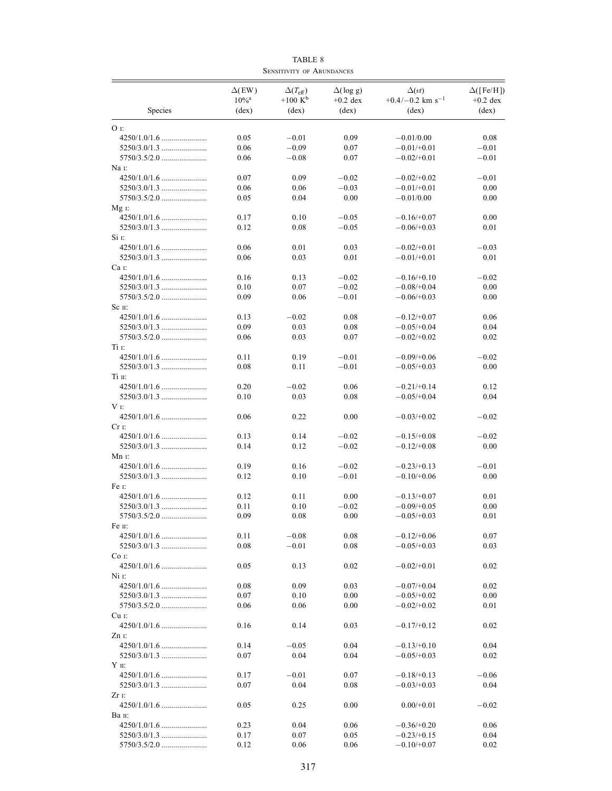|                   | $\Delta$ (EW)<br>$10\%^{\rm a}$ | $\Delta(T_{\rm eff})$<br>$+100~{\rm K}^{\rm b}$ | $\Delta(\log g)$<br>$+0.2$ dex | $\Delta(vt)$<br>$+0.4/-0.2$ km s <sup>-1</sup> | $\Delta$ ([Fe/H])<br>$+0.2$ dex |
|-------------------|---------------------------------|-------------------------------------------------|--------------------------------|------------------------------------------------|---------------------------------|
| Species           | $(\text{dex})$                  | $(\text{dex})$                                  | $(\text{dex})$                 | $(\text{dex})$                                 | $(\text{dex})$                  |
| $OI$ :            |                                 |                                                 |                                |                                                |                                 |
|                   | 0.05                            | $-0.01$                                         | 0.09                           | $-0.01/0.00$                                   | 0.08                            |
|                   | 0.06                            | $-0.09$                                         | 0.07                           | $-0.01/+0.01$                                  | $-0.01$                         |
|                   | 0.06                            | $-0.08$                                         | 0.07                           | $-0.02/+0.01$                                  | $-0.01$                         |
| Na $\Gamma$ :     |                                 |                                                 |                                |                                                |                                 |
|                   | 0.07                            | 0.09                                            | $-0.02$                        | $-0.02/+0.02$                                  | $-0.01$                         |
|                   | 0.06                            | 0.06                                            | $-0.03$                        | $-0.01/+0.01$                                  | 0.00                            |
|                   | 0.05                            | 0.04                                            | 0.00                           | $-0.01/0.00$                                   | 0.00                            |
| $Mg$ i:           |                                 |                                                 |                                |                                                |                                 |
|                   | 0.17                            | 0.10                                            | $-0.05$                        | $-0.16/+0.07$                                  | 0.00                            |
|                   | 0.12                            | 0.08                                            | $-0.05$                        | $-0.06/+0.03$                                  | 0.01                            |
| $SiII$ :          | 0.06                            | 0.01                                            | 0.03                           |                                                | $-0.03$                         |
|                   | 0.06                            | 0.03                                            | 0.01                           | $-0.02/+0.01$<br>$-0.01/+0.01$                 | 0.01                            |
| $Ca$ $I$ :        |                                 |                                                 |                                |                                                |                                 |
|                   | 0.16                            | 0.13                                            | $-0.02$                        | $-0.16/+0.10$                                  | $-0.02$                         |
|                   | 0.10                            | 0.07                                            | $-0.02$                        | $-0.08/+0.04$                                  | 0.00                            |
|                   | 0.09                            | 0.06                                            | $-0.01$                        | $-0.06/+0.03$                                  | 0.00                            |
| $Sc$ $\pi$ :      |                                 |                                                 |                                |                                                |                                 |
|                   | 0.13                            | $-0.02$                                         | 0.08                           | $-0.12/+0.07$                                  | 0.06                            |
|                   | 0.09                            | 0.03                                            | 0.08                           | $-0.05/+0.04$                                  | 0.04                            |
|                   | 0.06                            | 0.03                                            | 0.07                           | $-0.02/+0.02$                                  | 0.02                            |
| Ti I:             |                                 |                                                 |                                |                                                |                                 |
|                   | 0.11                            | 0.19                                            | $-0.01$                        | $-0.09/+0.06$                                  | $-0.02$                         |
|                   | 0.08                            | 0.11                                            | $-0.01$                        | $-0.05/+0.03$                                  | 0.00                            |
| Ti п:             |                                 |                                                 |                                |                                                |                                 |
|                   | 0.20                            | $-0.02$                                         | 0.06                           | $-0.21/+0.14$                                  | 0.12                            |
|                   | 0.10                            | 0.03                                            | 0.08                           | $-0.05/+0.04$                                  | 0.04                            |
| $VI$ :            |                                 |                                                 |                                |                                                |                                 |
|                   | 0.06                            | 0.22                                            | 0.00                           | $-0.03/00.02$                                  | $-0.02$                         |
| $Cr$ $\Gamma$ :   |                                 |                                                 |                                |                                                |                                 |
|                   | 0.13                            | 0.14                                            | $-0.02$                        | $-0.15/+0.08$                                  | $-0.02$                         |
|                   | 0.14                            | 0.12                                            | $-0.02$                        | $-0.12/+0.08$                                  | 0.00                            |
| $Mn$ $\Gamma$ :   |                                 |                                                 |                                |                                                |                                 |
|                   | 0.19                            | 0.16                                            | $-0.02$                        | $-0.23/0.13$                                   | $-0.01$                         |
| Fe I:             | 0.12                            | 0.10                                            | $-0.01$                        | $-0.10/+0.06$                                  | 0.00                            |
|                   | 0.12                            | 0.11                                            | 0.00                           | $-0.13/0.07$                                   | 0.01                            |
|                   | 0.11                            | 0.10                                            | $-0.02$                        | $-0.09/+0.05$                                  | 0.00                            |
|                   | 0.09                            | 0.08                                            | 0.00                           | $-0.05/+0.03$                                  | 0.01                            |
| Fe $\mathbf{u}$ : |                                 |                                                 |                                |                                                |                                 |
|                   | 0.11                            | $-0.08$                                         | 0.08                           | $-0.12/+0.06$                                  | 0.07                            |
|                   | 0.08                            | $-0.01$                                         | 0.08                           | $-0.05/+0.03$                                  | 0.03                            |
| $Co$ $I$ :        |                                 |                                                 |                                |                                                |                                 |
|                   | 0.05                            | 0.13                                            | 0.02                           | $-0.02/+0.01$                                  | 0.02                            |
| Ni I:             |                                 |                                                 |                                |                                                |                                 |
|                   | 0.08                            | 0.09                                            | 0.03                           | $-0.07/+0.04$                                  | 0.02                            |
|                   | 0.07                            | 0.10                                            | 0.00                           | $-0.05/+0.02$                                  | 0.00                            |
|                   | 0.06                            | 0.06                                            | 0.00                           | $-0.02/+0.02$                                  | $0.01\,$                        |
| $Cu$ $I$ :        |                                 |                                                 |                                |                                                |                                 |
|                   | 0.16                            | 0.14                                            | 0.03                           | $-0.17/+0.12$                                  | 0.02                            |
| $Zn$ $\Gamma$     |                                 |                                                 |                                |                                                |                                 |
|                   | 0.14                            | $-0.05$                                         | 0.04                           | $-0.13/0.10$                                   | 0.04                            |
|                   | 0.07                            | 0.04                                            | 0.04                           | $-0.05/+0.03$                                  | 0.02                            |
| $Y$ II:           |                                 |                                                 |                                |                                                |                                 |
|                   | 0.17                            | $-0.01$                                         | 0.07                           | $-0.18/0.13$                                   | $-0.06$                         |
|                   | 0.07                            | 0.04                                            | 0.08                           | $-0.03/+0.03$                                  | 0.04                            |
| $Zr$ r:           |                                 |                                                 |                                |                                                |                                 |
|                   | 0.05                            | 0.25                                            | 0.00                           | $0.00/+0.01$                                   | $-0.02$                         |
| Ва п:             |                                 |                                                 |                                |                                                |                                 |
|                   | 0.23<br>0.17                    | 0.04<br>0.07                                    | 0.06<br>0.05                   | $-0.36/+0.20$<br>$-0.23/+0.15$                 | 0.06<br>0.04                    |
|                   | 0.12                            | 0.06                                            | 0.06                           | $-0.10/+0.07$                                  | 0.02                            |
|                   |                                 |                                                 |                                |                                                |                                 |

TABLE 8 SENSITIVITY OF ABUNDANCES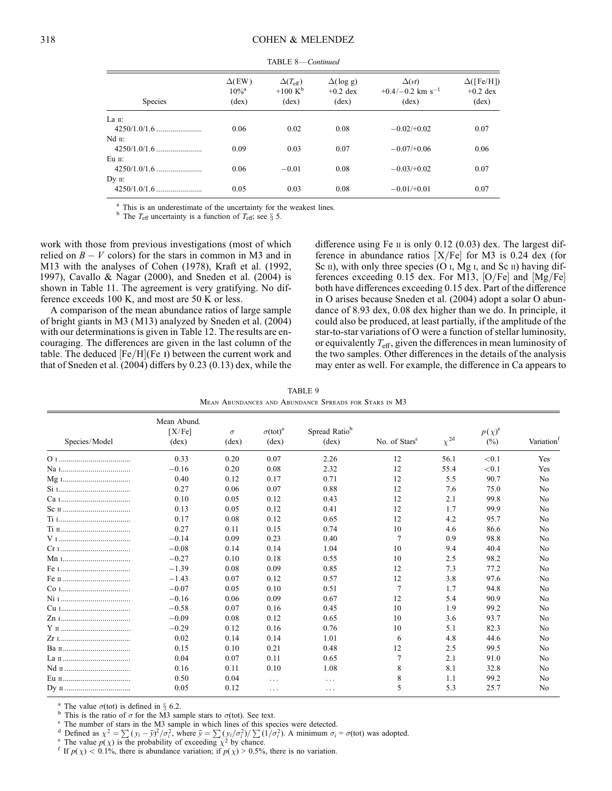| <b>Species</b> | $\Delta$ (EW)<br>$10\%^{\rm a}$<br>$(\text{dex})$ | $\Delta(T_{\rm eff})$<br>$+100 \text{ K}^{\text{b}}$<br>$(\text{dex})$ | $\Delta(\log g)$<br>$+0.2$ dex<br>$(\text{dex})$ | $\Delta(vt)$<br>$+0.4/-0.2$ km s <sup>-1</sup><br>$(\text{dex})$ | $\Delta$ ([Fe/H])<br>$+0.2$ dex<br>$(\text{dex})$ |
|----------------|---------------------------------------------------|------------------------------------------------------------------------|--------------------------------------------------|------------------------------------------------------------------|---------------------------------------------------|
| La II:         |                                                   |                                                                        |                                                  |                                                                  |                                                   |
|                | 0.06                                              | 0.02                                                                   | 0.08                                             | $-0.02/+0.02$                                                    | 0.07                                              |
| $Nd$ $\pi$ :   |                                                   |                                                                        |                                                  |                                                                  |                                                   |
|                | 0.09                                              | 0.03                                                                   | 0.07                                             | $-0.07/+0.06$                                                    | 0.06                                              |
| Eu п:          |                                                   |                                                                        |                                                  |                                                                  |                                                   |
|                | 0.06                                              | $-0.01$                                                                | 0.08                                             | $-0.03/00.02$                                                    | 0.07                                              |
| $Dv$ II:       |                                                   |                                                                        |                                                  |                                                                  |                                                   |
|                | 0.05                                              | 0.03                                                                   | 0.08                                             | $-0.01/+0.01$                                                    | 0.07                                              |

TABLE 8—Continued

<sup>a</sup> This is an underestimate of the uncertainty for the weakest lines. b The  $T_{\text{eff}}$  uncertainty is a function of  $T_{\text{eff}}$ ; see  $\S$  5.

work with those from previous investigations (most of which relied on  $B - V$  colors) for the stars in common in M3 and in M13 with the analyses of Cohen (1978), Kraft et al. (1992, 1997), Cavallo & Nagar (2000), and Sneden et al. (2004) is shown in Table 11. The agreement is very gratifying. No difference exceeds 100 K, and most are 50 K or less.

A comparison of the mean abundance ratios of large sample of bright giants in M3 (M13) analyzed by Sneden et al. (2004) with our determinations is given in Table 12. The results are encouraging. The differences are given in the last column of the table. The deduced  $[Fe/H]$ (Fe *I*) between the current work and that of Sneden et al. (2004) differs by 0.23 (0.13) dex, while the

difference using Fe  $\pi$  is only 0.12 (0.03) dex. The largest difference in abundance ratios  $[X/Fe]$  for M3 is 0.24 dex (for Sc  $\pi$ ), with only three species (O  $\pi$ , Mg  $\pi$ , and Sc  $\pi$ ) having differences exceeding 0.15 dex. For M13,  $[O/Fe]$  and  $[Mg/Fe]$ both have differences exceeding 0.15 dex. Part of the difference in O arises because Sneden et al. (2004) adopt a solar O abundance of 8.93 dex, 0.08 dex higher than we do. In principle, it could also be produced, at least partially, if the amplitude of the star-to-star variations of O were a function of stellar luminosity, or equivalently  $T_{\text{eff}}$ , given the differences in mean luminosity of the two samples. Other differences in the details of the analysis may enter as well. For example, the difference in Ca appears to

|                                                       | TABLE 9 |  |  |  |
|-------------------------------------------------------|---------|--|--|--|
| MEAN ABUNDANCES AND ABUNDANCE SPREADS FOR STARS IN M3 |         |  |  |  |

| Species/Model | Mean Abund.<br>[X/Fe]<br>$(\text{dex})$ | $\sigma$<br>$(\text{dex})$ | $\sigma$ (tot) <sup>a</sup><br>$(\text{dex})$ | Spread Ratio <sup>b</sup><br>$(\text{dex})$ | No. of Stars <sup>c</sup> | $\chi^{2d}$ | $p(\chi)^e$<br>(%) | Variation <sup>1</sup> |
|---------------|-----------------------------------------|----------------------------|-----------------------------------------------|---------------------------------------------|---------------------------|-------------|--------------------|------------------------|
|               | 0.33                                    | 0.20                       | 0.07                                          | 2.26                                        | 12                        | 56.1        | ${<}0.1$           | Yes                    |
|               | $-0.16$                                 | 0.20                       | 0.08                                          | 2.32                                        | 12                        | 55.4        | < 0.1              | Yes                    |
|               | 0.40                                    | 0.12                       | 0.17                                          | 0.71                                        | 12                        | 5.5         | 90.7               | N <sub>0</sub>         |
|               | 0.27                                    | 0.06                       | 0.07                                          | 0.88                                        | 12                        | 7.6         | 75.0               | N <sub>0</sub>         |
|               | 0.10                                    | 0.05                       | 0.12                                          | 0.43                                        | 12                        | 2.1         | 99.8               | N <sub>0</sub>         |
|               | 0.13                                    | 0.05                       | 0.12                                          | 0.41                                        | 12                        | 1.7         | 99.9               | N <sub>0</sub>         |
|               | 0.17                                    | 0.08                       | 0.12                                          | 0.65                                        | 12                        | 4.2         | 95.7               | No                     |
|               | 0.27                                    | 0.11                       | 0.15                                          | 0.74                                        | 10                        | 4.6         | 86.6               | No                     |
|               | $-0.14$                                 | 0.09                       | 0.23                                          | 0.40                                        | 7                         | 0.9         | 98.8               | No                     |
|               | $-0.08$                                 | 0.14                       | 0.14                                          | 1.04                                        | 10                        | 9.4         | 40.4               | No                     |
|               | $-0.27$                                 | 0.10                       | 0.18                                          | 0.55                                        | 10                        | 2.5         | 98.2               | N <sub>0</sub>         |
|               | $-1.39$                                 | 0.08                       | 0.09                                          | 0.85                                        | 12                        | 7.3         | 77.2               | N <sub>0</sub>         |
|               | $-1.43$                                 | 0.07                       | 0.12                                          | 0.57                                        | 12                        | 3.8         | 97.6               | N <sub>0</sub>         |
|               | $-0.07$                                 | 0.05                       | 0.10                                          | 0.51                                        | 7                         | 1.7         | 94.8               | No                     |
|               | $-0.16$                                 | 0.06                       | 0.09                                          | 0.67                                        | 12                        | 5.4         | 90.9               | N <sub>0</sub>         |
|               | $-0.58$                                 | 0.07                       | 0.16                                          | 0.45                                        | 10                        | 1.9         | 99.2               | No                     |
|               | $-0.09$                                 | 0.08                       | 0.12                                          | 0.65                                        | 10                        | 3.6         | 93.7               | N <sub>0</sub>         |
|               | $-0.29$                                 | 0.12                       | 0.16                                          | 0.76                                        | 10                        | 5.1         | 82.3               | No                     |
|               | 0.02                                    | 0.14                       | 0.14                                          | 1.01                                        | 6                         | 4.8         | 44.6               | N <sub>0</sub>         |
|               | 0.15                                    | 0.10                       | 0.21                                          | 0.48                                        | 12                        | 2.5         | 99.5               | N <sub>0</sub>         |
|               | 0.04                                    | 0.07                       | 0.11                                          | 0.65                                        |                           | 2.1         | 91.0               | N <sub>0</sub>         |
|               | 0.16                                    | 0.11                       | 0.10                                          | 1.08                                        | 8                         | 8.1         | 32.8               | N <sub>0</sub>         |
|               | 0.50                                    | 0.04                       | $\cdots$                                      | $\cdots$                                    | 8                         | 1.1         | 99.2               | N <sub>0</sub>         |
|               | 0.05                                    | 0.12                       | $\cdots$                                      | $\cdots$                                    | 5                         | 5.3         | 25.7               | No                     |

<sup>a</sup> The value  $\sigma$ (tot) is defined in § 6.2.<br><sup>b</sup> This is the ratio of  $\sigma$  for the M3 sample stars to  $\sigma$ (tot). See text.<br><sup>c</sup> The number of stars in the M3 sample in which lines of this species were detected.<br>d Defined a The nature of state  $\sqrt{2} = \sum (y_i - \bar{y})^2 / \sigma_i^2$ , where  $\bar{y} = \sum (y_i / \sigma_i^2) / \sum (1 / \sigma_i^2)$ . A minimum  $\sigma_i = \sigma(\text{tot})$  was adopted.<br>
<sup>e</sup> The value  $p(\chi)$  is the probability of exceeding  $\chi^2$  by chance.<br>
<sup>f</sup> If  $p(\chi) < 0.1\%$ ,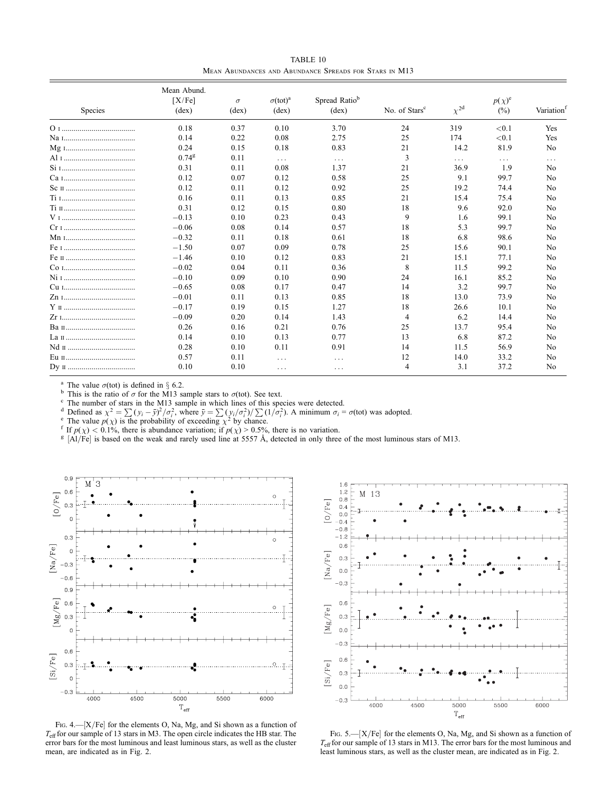TABLE 10 Mean Abundances and Abundance Spreads for Stars in M13

|         | Mean Abund.<br>[X/Fe] | $\sigma$       | $\sigma$ (tot) <sup>a</sup> | Spread Ratio <sup>b</sup> |                           |             | $p(\chi)^e$ |                        |
|---------|-----------------------|----------------|-----------------------------|---------------------------|---------------------------|-------------|-------------|------------------------|
| Species | $(\text{dex})$        | $(\text{dex})$ | $(\text{dex})$              | $(\text{dex})$            | No. of Stars <sup>c</sup> | $\chi^{2d}$ | (%)         | Variation <sup>1</sup> |
|         | 0.18                  | 0.37           | 0.10                        | 3.70                      | 24                        | 319         | ${<}0.1$    | Yes                    |
|         | 0.14                  | 0.22           | 0.08                        | 2.75                      | 25                        | 174         | ${<}0.1$    | Yes                    |
|         | 0.24                  | 0.15           | 0.18                        | 0.83                      | 21                        | 14.2        | 81.9        | No                     |
|         | $0.74^{\text{g}}$     | 0.11           | $\ldots$                    | $\cdots$                  | 3                         | $\cdots$    | $\cdots$    | $\cdots$               |
|         | 0.31                  | 0.11           | 0.08                        | 1.37                      | 21                        | 36.9        | 1.9         | No                     |
|         | 0.12                  | 0.07           | 0.12                        | 0.58                      | 25                        | 9.1         | 99.7        | No                     |
|         | 0.12                  | 0.11           | 0.12                        | 0.92                      | 25                        | 19.2        | 74.4        | No                     |
|         | 0.16                  | 0.11           | 0.13                        | 0.85                      | 21                        | 15.4        | 75.4        | No                     |
|         | 0.31                  | 0.12           | 0.15                        | 0.80                      | 18                        | 9.6         | 92.0        | No                     |
|         | $-0.13$               | 0.10           | 0.23                        | 0.43                      | 9                         | 1.6         | 99.1        | No                     |
|         | $-0.06$               | 0.08           | 0.14                        | 0.57                      | 18                        | 5.3         | 99.7        | No                     |
|         | $-0.32$               | 0.11           | 0.18                        | 0.61                      | 18                        | 6.8         | 98.6        | No                     |
|         | $-1.50$               | 0.07           | 0.09                        | 0.78                      | 25                        | 15.6        | 90.1        | No                     |
|         | $-1.46$               | 0.10           | 0.12                        | 0.83                      | 21                        | 15.1        | 77.1        | No                     |
|         | $-0.02$               | 0.04           | 0.11                        | 0.36                      | 8                         | 11.5        | 99.2        | No                     |
|         | $-0.10$               | 0.09           | 0.10                        | 0.90                      | 24                        | 16.1        | 85.2        | No                     |
|         | $-0.65$               | 0.08           | 0.17                        | 0.47                      | 14                        | 3.2         | 99.7        | No                     |
|         | $-0.01$               | 0.11           | 0.13                        | 0.85                      | 18                        | 13.0        | 73.9        | No                     |
|         | $-0.17$               | 0.19           | 0.15                        | 1.27                      | 18                        | 26.6        | 10.1        | No                     |
|         | $-0.09$               | 0.20           | 0.14                        | 1.43                      | 4                         | 6.2         | 14.4        | No                     |
|         | 0.26                  | 0.16           | 0.21                        | 0.76                      | 25                        | 13.7        | 95.4        | No                     |
|         | 0.14                  | 0.10           | 0.13                        | 0.77                      | 13                        | 6.8         | 87.2        | No                     |
|         | 0.28                  | 0.10           | 0.11                        | 0.91                      | 14                        | 11.5        | 56.9        | No                     |
|         | 0.57                  | 0.11           | $\ddots$                    | $\cdots$                  | 12                        | 14.0        | 33.2        | No                     |
|         | 0.10                  | 0.10           | $\cdots$                    | $\cdots$                  | 4                         | 3.1         | 37.2        | No                     |

<sup>a</sup> The value  $\sigma$ (tot) is defined in § 6.2.<br><sup>b</sup> This is the ratio of  $\sigma$  for the M13 sample stars to  $\sigma$ (tot). See text. c The number of stars in the M13 sample in which lines of this species were detected.

The value  $\alpha$  is  $\alpha$  and  $\alpha$  is  $\alpha$  befined as  $\chi^2 = \sum (y_i - \bar{y})^2 / \sigma_i^2$ , where  $\bar{y} = \sum (y_i / \sigma_i^2) / \sum (1 / \sigma_i^2)$ . A minimum  $\sigma_i = \sigma(tot)$  was adopted.<br>
The value  $p(\chi)$  is the probability of exceeding  $\chi^2$  by chance.



FIG. 4.— $[X/Fe]$  for the elements O, Na, Mg, and Si shown as a function of  $T_{\text{eff}}$  for our sample of 13 stars in M3. The open circle indicates the HB star. The error bars for the most luminous and least luminous stars, as well as the cluster mean, are indicated as in Fig. 2.



FIG. 5.— $[X/Fe]$  for the elements O, Na, Mg, and Si shown as a function of  $T_{\text{eff}}$  for our sample of 13 stars in M13. The error bars for the most luminous and least luminous stars, as well as the cluster mean, are indicated as in Fig. 2.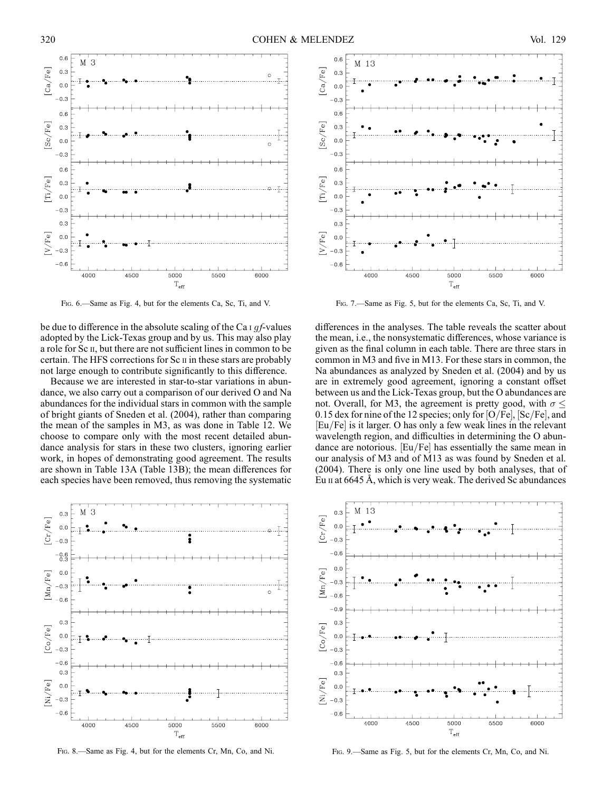

Fig. 6.—Same as Fig. 4, but for the elements Ca, Sc, Ti, and V. Fig. 7.—Same as Fig. 5, but for the elements Ca, Sc, Ti, and V.

be due to difference in the absolute scaling of the Ca  $\iota$  q f-values adopted by the Lick-Texas group and by us. This may also play a role for Sc ii, but there are not sufficient lines in common to be certain. The HFS corrections for Sc ii in these stars are probably not large enough to contribute significantly to this difference.

Because we are interested in star-to-star variations in abundance, we also carry out a comparison of our derived O and Na abundances for the individual stars in common with the sample of bright giants of Sneden et al. (2004), rather than comparing the mean of the samples in M3, as was done in Table 12. We choose to compare only with the most recent detailed abundance analysis for stars in these two clusters, ignoring earlier work, in hopes of demonstrating good agreement. The results are shown in Table 13A (Table 13B); the mean differences for each species have been removed, thus removing the systematic



Fig. 8.—Same as Fig. 4, but for the elements Cr, Mn, Co, and Ni. Fig. 9.—Same as Fig. 5, but for the elements Cr, Mn, Co, and Ni.



differences in the analyses. The table reveals the scatter about the mean, i.e., the nonsystematic differences, whose variance is given as the final column in each table. There are three stars in common in M3 and five in M13. For these stars in common, the Na abundances as analyzed by Sneden et al. (2004) and by us are in extremely good agreement, ignoring a constant offset between us and the Lick-Texas group, but the O abundances are not. Overall, for M3, the agreement is pretty good, with  $\sigma \leq$ 0.15 dex for nine of the 12 species; only for  $[O/Fe]$ ,  $[Sc/Fe]$ , and  $[Eu/Fe]$  is it larger. O has only a few weak lines in the relevant wavelength region, and difficulties in determining the O abundance are notorious.  $\left|Eu/Fe\right|$  has essentially the same mean in our analysis of M3 and of M13 as was found by Sneden et al. (2004). There is only one line used by both analyses, that of Eu  $\pi$  at 6645 Å, which is very weak. The derived Sc abundances

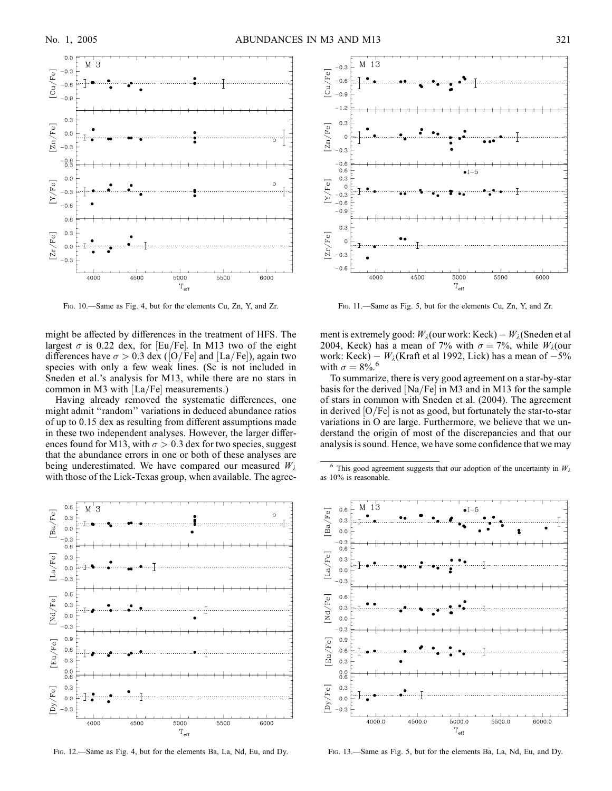

might be affected by differences in the treatment of HFS. The largest  $\sigma$  is 0.22 dex, for [Eu/Fe]. In M13 two of the eight differences have  $\sigma > 0.3$  dex ([O/Fe] and [La/Fe]), again two species with only a few weak lines. (Sc is not included in Sneden et al.'s analysis for M13, while there are no stars in common in M3 with  $[La/Fe]$  measurements.)

Having already removed the systematic differences, one might admit ''random'' variations in deduced abundance ratios of up to 0.15 dex as resulting from different assumptions made in these two independent analyses. However, the larger differences found for M13, with  $\sigma > 0.3$  dex for two species, suggest that the abundance errors in one or both of these analyses are being underestimated. We have compared our measured  $W_{\lambda}$ with those of the Lick-Texas group, when available. The agree-



Fig. 12.—Same as Fig. 4, but for the elements Ba, La, Nd, Eu, and Dy. Fig. 13.—Same as Fig. 5, but for the elements Ba, La, Nd, Eu, and Dy.



Fig. 10.—Same as Fig. 4, but for the elements Cu, Zn, Y, and Zr. Fig. 11.—Same as Fig. 5, but for the elements Cu, Zn, Y, and Zr.

ment is extremely good:  $W_\lambda$ (our work: Keck) –  $W_\lambda$ (Sneden et al 2004, Keck) has a mean of 7% with  $\sigma = 7$ %, while  $W_{\lambda}$ (our work: Keck) –  $W_{\lambda}$ (Kraft et al 1992, Lick) has a mean of  $-5\%$ with  $\sigma = 8\%$ .<sup>6</sup>

To summarize, there is very good agreement on a star-by-star basis for the derived  $[Na/Fe]$  in M3 and in M13 for the sample of stars in common with Sneden et al. (2004). The agreement in derived  $[O/Fe]$  is not as good, but fortunately the star-to-star variations in O are large. Furthermore, we believe that we understand the origin of most of the discrepancies and that our analysis is sound. Hence, we have some confidence that we may

This good agreement suggests that our adoption of the uncertainty in  $W_{\lambda}$ as 10% is reasonable.

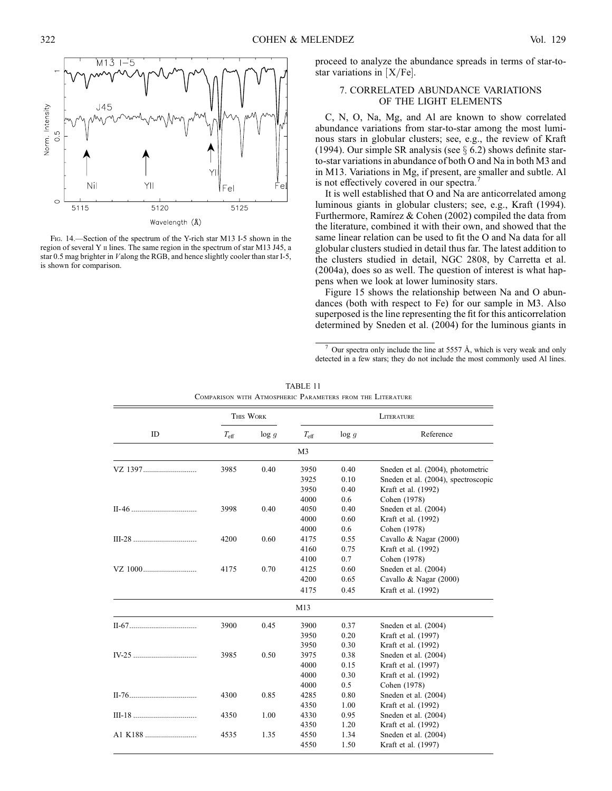

Fig. 14.—Section of the spectrum of the Y-rich star M13 I-5 shown in the region of several Y **II** lines. The same region in the spectrum of star M13 J45, a star 0.5 mag brighter in Valong the RGB, and hence slightly cooler than star I-5, is shown for comparison.

proceed to analyze the abundance spreads in terms of star-tostar variations in  $[X/Fe]$ .

### 7. CORRELATED ABUNDANCE VARIATIONS OF THE LIGHT ELEMENTS

C, N, O, Na, Mg, and Al are known to show correlated abundance variations from star-to-star among the most luminous stars in globular clusters; see, e.g., the review of Kraft (1994). Our simple SR analysis (see  $\S 6.2$ ) shows definite starto-star variations in abundance of both O and Na in both M3 and in M13. Variations in Mg, if present, are smaller and subtle. Al is not effectively covered in our spectra.<sup>7</sup>

It is well established that O and Na are anticorrelated among luminous giants in globular clusters; see, e.g., Kraft (1994). Furthermore, Ramírez & Cohen (2002) compiled the data from the literature, combined it with their own, and showed that the same linear relation can be used to fit the O and Na data for all globular clusters studied in detail thus far. The latest addition to the clusters studied in detail, NGC 2808, by Carretta et al. (2004a), does so as well. The question of interest is what happens when we look at lower luminosity stars.

Figure 15 shows the relationship between Na and O abundances (both with respect to Fe) for our sample in M3. Also superposed is the line representing the fit for this anticorrelation determined by Sneden et al. (2004) for the luminous giants in

 $7$  Our spectra only include the line at 5557 Å, which is very weak and only detected in a few stars; they do not include the most commonly used Al lines.

|         |               | THIS WORK |                |          | LITERATURE                          |
|---------|---------------|-----------|----------------|----------|-------------------------------------|
| ID      | $T_{\rm eff}$ | log g     | $T_{\rm eff}$  | $\log g$ | Reference                           |
|         |               |           | M <sub>3</sub> |          |                                     |
| VZ 1397 | 3985          | 0.40      | 3950           | 0.40     | Sneden et al. (2004), photometric   |
|         |               |           | 3925           | 0.10     | Sneden et al. (2004), spectroscopic |
|         |               |           | 3950           | 0.40     | Kraft et al. (1992)                 |
|         |               |           | 4000           | 0.6      | Cohen (1978)                        |
|         | 3998          | 0.40      | 4050           | 0.40     | Sneden et al. (2004)                |
|         |               |           | 4000           | 0.60     | Kraft et al. (1992)                 |
|         |               |           | 4000           | 0.6      | Cohen (1978)                        |
|         | 4200          | 0.60      | 4175           | 0.55     | Cavallo & Nagar (2000)              |
|         |               |           | 4160           | 0.75     | Kraft et al. (1992)                 |
|         |               |           | 4100           | 0.7      | Cohen (1978)                        |
|         | 4175          | 0.70      | 4125           | 0.60     | Sneden et al. (2004)                |
|         |               |           | 4200           | 0.65     | Cavallo & Nagar (2000)              |
|         |               |           | 4175           | 0.45     | Kraft et al. (1992)                 |
|         |               |           | M13            |          |                                     |
|         | 3900          | 0.45      | 3900           | 0.37     | Sneden et al. (2004)                |
|         |               |           | 3950           | 0.20     | Kraft et al. (1997)                 |
|         |               |           | 3950           | 0.30     | Kraft et al. (1992)                 |
|         | 3985          | 0.50      | 3975           | 0.38     | Sneden et al. (2004)                |
|         |               |           | 4000           | 0.15     | Kraft et al. (1997)                 |
|         |               |           | 4000           | 0.30     | Kraft et al. (1992)                 |
|         |               |           | 4000           | 0.5      | Cohen (1978)                        |
|         | 4300          | 0.85      | 4285           | 0.80     | Sneden et al. (2004)                |
|         |               |           | 4350           | 1.00     | Kraft et al. (1992)                 |
|         | 4350          | 1.00      | 4330           | 0.95     | Sneden et al. (2004)                |
|         |               |           | 4350           | 1.20     | Kraft et al. (1992)                 |
|         | 4535          | 1.35      | 4550           | 1.34     | Sneden et al. (2004)                |
|         |               |           | 4550           | 1.50     | Kraft et al. (1997)                 |

| TABLE 11                                                   |
|------------------------------------------------------------|
| COMPARISON WITH ATMOSPHERIC PARAMETERS FROM THE LITERATURE |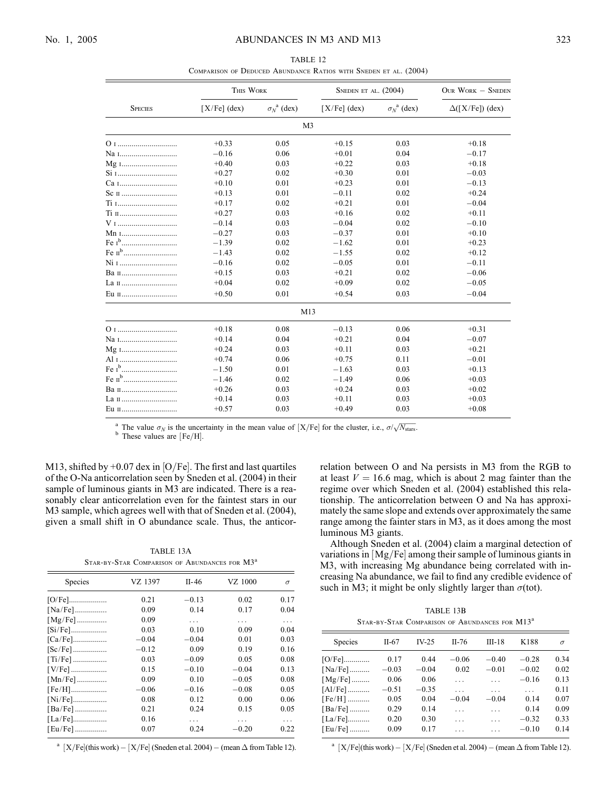### No. 1, 2005 **ABUNDANCES IN M3 AND M13** 323

| <b>SPECIES</b> | THIS WORK      |                        | SNEDEN ET AL. $(2004)$ |                        | OUR WORK - SNEDEN      |  |
|----------------|----------------|------------------------|------------------------|------------------------|------------------------|--|
|                | $[X/Fe]$ (dex) | $\sigma_N^{\ a}$ (dex) | $[X/Fe]$ (dex)         | $\sigma_N^{\ a}$ (dex) | $\Delta([X/Fe])$ (dex) |  |
|                |                | M <sub>3</sub>         |                        |                        |                        |  |
|                | $+0.33$        | 0.05                   | $+0.15$                | 0.03                   | $+0.18$                |  |
| Na 1           | $-0.16$        | 0.06                   | $+0.01$                | 0.04                   | $-0.17$                |  |
| Mg 1           | $+0.40$        | 0.03                   | $+0.22$                | 0.03                   | $+0.18$                |  |
|                | $+0.27$        | 0.02                   | $+0.30$                | 0.01                   | $-0.03$                |  |
|                | $+0.10$        | 0.01                   | $+0.23$                | 0.01                   | $-0.13$                |  |
| Sc II          | $+0.13$        | 0.01                   | $-0.11$                | 0.02                   | $+0.24$                |  |
| Ti 1           | $+0.17$        | 0.02                   | $+0.21$                | 0.01                   | $-0.04$                |  |
|                | $+0.27$        | 0.03                   | $+0.16$                | 0.02                   | $+0.11$                |  |
| V <sub>I</sub> | $-0.14$        | 0.03                   | $-0.04$                | 0.02                   | $-0.10$                |  |
| Mn I           | $-0.27$        | 0.03                   | $-0.37$                | 0.01                   | $+0.10$                |  |
|                | $-1.39$        | 0.02                   | $-1.62$                | 0.01                   | $+0.23$                |  |
|                | $-1.43$        | 0.02                   | $-1.55$                | 0.02                   | $+0.12$                |  |
| Ni 1           | $-0.16$        | 0.02                   | $-0.05$                | 0.01                   | $-0.11$                |  |
|                | $+0.15$        | 0.03                   | $+0.21$                | 0.02                   | $-0.06$                |  |
|                | $+0.04$        | 0.02                   | $+0.09$                | 0.02                   | $-0.05$                |  |
|                | $+0.50$        | 0.01                   | $+0.54$                | 0.03                   | $-0.04$                |  |
|                |                | M13                    |                        |                        |                        |  |
|                | $+0.18$        | 0.08                   | $-0.13$                | 0.06                   | $+0.31$                |  |
|                | $+0.14$        | 0.04                   | $+0.21$                | 0.04                   | $-0.07$                |  |
| Mg 1           | $+0.24$        | 0.03                   | $+0.11$                | 0.03                   | $+0.21$                |  |
| Al 1           | $+0.74$        | 0.06                   | $+0.75$                | 0.11                   | $-0.01$                |  |
|                | $-1.50$        | 0.01                   | $-1.63$                | 0.03                   | $+0.13$                |  |
|                | $-1.46$        | 0.02                   | $-1.49$                | 0.06                   | $+0.03$                |  |
|                | $+0.26$        | 0.03                   | $+0.24$                | 0.03                   | $+0.02$                |  |
|                | $+0.14$        | 0.03                   | $+0.11$                | 0.03                   | $+0.03$                |  |
|                | $+0.57$        | 0.03                   | $+0.49$                | 0.03                   | $+0.08$                |  |

TABLE 12 Comparison of Deduced Abundance Ratios with Sneden et al. (2004)

<sup>a</sup> The value  $\sigma_N$  is the uncertainty in the mean value of [X/Fe] for the cluster, i.e.,  $\sigma/\sqrt{N_{\text{stars}}}$ .<br><sup>b</sup> These values are [Fe/H].

M13, shifted by +0.07 dex in  $[O/Fe]$ . The first and last quartiles of the O-Na anticorrelation seen by Sneden et al. (2004) in their sample of luminous giants in M3 are indicated. There is a reasonably clear anticorrelation even for the faintest stars in our M3 sample, which agrees well with that of Sneden et al. (2004), given a small shift in O abundance scale. Thus, the anticor-

TABLE 13A STAR-BY-STAR COMPARISON OF ABUNDANCES FOR M3<sup>a</sup>

| Species   | VZ 1397 | $II-46$  | VZ 1000 | $\sigma$ |
|-----------|---------|----------|---------|----------|
|           | 0.21    | $-0.13$  | 0.02    | 0.17     |
| $[Na/Fe]$ | 0.09    | 0.14     | 0.17    | 0.04     |
| $[Mg/Fe]$ | 0.09    | $\cdots$ | .       | $\cdots$ |
|           | 0.03    | 0.10     | 0.09    | 0.04     |
|           | $-0.04$ | $-0.04$  | 0.01    | 0.03     |
|           | $-0.12$ | 0.09     | 0.19    | 0.16     |
|           | 0.03    | $-0.09$  | 0.05    | 0.08     |
| $[V/Fe]$  | 0.15    | $-0.10$  | $-0.04$ | 0.13     |
| $[Mn/Fe]$ | 0.09    | 0.10     | $-0.05$ | 0.08     |
|           | $-0.06$ | $-0.16$  | $-0.08$ | 0.05     |
|           | 0.08    | 0.12     | 0.00    | 0.06     |
| $[Ba/Fe]$ | 0.21    | 0.24     | 0.15    | 0.05     |
| $[La/Fe]$ | 0.16    | $\cdots$ | .       | $\cdots$ |
| $[Eu/Fe]$ | 0.07    | 0.24     | $-0.20$ | 0.22     |
|           |         |          |         |          |

<sup>a</sup>  $[X/Fe]$ (this work) –  $[X/Fe]$  (Sneden et al. 2004) – (mean  $\Delta$  from Table 12).

relation between O and Na persists in M3 from the RGB to at least  $V = 16.6$  mag, which is about 2 mag fainter than the regime over which Sneden et al. (2004) established this relationship. The anticorrelation between O and Na has approximately the same slope and extends over approximately the same range among the fainter stars in M3, as it does among the most luminous M3 giants.

Although Sneden et al. (2004) claim a marginal detection of variations in  $[Mg/Fe]$  among their sample of luminous giants in M3, with increasing Mg abundance being correlated with increasing Na abundance, we fail to find any credible evidence of such in M3; it might be only slightly larger than  $\sigma$ (tot).

TABLE 13B STAR-BY-STAR COMPARISON OF ABUNDANCES FOR M13<sup>a</sup>

| Species     | II-67   | IV-25   | II-76    | $III-18$ | K188     | $\sigma$ |
|-------------|---------|---------|----------|----------|----------|----------|
|             | 0.17    | 0.44    | $-0.06$  | $-0.40$  | $-0.28$  | 0.34     |
| $[Na/Fe]$   | $-0.03$ | $-0.04$ | 0.02     | $-0.01$  | $-0.02$  | 0.02     |
| $[Mg/Fe]$   | 0.06    | 0.06    | $\cdots$ | $\cdots$ | $-0.16$  | 0.13     |
| $[Al/Fe]$   | $-0.51$ | $-0.35$ | $\cdots$ | .        | $\cdots$ | 0.11     |
| $[Fe/H]$    | 0.05    | 0.04    | $-0.04$  | $-0.04$  | 0.14     | 0.07     |
| [ $Ba/Fe$ ] | 0.29    | 0.14    | $\cdots$ | .        | 0.14     | 0.09     |
| $[La/Fe]$   | 0.20    | 0.30    | .        | $\cdots$ | $-0.32$  | 0.33     |
| $[Eu/Fe]$   | 0.09    | 0.17    | .        | .        | $-0.10$  | 0.14     |

<sup>a</sup>  $[X/Fe]$ (this work) –  $[X/Fe]$  (Sneden et al. 2004) – (mean  $\Delta$  from Table 12).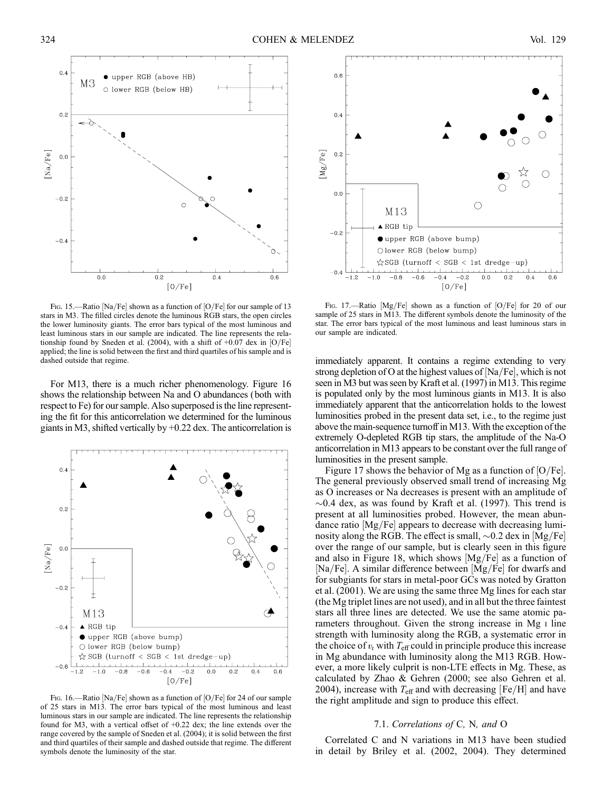

Fig. 15.—Ratio [Na/Fe] shown as a function of [O/Fe] for our sample of 13 stars in M3. The filled circles denote the luminous RGB stars, the open circles the lower luminosity giants. The error bars typical of the most luminous and least luminous stars in our sample are indicated. The line represents the relationship found by Sneden et al. (2004), with a shift of  $+0.07$  dex in  $[O/Fe]$ applied; the line is solid between the first and third quartiles of his sample and is dashed outside that regime.

For M13, there is a much richer phenomenology. Figure 16 shows the relationship between Na and O abundances (both with respect to Fe) for our sample. Also superposed is the line representing the fit for this anticorrelation we determined for the luminous giants in M3, shifted vertically by +0.22 dex. The anticorrelation is



Fig. 16.—Ratio [Na/Fe] shown as a function of [O/Fe] for 24 of our sample of 25 stars in M13. The error bars typical of the most luminous and least luminous stars in our sample are indicated. The line represents the relationship found for M3, with a vertical offset of +0.22 dex; the line extends over the range covered by the sample of Sneden et al. (2004); it is solid between the first and third quartiles of their sample and dashed outside that regime. The different symbols denote the luminosity of the star.



Fig. 17.—Ratio  $[Mg/Fe]$  shown as a function of  $[O/Fe]$  for 20 of our sample of 25 stars in M13. The different symbols denote the luminosity of the star. The error bars typical of the most luminous and least luminous stars in our sample are indicated.

immediately apparent. It contains a regime extending to very strong depletion of O at the highest values of  $[Na/Fe]$ , which is not seen in M3 but was seen by Kraft et al. (1997) in M13. This regime is populated only by the most luminous giants in M13. It is also immediately apparent that the anticorrelation holds to the lowest luminosities probed in the present data set, i.e., to the regime just above the main-sequence turnoff in M13. With the exception of the extremely O-depleted RGB tip stars, the amplitude of the Na-O anticorrelation in M13 appears to be constant over the full range of luminosities in the present sample.

Figure 17 shows the behavior of Mg as a function of  $[O/Fe]$ . The general previously observed small trend of increasing Mg as O increases or Na decreases is present with an amplitude of  $\sim$ 0.4 dex, as was found by Kraft et al. (1997). This trend is present at all luminosities probed. However, the mean abundance ratio  $[Mg/Fe]$  appears to decrease with decreasing luminosity along the RGB. The effect is small,  $\sim 0.2$  dex in  $[Mg/Fe]$ over the range of our sample, but is clearly seen in this figure and also in Figure 18, which shows  $[Mg/Fe]$  as a function of [Na/Fe]. A similar difference between  $[Mg/Fe]$  for dwarfs and for subgiants for stars in metal-poor GCs was noted by Gratton et al. (2001). We are using the same three Mg lines for each star (the Mg triplet lines are not used), and in all but the three faintest stars all three lines are detected. We use the same atomic parameters throughout. Given the strong increase in Mg i line strength with luminosity along the RGB, a systematic error in the choice of  $v_t$  with  $T_{\text{eff}}$  could in principle produce this increase in Mg abundance with luminosity along the M13 RGB. However, a more likely culprit is non-LTE effects in Mg. These, as calculated by Zhao & Gehren (2000; see also Gehren et al. 2004), increase with  $T_{\text{eff}}$  and with decreasing  $\text{[Fe/H]}$  and have the right amplitude and sign to produce this effect.

### 7.1. Correlations of C, N, and O

Correlated C and N variations in M13 have been studied in detail by Briley et al. (2002, 2004). They determined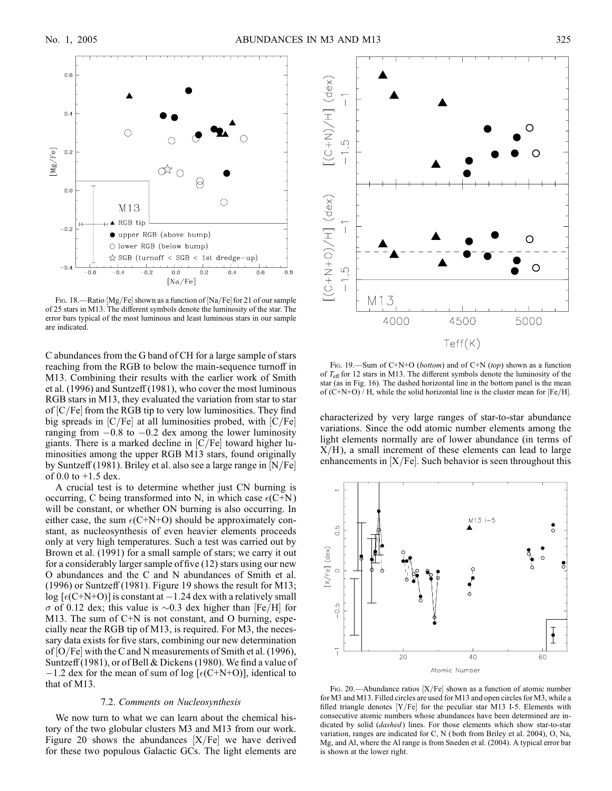

Fig. 18.—Ratio  $[Mg/Fe]$  shown as a function of  $[Na/Fe]$  for 21 of our sample of 25 stars in M13. The different symbols denote the luminosity of the star. The error bars typical of the most luminous and least luminous stars in our sample are indicated.

C abundances from the G band of CH for a large sample of stars reaching from the RGB to below the main-sequence turnoff in M13. Combining their results with the earlier work of Smith et al. (1996) and Suntzeff (1981), who cover the most luminous RGB stars in M13, they evaluated the variation from star to star of  $|C/Fe|$  from the RGB tip to very low luminosities. They find big spreads in  $[C/Fe]$  at all luminosities probed, with  $[C/Fe]$ ranging from -0.8 to -0.2 dex among the lower luminosity giants. There is a marked decline in  $[C/Fe]$  toward higher luminosities among the upper RGB M13 stars, found originally by Suntzeff (1981). Briley et al. also see a large range in  $[N/Fe]$ of 0.0 to  $+1.5$  dex.

A crucial test is to determine whether just CN burning is occurring, C being transformed into N, in which case  $\epsilon$ (C+N) will be constant, or whether ON burning is also occurring. In either case, the sum  $\epsilon$ (C+N+O) should be approximately constant, as nucleosynthesis of even heavier elements proceeds only at very high temperatures. Such a test was carried out by Brown et al. (1991) for a small sample of stars; we carry it out for a considerably larger sample of five (12) stars using our new O abundances and the C and N abundances of Smith et al. (1996) or Suntzeff (1981). Figure 19 shows the result for M13; log  $[\epsilon(C+N+O)]$  is constant at  $-1.24$  dex with a relatively small  $\sigma$  of 0.12 dex; this value is  $\sim$ 0.3 dex higher than [Fe/H] for M13. The sum of C+N is not constant, and O burning, especially near the RGB tip of M13, is required. For M3, the necessary data exists for five stars, combining our new determination of  $[O/Fe]$  with the C and N measurements of Smith et al. (1996), Suntzeff (1981), or of Bell & Dickens (1980). We find a value of  $-1.2$  dex for the mean of sum of log [ $\epsilon$ (C+N+O)], identical to that of M13.

### 7.2. Comments on Nucleosynthesis

We now turn to what we can learn about the chemical history of the two globular clusters M3 and M13 from our work. Figure 20 shows the abundances  $[X/Fe]$  we have derived for these two populous Galactic GCs. The light elements are



FIG. 19.—Sum of C+N+O (bottom) and of C+N (top) shown as a function of  $T_{\text{eff}}$  for 12 stars in M13. The different symbols denote the luminosity of the star (as in Fig. 16). The dashed horizontal line in the bottom panel is the mean of  $(C+N+O)$  / H, while the solid horizontal line is the cluster mean for [Fe/H].

characterized by very large ranges of star-to-star abundance variations. Since the odd atomic number elements among the light elements normally are of lower abundance (in terms of  $X/H$ ), a small increment of these elements can lead to large enhancements in  $[X/Fe]$ . Such behavior is seen throughout this



Fig. 20.—Abundance ratios  $[X/Fe]$  shown as a function of atomic number for M3 and M13. Filled circles are used for M13 and open circles for M3, while a filled triangle denotes  $[Y/Fe]$  for the peculiar star M13 I-5. Elements with consecutive atomic numbers whose abundances have been determined are indicated by solid (dashed) lines. For those elements which show star-to-star variation, ranges are indicated for C, N ( both from Briley et al. 2004), O, Na, Mg, and Al, where the Al range is from Sneden et al. (2004). A typical error bar is shown at the lower right.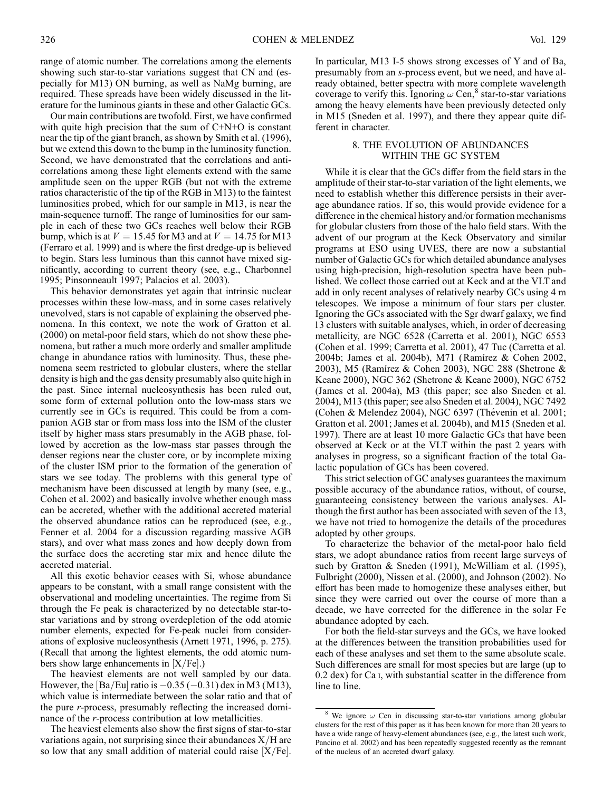range of atomic number. The correlations among the elements showing such star-to-star variations suggest that CN and (especially for M13) ON burning, as well as NaMg burning, are required. These spreads have been widely discussed in the literature for the luminous giants in these and other Galactic GCs.

Our main contributions are twofold. First, we have confirmed with quite high precision that the sum of  $C+N+O$  is constant near the tip of the giant branch, as shown by Smith et al. (1996), but we extend this down to the bump in the luminosity function. Second, we have demonstrated that the correlations and anticorrelations among these light elements extend with the same amplitude seen on the upper RGB (but not with the extreme ratios characteristic of the tip of the RGB in M13) to the faintest luminosities probed, which for our sample in M13, is near the main-sequence turnoff. The range of luminosities for our sample in each of these two GCs reaches well below their RGB bump, which is at  $V = 15.45$  for M3 and at  $V = 14.75$  for M13 (Ferraro et al. 1999) and is where the first dredge-up is believed to begin. Stars less luminous than this cannot have mixed significantly, according to current theory (see, e.g., Charbonnel 1995; Pinsonneault 1997; Palacios et al. 2003).

This behavior demonstrates yet again that intrinsic nuclear processes within these low-mass, and in some cases relatively unevolved, stars is not capable of explaining the observed phenomena. In this context, we note the work of Gratton et al. (2000) on metal-poor field stars, which do not show these phenomena, but rather a much more orderly and smaller amplitude change in abundance ratios with luminosity. Thus, these phenomena seem restricted to globular clusters, where the stellar density is high and the gas density presumably also quite high in the past. Since internal nucleosynthesis has been ruled out, some form of external pollution onto the low-mass stars we currently see in GCs is required. This could be from a companion AGB star or from mass loss into the ISM of the cluster itself by higher mass stars presumably in the AGB phase, followed by accretion as the low-mass star passes through the denser regions near the cluster core, or by incomplete mixing of the cluster ISM prior to the formation of the generation of stars we see today. The problems with this general type of mechanism have been discussed at length by many (see, e.g., Cohen et al. 2002) and basically involve whether enough mass can be accreted, whether with the additional accreted material the observed abundance ratios can be reproduced (see, e.g., Fenner et al. 2004 for a discussion regarding massive AGB stars), and over what mass zones and how deeply down from the surface does the accreting star mix and hence dilute the accreted material.

All this exotic behavior ceases with Si, whose abundance appears to be constant, with a small range consistent with the observational and modeling uncertainties. The regime from Si through the Fe peak is characterized by no detectable star-tostar variations and by strong overdepletion of the odd atomic number elements, expected for Fe-peak nuclei from considerations of explosive nucleosynthesis (Arnett 1971, 1996, p. 275). (Recall that among the lightest elements, the odd atomic numbers show large enhancements in  $[X/Fe]$ .)

The heaviest elements are not well sampled by our data. However, the  $[Ba/Eu]$  ratio is  $-0.35$  ( $-0.31$ ) dex in M3 (M13), which value is intermediate between the solar ratio and that of the pure r-process, presumably reflecting the increased dominance of the *r*-process contribution at low metallicities.

The heaviest elements also show the first signs of star-to-star variations again, not surprising since their abundances  $X/H$  are so low that any small addition of material could raise  $[X/Fe]$ .

In particular, M13 I-5 shows strong excesses of Y and of Ba, presumably from an s-process event, but we need, and have already obtained, better spectra with more complete wavelength coverage to verify this. Ignoring  $\omega$  Cen,<sup>8</sup> star-to-star variations among the heavy elements have been previously detected only in M15 (Sneden et al. 1997), and there they appear quite different in character.

# 8. THE EVOLUTION OF ABUNDANCES WITHIN THE GC SYSTEM

While it is clear that the GCs differ from the field stars in the amplitude of their star-to-star variation of the light elements, we need to establish whether this difference persists in their average abundance ratios. If so, this would provide evidence for a difference in the chemical history and/or formation mechanisms for globular clusters from those of the halo field stars. With the advent of our program at the Keck Observatory and similar programs at ESO using UVES, there are now a substantial number of Galactic GCs for which detailed abundance analyses using high-precision, high-resolution spectra have been published. We collect those carried out at Keck and at the VLT and add in only recent analyses of relatively nearby GCs using 4 m telescopes. We impose a minimum of four stars per cluster. Ignoring the GCs associated with the Sgr dwarf galaxy, we find 13 clusters with suitable analyses, which, in order of decreasing metallicity, are NGC 6528 (Carretta et al. 2001), NGC 6553 (Cohen et al. 1999; Carretta et al. 2001), 47 Tuc (Carretta et al. 2004b; James et al. 2004b), M71 (Ramírez & Cohen 2002, 2003), M5 (Ramı´rez & Cohen 2003), NGC 288 (Shetrone & Keane 2000), NGC 362 (Shetrone & Keane 2000), NGC 6752 (James et al. 2004a), M3 (this paper; see also Sneden et al. 2004), M13 (this paper; see also Sneden et al. 2004), NGC 7492 (Cohen & Melendez 2004), NGC 6397 (Thévenin et al. 2001; Gratton et al. 2001; James et al. 2004b), and M15 (Sneden et al. 1997). There are at least 10 more Galactic GCs that have been observed at Keck or at the VLT within the past 2 years with analyses in progress, so a significant fraction of the total Galactic population of GCs has been covered.

This strict selection of GC analyses guarantees the maximum possible accuracy of the abundance ratios, without, of course, guaranteeing consistency between the various analyses. Although the first author has been associated with seven of the 13, we have not tried to homogenize the details of the procedures adopted by other groups.

To characterize the behavior of the metal-poor halo field stars, we adopt abundance ratios from recent large surveys of such by Gratton & Sneden (1991), McWilliam et al. (1995), Fulbright (2000), Nissen et al. (2000), and Johnson (2002). No effort has been made to homogenize these analyses either, but since they were carried out over the course of more than a decade, we have corrected for the difference in the solar Fe abundance adopted by each.

For both the field-star surveys and the GCs, we have looked at the differences between the transition probabilities used for each of these analyses and set them to the same absolute scale. Such differences are small for most species but are large (up to 0.2 dex) for Ca i, with substantial scatter in the difference from line to line.

<sup>&</sup>lt;sup>8</sup> We ignore  $\omega$  Cen in discussing star-to-star variations among globular clusters for the rest of this paper as it has been known for more than 20 years to have a wide range of heavy-element abundances (see, e.g., the latest such work, Pancino et al. 2002) and has been repeatedly suggested recently as the remnant of the nucleus of an accreted dwarf galaxy.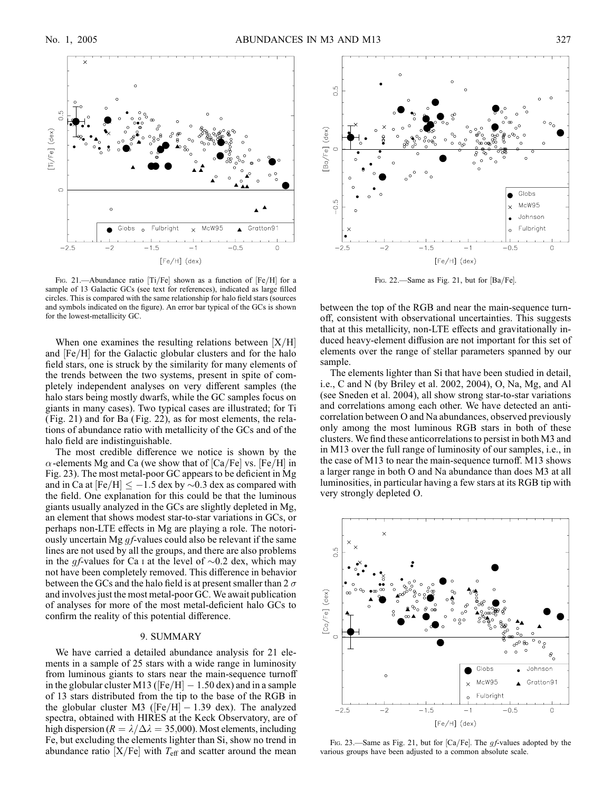

Fig. 21.—Abundance ratio  $[Ti/Fe]$  shown as a function of  $[Fe/H]$  for a sample of 13 Galactic GCs (see text for references), indicated as large filled circles. This is compared with the same relationship for halo field stars (sources and symbols indicated on the figure). An error bar typical of the GCs is shown for the lowest-metallicity GC.

When one examines the resulting relations between  $[X/H]$ and  $[Fe/H]$  for the Galactic globular clusters and for the halo field stars, one is struck by the similarity for many elements of the trends between the two systems, present in spite of completely independent analyses on very different samples (the halo stars being mostly dwarfs, while the GC samples focus on giants in many cases). Two typical cases are illustrated; for Ti ( Fig. 21) and for Ba ( Fig. 22), as for most elements, the relations of abundance ratio with metallicity of the GCs and of the halo field are indistinguishable.

The most credible difference we notice is shown by the  $\alpha$ -elements Mg and Ca (we show that of [Ca/Fe] vs. [Fe/H] in Fig. 23). The most metal-poor GC appears to be deficient in Mg and in Ca at  $[Fe/H] \le -1.5$  dex by  $\sim$ 0.3 dex as compared with the field. One explanation for this could be that the luminous giants usually analyzed in the GCs are slightly depleted in Mg, an element that shows modest star-to-star variations in GCs, or perhaps non-LTE effects in Mg are playing a role. The notoriously uncertain Mg  $gf$ -values could also be relevant if the same lines are not used by all the groups, and there are also problems in the *qf*-values for Ca I at the level of  $\sim 0.2$  dex, which may not have been completely removed. This difference in behavior between the GCs and the halo field is at present smaller than 2  $\sigma$ and involves just the most metal-poor GC. We await publication of analyses for more of the most metal-deficient halo GCs to confirm the reality of this potential difference.

### 9. SUMMARY

We have carried a detailed abundance analysis for 21 elements in a sample of 25 stars with a wide range in luminosity from luminous giants to stars near the main-sequence turnoff in the globular cluster M13 ( $[Fe/H] - 1.50$  dex) and in a sample of 13 stars distributed from the tip to the base of the RGB in the globular cluster M3 ( $[Fe/H] - 1.39$  dex). The analyzed spectra, obtained with HIRES at the Keck Observatory, are of high dispersion ( $R = \lambda/\Delta\lambda = 35,000$ ). Most elements, including Fe, but excluding the elements lighter than Si, show no trend in abundance ratio  $[X/Fe]$  with  $T_{\text{eff}}$  and scatter around the mean



FIG. 22.—Same as Fig. 21, but for  $[Ba/Fe]$ .

between the top of the RGB and near the main-sequence turnoff, consistent with observational uncertainties. This suggests that at this metallicity, non-LTE effects and gravitationally induced heavy-element diffusion are not important for this set of elements over the range of stellar parameters spanned by our sample.

The elements lighter than Si that have been studied in detail, i.e., C and N (by Briley et al. 2002, 2004), O, Na, Mg, and Al (see Sneden et al. 2004), all show strong star-to-star variations and correlations among each other. We have detected an anticorrelation between O and Na abundances, observed previously only among the most luminous RGB stars in both of these clusters. We find these anticorrelations to persist in both M3 and in M13 over the full range of luminosity of our samples, i.e., in the case of M13 to near the main-sequence turnoff. M13 shows a larger range in both O and Na abundance than does M3 at all luminosities, in particular having a few stars at its RGB tip with very strongly depleted O.



FIG. 23.—Same as Fig. 21, but for  $[Ca/Fe]$ . The g f-values adopted by the various groups have been adjusted to a common absolute scale.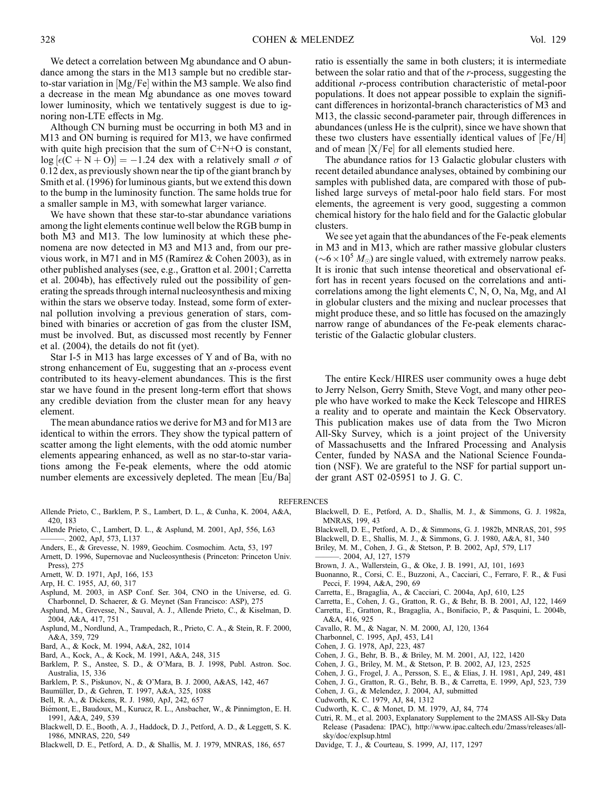We detect a correlation between Mg abundance and O abundance among the stars in the M13 sample but no credible starto-star variation in  $[Mg/Fe]$  within the M3 sample. We also find a decrease in the mean Mg abundance as one moves toward lower luminosity, which we tentatively suggest is due to ignoring non-LTE effects in Mg.

Although CN burning must be occurring in both M3 and in M13 and ON burning is required for M13, we have confirmed with quite high precision that the sum of C+N+O is constant,  $log [e(C + N + O)] = -1.24$  dex with a relatively small  $\sigma$  of 0.12 dex, as previously shown near the tip of the giant branch by Smith et al. (1996) for luminous giants, but we extend this down to the bump in the luminosity function. The same holds true for a smaller sample in M3, with somewhat larger variance.

We have shown that these star-to-star abundance variations among the light elements continue well below the RGB bump in both M3 and M13. The low luminosity at which these phenomena are now detected in M3 and M13 and, from our previous work, in M71 and in M5 (Ramírez & Cohen 2003), as in other published analyses (see, e.g., Gratton et al. 2001; Carretta et al. 2004b), has effectively ruled out the possibility of generating the spreads through internal nucleosynthesis and mixing within the stars we observe today. Instead, some form of external pollution involving a previous generation of stars, combined with binaries or accretion of gas from the cluster ISM, must be involved. But, as discussed most recently by Fenner et al. (2004), the details do not fit (yet).

Star I-5 in M13 has large excesses of Y and of Ba, with no strong enhancement of Eu, suggesting that an s-process event contributed to its heavy-element abundances. This is the first star we have found in the present long-term effort that shows any credible deviation from the cluster mean for any heavy element.

The mean abundance ratios we derive for M3 and for M13 are identical to within the errors. They show the typical pattern of scatter among the light elements, with the odd atomic number elements appearing enhanced, as well as no star-to-star variations among the Fe-peak elements, where the odd atomic number elements are excessively depleted. The mean  $\left|\text{Eu}/\text{Ba}\right|$ 

ratio is essentially the same in both clusters; it is intermediate between the solar ratio and that of the r-process, suggesting the additional r-process contribution characteristic of metal-poor populations. It does not appear possible to explain the significant differences in horizontal-branch characteristics of M3 and M13, the classic second-parameter pair, through differences in abundances (unless He is the culprit), since we have shown that these two clusters have essentially identical values of  $[Fe/H]$ and of mean  $[X/Fe]$  for all elements studied here.

The abundance ratios for 13 Galactic globular clusters with recent detailed abundance analyses, obtained by combining our samples with published data, are compared with those of published large surveys of metal-poor halo field stars. For most elements, the agreement is very good, suggesting a common chemical history for the halo field and for the Galactic globular clusters.

We see yet again that the abundances of the Fe-peak elements in M3 and in M13, which are rather massive globular clusters  $({\sim}6 \times 10^5 M_{\odot})$  are single valued, with extremely narrow peaks. It is ironic that such intense theoretical and observational effort has in recent years focused on the correlations and anticorrelations among the light elements C, N, O, Na, Mg, and Al in globular clusters and the mixing and nuclear processes that might produce these, and so little has focused on the amazingly narrow range of abundances of the Fe-peak elements characteristic of the Galactic globular clusters.

The entire Keck/HIRES user community owes a huge debt to Jerry Nelson, Gerry Smith, Steve Vogt, and many other people who have worked to make the Keck Telescope and HIRES a reality and to operate and maintain the Keck Observatory. This publication makes use of data from the Two Micron All-Sky Survey, which is a joint project of the University of Massachusetts and the Infrared Processing and Analysis Center, funded by NASA and the National Science Foundation (NSF). We are grateful to the NSF for partial support under grant AST 02-05951 to J. G. C.

#### **REFERENCES**

- Allende Prieto, C., Barklem, P. S., Lambert, D. L., & Cunha, K. 2004, A&A, 420, 183
- Allende Prieto, C., Lambert, D. L., & Asplund, M. 2001, ApJ, 556, L63 ———. 2002, ApJ, 573, L137
- Anders, E., & Grevesse, N. 1989, Geochim. Cosmochim. Acta, 53, 197
- Arnett, D. 1996, Supernovae and Nucleosynthesis (Princeton: Princeton Univ. Press), 275
- Arnett, W. D. 1971, ApJ, 166, 153
- Arp, H. C. 1955, AJ, 60, 317
- Asplund, M. 2003, in ASP Conf. Ser. 304, CNO in the Universe, ed. G. Charbonnel, D. Schaerer, & G. Meynet (San Francisco: ASP), 275
- Asplund, M., Grevesse, N., Sauval, A. J., Allende Prieto, C., & Kiselman, D. 2004, A&A, 417, 751
- Asplund, M., Nordlund, A., Trampedach, R., Prieto, C. A., & Stein, R. F. 2000, A&A, 359, 729
- Bard, A., & Kock, M. 1994, A&A, 282, 1014
- Bard, A., Kock, A., & Kock, M. 1991, A&A, 248, 315
- Barklem, P. S., Anstee, S. D., & O'Mara, B. J. 1998, Publ. Astron. Soc. Australia, 15, 336
- Barklem, P. S., Piskunov, N., & O'Mara, B. J. 2000, A&AS, 142, 467
- Baumüller, D., & Gehren, T. 1997, A&A, 325, 1088
- Bell, R. A., & Dickens, R. J. 1980, ApJ, 242, 657
- Biémont, E., Baudoux, M., Kurucz, R. L., Ansbacher, W., & Pinnimgton, E. H. 1991, A&A, 249, 539
- Blackwell, D. E., Booth, A. J., Haddock, D. J., Petford, A. D., & Leggett, S. K. 1986, MNRAS, 220, 549
- Blackwell, D. E., Petford, A. D., & Shallis, M. J. 1979, MNRAS, 186, 657
- Blackwell, D. E., Petford, A. D., Shallis, M. J., & Simmons, G. J. 1982a, MNRAS, 199, 43
- Blackwell, D. E., Petford, A. D., & Simmons, G. J. 1982b, MNRAS, 201, 595
- Blackwell, D. E., Shallis, M. J., & Simmons, G. J. 1980, A&A, 81, 340
- Briley, M. M., Cohen, J. G., & Stetson, P. B. 2002, ApJ, 579, L17
- ———. 2004, AJ, 127, 1579
- Brown, J. A., Wallerstein, G., & Oke, J. B. 1991, AJ, 101, 1693
- Buonanno, R., Corsi, C. E., Buzzoni, A., Cacciari, C., Ferraro, F. R., & Fusi Pecci, F. 1994, A&A, 290, 69
- Carretta, E., Bragaglia, A., & Cacciari, C. 2004a, ApJ, 610, L25
- Carretta, E., Cohen, J. G., Gratton, R. G., & Behr, B. B. 2001, AJ, 122, 1469 Carretta, E., Gratton, R., Bragaglia, A., Bonifacio, P., & Pasquini, L. 2004b,
- A&A, 416, 925
- Cavallo, R. M., & Nagar, N. M. 2000, AJ, 120, 1364
- Charbonnel, C. 1995, ApJ, 453, L41
- Cohen, J. G. 1978, ApJ, 223, 487
- Cohen, J. G., Behr, B. B., & Briley, M. M. 2001, AJ, 122, 1420
- Cohen, J. G., Briley, M. M., & Stetson, P. B. 2002, AJ, 123, 2525
- Cohen, J. G., Frogel, J. A., Persson, S. E., & Elias, J. H. 1981, ApJ, 249, 481
- Cohen, J. G., Gratton, R. G., Behr, B. B., & Carretta, E. 1999, ApJ, 523, 739
- Cohen, J. G., & Melendez, J. 2004, AJ, submitted
- Cudworth, K. C. 1979, AJ, 84, 1312
- Cudworth, K. C., & Monet, D. M. 1979, AJ, 84, 774
- Cutri, R. M., et al. 2003, Explanatory Supplement to the 2MASS All-Sky Data Release (Pasadena: IPAC), http://www.ipac.caltech.edu/2mass/releases/allsky/doc/explsup.html
- Davidge, T. J., & Courteau, S. 1999, AJ, 117, 1297